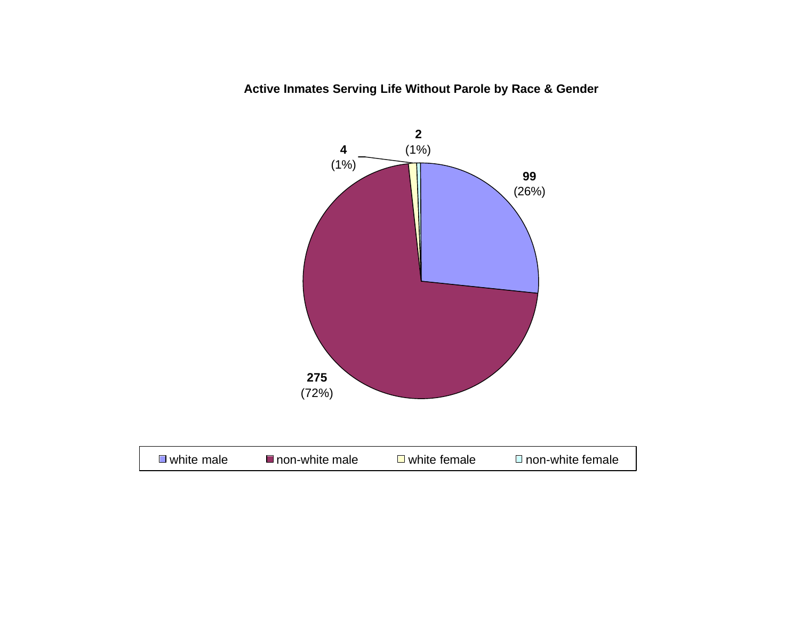**Active Inmates Serving Life Without Parole by Race & Gender**

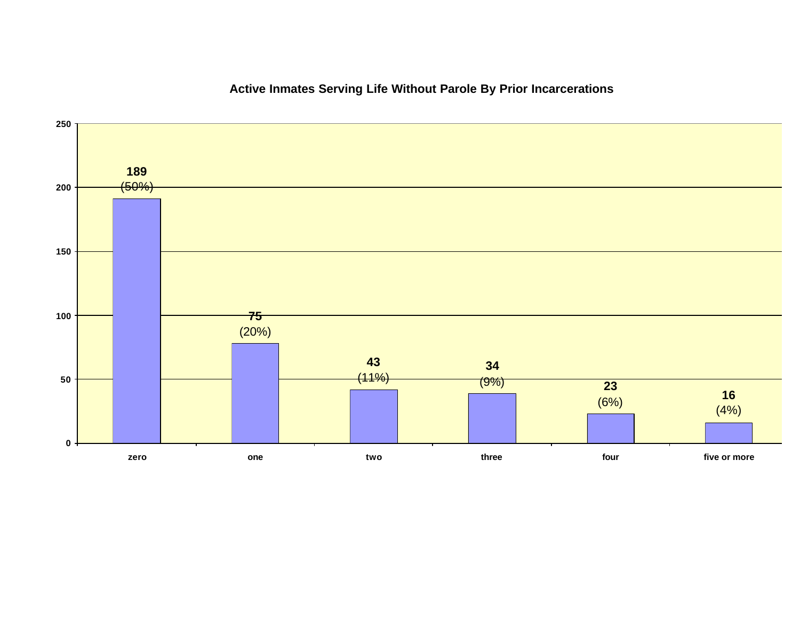

# **Active Inmates Serving Life Without Parole By Prior Incarcerations**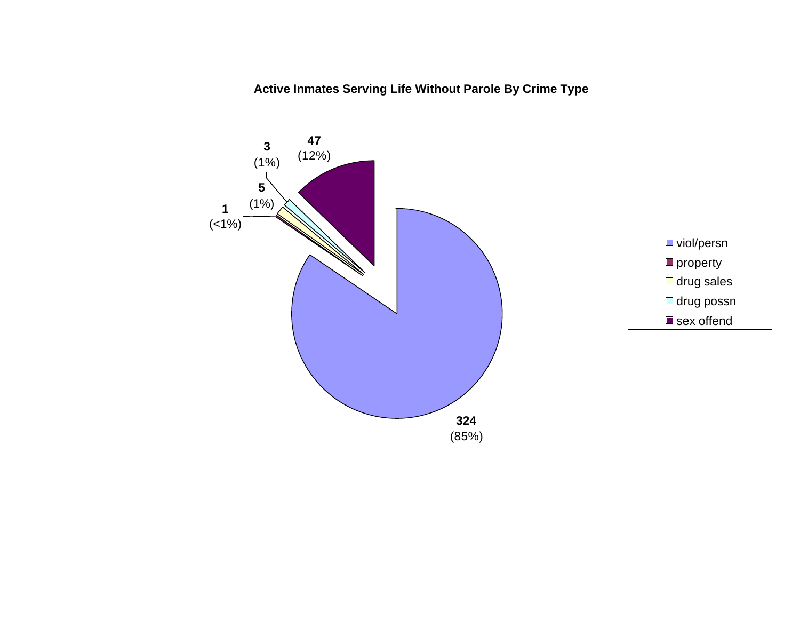**Active Inmates Serving Life Without Parole By Crime Type**



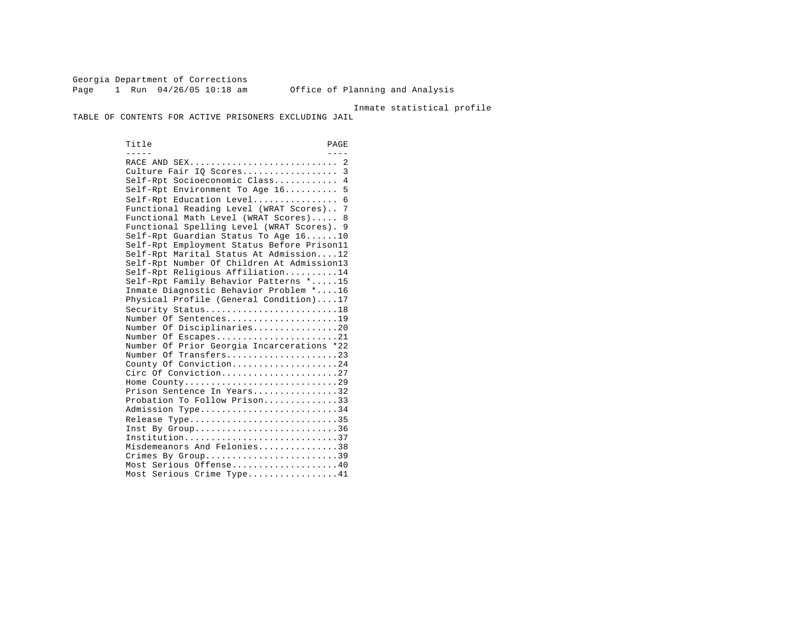Georgia Department of Corrections Page 1 Run 04/26/05 10:18 am Office of Planning and Analysis

Inmate statistical profile

TABLE OF CONTENTS FOR ACTIVE PRISONERS EXCLUDING JAIL

Title PAGE ----- ---- RACE AND SEX............................ 2 Culture Fair IQ Scores...................... 3 Self-Rpt Socioeconomic Class............ 4 Self-Rpt Environment To Age 16.......... 5 Self-Rpt Education Level................ 6 Functional Reading Level (WRAT Scores).. 7 Functional Math Level (WRAT Scores)..... 8 Functional Spelling Level (WRAT Scores). 9 Self-Rpt Guardian Status To Age 16......10 Self-Rpt Employment Status Before Prison11 Self-Rpt Marital Status At Admission....12 Self-Rpt Number Of Children At Admission13 Self-Rpt Religious Affiliation..........14 Self-Rpt Family Behavior Patterns \*.....15 Inmate Diagnostic Behavior Problem \*....16 Physical Profile (General Condition)....17 Security Status..............................18 Number Of Sentences.....................19 Number Of Disciplinaries................20 Number Of Escapes.........................21 Number Of Prior Georgia Incarcerations \*22 Number Of Transfers.....................23 County Of Conviction....................24 Circ Of Conviction........................27 Home County.............................29 Prison Sentence In Years.................32 Probation To Follow Prison..............33 Admission Type.............................34 Release Type...............................35 Inst By  $Group \ldots, \ldots, \ldots, \ldots, \ldots, \ldots, 36$  Institution.............................37 Misdemeanors And Felonies...............38 Crimes By Group............................39 Most Serious Offense....................40 Most Serious Crime Type.................41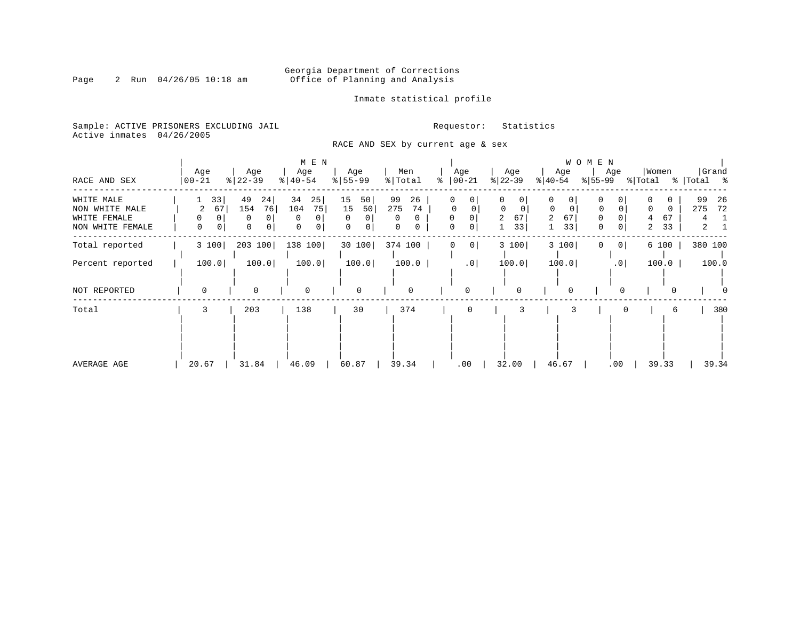# Georgia Department of Corrections<br>Page 2 Run 04/26/05 10:18 am 60ffice of Planning and Analysis Office of Planning and Analysis

Inmate statistical profile

Sample: ACTIVE PRISONERS EXCLUDING JAIL **Requestor:** Statistics Active inmates 04/26/2005

RACE AND SEX by current age & sex

|                                                                  |                         |                                           | M E N                                       |                                                 |                                             |                            |                                                 | WOMEN                                                         |                                        |                                                         |                                              |
|------------------------------------------------------------------|-------------------------|-------------------------------------------|---------------------------------------------|-------------------------------------------------|---------------------------------------------|----------------------------|-------------------------------------------------|---------------------------------------------------------------|----------------------------------------|---------------------------------------------------------|----------------------------------------------|
| RACE AND SEX                                                     | Age<br>$00 - 21$        | Age<br>$ 22-39$                           | Age<br>$\frac{1}{6}$   40-54                | Age<br>$8 55-99$                                | Men<br>% Total                              | Age<br>$ 00-21$<br>°       | Age<br>$ 22-39 $                                | Age<br>$ 40-54 $                                              | Age<br>$ 55-99 $                       | Women<br>% Total                                        | Grand<br>% Total %                           |
| WHITE MALE<br>NON WHITE MALE<br>WHITE FEMALE<br>NON WHITE FEMALE | 33<br>67<br>2<br>0<br>0 | 49<br>24<br>76<br>154<br>0<br>0<br>0<br>0 | 34<br>25<br>104<br>75<br>$\Omega$<br>0<br>0 | 15<br>50<br>15<br>50<br>$\Omega$<br>0<br>0<br>0 | 99<br>26<br>275<br>74<br>$\Omega$<br>0<br>0 | 0<br>$\mathbf 0$<br>0<br>0 | 0<br>0<br>$\Omega$<br>$\Omega$<br>2<br>67<br>33 | 0<br>0<br>$\mathbf 0$<br>0<br>67<br>$\overline{2}$<br>33<br>1 | $\Omega$<br>0<br>0<br>$\mathbf 0$<br>0 | $\Omega$<br>$\Omega$<br>67<br>4<br>33<br>$\overline{2}$ | 99<br>26<br>72<br>275<br>4<br>$\overline{a}$ |
| Total reported                                                   | 3 100                   | 203 100                                   | 138 100                                     | 30 100                                          | 374 100                                     | $\overline{0}$             | 3 100                                           | 3 100                                                         | 0 <sup>1</sup><br>0                    | 6 100                                                   | 380 100                                      |
| Percent reported                                                 | 100.0                   | 100.0                                     | 100.0                                       | 100.0                                           | 100.0                                       | .0                         | 100.0                                           | 100.0                                                         | .0                                     | 100.0                                                   | 100.0                                        |
| NOT REPORTED                                                     | $\Omega$                | $\Omega$                                  | $\mathbf 0$                                 | $\mathbf 0$                                     | 0                                           | $\Omega$                   | $\Omega$                                        | $\Omega$                                                      |                                        |                                                         |                                              |
| Total                                                            | 3                       | 203                                       | 138                                         | 30                                              | 374                                         | 0                          | 3                                               |                                                               |                                        | 6                                                       | 380                                          |
| AVERAGE AGE                                                      | 20.67                   | 31.84                                     | 46.09                                       | 60.87                                           | 39.34                                       | .00                        | 32.00                                           | 46.67                                                         | .00                                    | 39.33                                                   | 39.34                                        |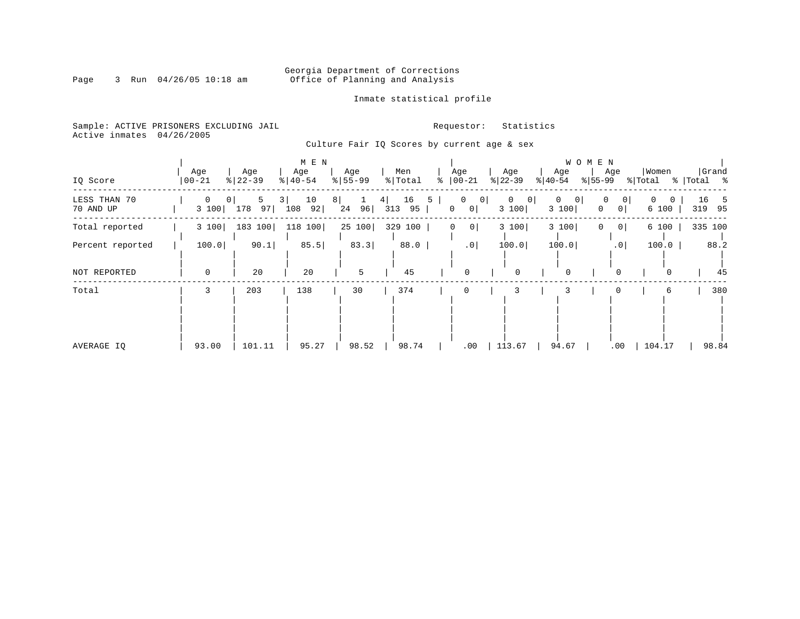# Georgia Department of Corrections<br>Page 3 Run 04/26/05 10:18 am 60ffice of Planning and Analysis Office of Planning and Analysis

Inmate statistical profile

Sample: ACTIVE PRISONERS EXCLUDING JAIL **Requestor:** Statistics Active inmates 04/26/2005

Culture Fair IQ Scores by current age & sex

| IQ Score                  | Age<br>$00 - 21$ |                              | Age<br>$8   22 - 39$ |         | Age<br>$\frac{1}{6}$   40-54 | M E N    |          | Age<br>$\frac{8}{5}$   55-99 |           | Men<br>% Total | ႜ |   | Age<br>$ 00-21$                                            | Age<br>$ 22-39 $ |                | Age<br>$ 40-54$              | W O M E N<br>$ 55-99 $ | Age                        | Women<br>% Total |                   | %   Total % | Grand         |
|---------------------------|------------------|------------------------------|----------------------|---------|------------------------------|----------|----------|------------------------------|-----------|----------------|---|---|------------------------------------------------------------|------------------|----------------|------------------------------|------------------------|----------------------------|------------------|-------------------|-------------|---------------|
| LESS THAN 70<br>70 AND UP |                  | $\mathbf{0}$<br>0 I<br>3 100 | 178                  | 5<br>97 | 3 I<br>108                   | 10<br>92 | 8 <br>24 | $\mathbf{1}$<br>96           | 4 <br>313 | 16<br>95       | 5 | 0 | $\overline{0}$<br>$\begin{array}{c c} 0 \end{array}$<br> 0 | $\circ$<br>3 100 | $\overline{0}$ | 0<br>$\overline{0}$<br>3 100 | $\Omega$               | 0<br> 0 <br>0 <sup>1</sup> | $\Omega$         | $\Omega$<br>6 100 | 16          | - 5<br>319 95 |
| Total reported            |                  | 3 100                        | 183 100              |         |                              | 118 100  |          | 25 100                       |           | 329 100        |   | 0 | 0                                                          | 3 100            |                | 3 100                        | 0                      | 0 <sup>1</sup>             |                  | 6 100             |             | 335 100       |
| Percent reported          |                  | 100.0                        |                      | 90.1    |                              | 85.5     |          | 83.3                         |           | 88.0           |   |   | .0                                                         | 100.0            |                | 100.0                        |                        | .0                         |                  | 100.0             |             | 88.2          |
| NOT REPORTED              |                  | $\mathbf 0$                  |                      | 20      |                              | 20       |          | 5                            |           | 45             |   |   | $\mathbf 0$                                                | 0                |                | 0                            |                        | $\Omega$                   |                  | $\Omega$          |             | 45            |
| Total                     |                  | 3                            | 203                  |         |                              | 138      |          | 30                           |           | 374            |   |   | 0                                                          |                  |                | 3                            |                        |                            |                  | 6                 |             | 380           |
| AVERAGE IQ                |                  | 93.00                        |                      | 101.11  |                              | 95.27    |          | 98.52                        |           | 98.74          |   |   | .00                                                        | 113.67           |                | 94.67                        |                        | .00                        | 104.17           |                   |             | 98.84         |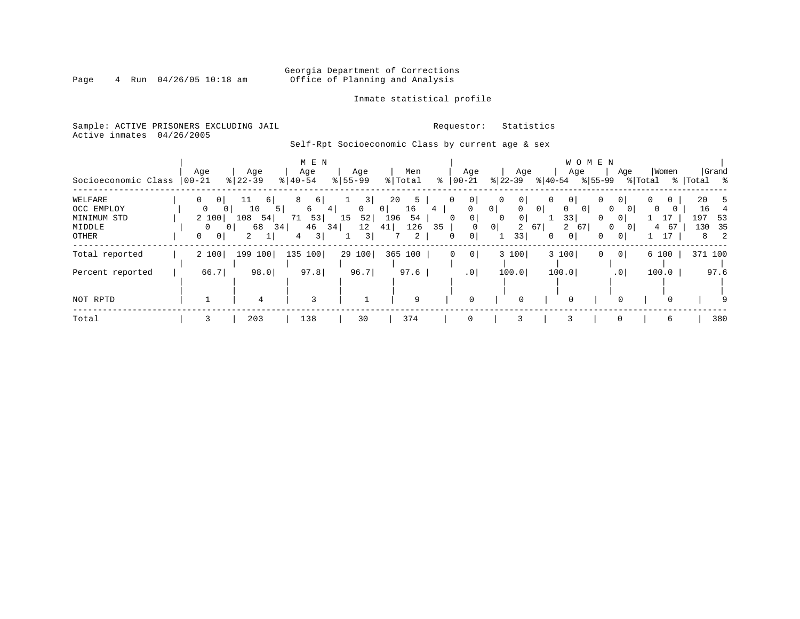# Georgia Department of Corrections<br>Page 4 Run 04/26/05 10:18 am 60ffice of Planning and Analysis Office of Planning and Analysis

### Inmate statistical profile

Sample: ACTIVE PRISONERS EXCLUDING JAIL **Requestor:** Statistics Active inmates 04/26/2005

# Self-Rpt Socioeconomic Class by current age & sex

| Socioeconomic Class            | Age<br>$ 00 - 21$                         | Age<br>$\frac{8}{22} - 39$  | M E N<br>Age<br>$\frac{1}{6}$   40-54 | Age<br>$8 55-99$    | Men<br>% Total                  | $00 - 21$<br>ႜ | Age                                         | Age<br>$ 22-39 $                                               | WOMEN<br>Age<br>$ 40-54 $               | Age<br>$ 55-99$                                                   | Women<br>% Total | Grand<br>%   Total %                                      |
|--------------------------------|-------------------------------------------|-----------------------------|---------------------------------------|---------------------|---------------------------------|----------------|---------------------------------------------|----------------------------------------------------------------|-----------------------------------------|-------------------------------------------------------------------|------------------|-----------------------------------------------------------|
| WELFARE<br>OCC EMPLOY          | $\Omega$<br>0 <sup>1</sup><br>$\mathbf 0$ | 11<br>6  <br>10<br>0        | 8<br>6 <br>6<br>4                     | 3<br>$\mathbf 0$    | 20<br>5<br>0 <sup>1</sup><br>16 | 4              | $\circ$<br>0<br>0 <sup>1</sup>              | 0 <sup>1</sup><br>0<br>0 <sup>1</sup><br>$\mathbf{0}$          | 0 <sup>1</sup><br>0<br>0 <sup>1</sup>   | 0<br>0<br>$\Omega$<br>0 <sup>1</sup>                              | 0                | 20<br>-5<br>16<br>4                                       |
| MINIMUM STD<br>MIDDLE<br>OTHER | 2 100<br>0<br>0 <sup>1</sup>              | $108$ 54<br>68<br>34  <br>2 | 53<br>71<br>46<br>34<br>3 <br>4       | 52<br>15<br>12<br>3 | 54<br>196<br>126<br>41<br>2     | 0<br>35<br>0   | $\overline{0}$<br>0 <sup>1</sup><br>$\circ$ | 0 <sup>1</sup><br>$\overline{0}$<br>$\overline{a}$<br>67<br>33 | 33 <br>2<br>67  <br>0 <sup>1</sup><br>0 | 0<br>$\overline{0}$<br>0<br>$\overline{0}$<br>0<br>0 <sup>1</sup> | 17<br>67<br>4    | 197<br>53<br>35<br>130<br>$\overline{\phantom{0}}^2$<br>8 |
| Total reported                 | 2 100                                     | 199 100                     | 135<br>100                            | 29 100              | 365 100                         | 0              | 0 <sup>1</sup>                              | 3 100                                                          | 3 100                                   | 0 <sup>1</sup><br>0                                               | 6 100            | 371 100                                                   |
| Percent reported               | 66.7                                      | 98.0                        | 97.8                                  | 96.7                | 97.6                            |                | .0 <sub>1</sub>                             | 100.0                                                          | 100.0                                   | .01                                                               | 100.0            | 97.6                                                      |
| NOT RPTD                       |                                           | 4                           | 3                                     |                     | 9                               |                | $\Omega$                                    | $\Omega$                                                       |                                         |                                                                   |                  |                                                           |
| Total                          | 3                                         | 203                         | 138                                   | 30                  | 374                             |                | $\mathbf 0$                                 |                                                                | 3                                       | $\mathbf 0$                                                       | 6                | 380                                                       |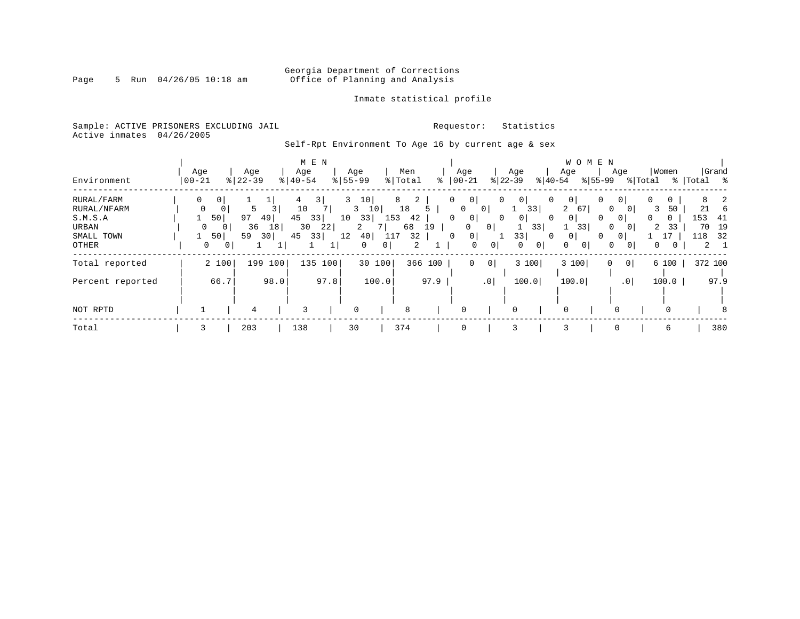# Georgia Department of Corrections<br>Page 5 Run 04/26/05 10:18 am 60ffice of Planning and Analysis Office of Planning and Analysis

### Inmate statistical profile

Sample: ACTIVE PRISONERS EXCLUDING JAIL **Requestor:** Statistics Active inmates 04/26/2005

Self-Rpt Environment To Age 16 by current age & sex

|                  |             |                |           |      |               | M E N |                        |        |                |         |      |                     |                 |           |                     |           |                | W O M E N   |                 |         |            |         |             |
|------------------|-------------|----------------|-----------|------|---------------|-------|------------------------|--------|----------------|---------|------|---------------------|-----------------|-----------|---------------------|-----------|----------------|-------------|-----------------|---------|------------|---------|-------------|
|                  | Age         |                | Age       |      | Age           |       | Age                    |        |                | Men     |      | Age                 |                 | Age       |                     | Age       |                |             | Age             |         | Women      |         | Grand       |
| Environment      | $00 - 21$   |                | $8 22-39$ |      | $8   40 - 54$ |       | $\frac{8}{55}$ 55 - 99 |        |                | % Total |      | $ 00 - 21$          |                 | $ 22-39 $ |                     | $ 40-54 $ |                | $ 55-99 $   |                 | % Total | <u>%  </u> | Total % |             |
| RURAL/FARM       | 0           | 0              |           |      | 4             | 3     | 3                      | 10     |                | 8<br>2  |      | $\mathbf{0}$<br>0   |                 | 0         | 0 <sup>1</sup>      | 0         | 0 <sup>1</sup> | 0           | 0 <sup>1</sup>  | 0       | 0          | 8       | 2           |
| RURAL/NFARM      | $\mathbf 0$ | $\mathbf 0$    |           | 3    | 10            |       | 3                      | 10     |                | 18      |      | 0                   | 0               |           | 33                  | 2         | 67             | $\mathbf 0$ | $\overline{0}$  |         | 50<br>3    | 21      | 6           |
| S.M.S.A          |             | 50             | 97        | 49   | 45            | 33    | 10                     | 33     | 153            | 42      |      | 0<br>0 <sup>1</sup> |                 | 0         | 0 <sup>1</sup>      | 0         | 0 <sup>1</sup> | $\Omega$    | $\overline{0}$  |         | 0          | 153     | -41         |
| URBAN            | 0           | $\mathbf{0}$   | 36        | 18   | 30            | 22    |                        | 2      |                | 68      | 19   | 0                   | 0 <sup>1</sup>  |           | 33                  |           | 33             | $\mathbf 0$ | $\overline{0}$  |         | 33<br>2    | 70      | 19          |
| SMALL TOWN       |             | 50             | 59        | 30   | 45            | 33    | 12                     | 40     | 117            | 32      |      | 0<br>0              |                 |           | 33                  | $\Omega$  | 0              | $\Omega$    | $\circ$         |         |            | 118     | 32          |
| OTHER            | 0           | 0 <sup>1</sup> |           |      |               |       |                        | 0      | 0 <sup>1</sup> | 2       |      | $\mathbf 0$         | 0 <sup>1</sup>  |           | 0 <sup>1</sup><br>0 | 0         | 0              | $\mathbf 0$ | $\overline{0}$  |         | 0          |         | $2 \quad 1$ |
| Total reported   |             | 2 100          | 199       | 100  | 135           | 100   |                        | 30 100 |                | 366     | 100  | $\mathbf 0$         | 0               |           | 3 100               |           | 3100           | 0           | $\overline{0}$  |         | 6 100      |         | 372 100     |
|                  |             |                |           |      |               |       |                        |        |                |         |      |                     |                 |           |                     |           |                |             |                 |         |            |         |             |
| Percent reported |             | 66.7           |           | 98.0 |               | 97.8  |                        | 100.0  |                |         | 97.9 |                     | .0 <sup>1</sup> |           | 100.0               |           | 100.0          |             | .0 <sub>1</sub> |         | 100.0      |         | 97.9        |
|                  |             |                |           |      |               |       |                        |        |                |         |      |                     |                 |           |                     |           |                |             |                 |         |            |         |             |
| NOT RPTD         |             |                | 4         |      | 3             |       | 0                      |        |                | 8       |      | 0                   |                 | 0         |                     |           |                |             |                 |         |            |         | 8           |
| Total            | 3           |                | 203       |      | 138           |       | 30                     |        |                | 374     |      | $\Omega$            |                 | 3         |                     | 3         |                |             | $\Omega$        |         | 6          |         | 380         |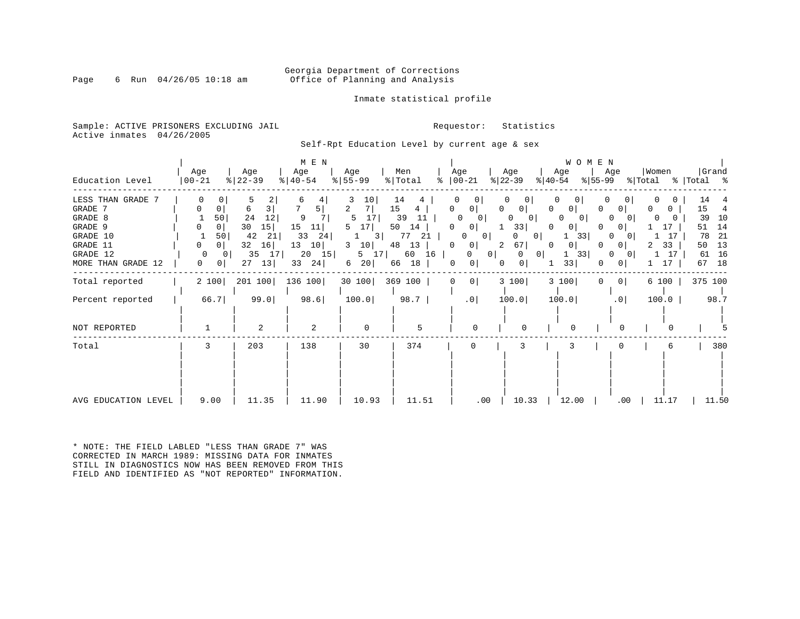### Georgia Department of Corrections<br>Page 6 Run 04/26/05 10:18 am 6 Office of Planning and Analysis Office of Planning and Analysis

### Inmate statistical profile

Sample: ACTIVE PRISONERS EXCLUDING JAIL **Requestor:** Statistics Active inmates 04/26/2005

Self-Rpt Education Level by current age & sex

| Education Level                                                                                              | Age<br>$ 00 - 21$                                                                   | Age<br>$ 22-39 $                                                                 | M E N<br>Age<br>$8   40 - 54$                                                                    | Age<br>$8 55-99$                                               | Men<br>% Total                                                                       | Age<br>$\frac{1}{6}$   00 - 21                                                                                                                   | Age<br>$ 22-39 $                                                                                                                                          | W O M E N<br>Age<br>$ 40-54 $<br>%∣55-99                                                              | Women<br>Age                                                                                                                                                       | Grand<br>% Total % Total %                                                             |
|--------------------------------------------------------------------------------------------------------------|-------------------------------------------------------------------------------------|----------------------------------------------------------------------------------|--------------------------------------------------------------------------------------------------|----------------------------------------------------------------|--------------------------------------------------------------------------------------|--------------------------------------------------------------------------------------------------------------------------------------------------|-----------------------------------------------------------------------------------------------------------------------------------------------------------|-------------------------------------------------------------------------------------------------------|--------------------------------------------------------------------------------------------------------------------------------------------------------------------|----------------------------------------------------------------------------------------|
| LESS THAN GRADE 7<br>GRADE 7<br>GRADE 8<br>GRADE 9<br>GRADE 10<br>GRADE 11<br>GRADE 12<br>MORE THAN GRADE 12 | 50<br>0 <sup>1</sup><br>50 <br>0<br>$\Omega$<br>$\mathbf{0}$<br>0<br>$\overline{0}$ | 3<br>6<br>24<br>12<br>30<br>15<br>42<br>21<br>16<br>32<br>35<br>17 <br>13 <br>27 | 6<br>5  <br>9<br>15<br>11<br>$33 \quad 24$<br>13<br>10 <sup>1</sup><br>$20 \quad 15$<br>33<br>24 | 10<br>2<br>17 <br>17<br>5<br>3 <br>10<br>3<br>5 17<br>20 <br>6 | 14<br>15<br>4<br>11<br>39<br>50<br>14<br>21<br>77<br>48<br>13<br>60 16  <br>66<br>18 | 0 <sup>1</sup><br>0<br>$\mathbf{0}$<br>$\Omega$<br> 0 <br>$\Omega$<br>0<br>$\circ$<br>0<br>0 <sup>1</sup><br>0 <sup>1</sup><br>0<br>0<br>$\circ$ | $\mathbf{0}$<br>0<br>$\Omega$<br>$\cup$<br>$\circ$<br>0<br>33<br>$\Omega$<br>0<br>0 <sup>1</sup><br>67<br>2<br>0<br>0 <sup>1</sup><br>$\Omega$<br>01<br>0 | 0 <sup>1</sup><br>0<br>$\Omega$<br>0 I<br><sup>o</sup><br>33<br>0 <sup>1</sup><br>33<br>$\perp$<br>33 | $\overline{0}$<br>0.<br>0<br>0<br>$\Omega$<br>$\Omega$<br>17<br>$\Omega$<br>-17<br>$\Omega$<br>33<br>$\circ$<br>2.<br>17<br>$\Omega$<br>$\overline{0}$<br>17<br>01 | 14<br>15<br>4<br>39<br>10<br>14<br>51<br>78<br>-21<br>50<br>13<br>16<br>61<br>18<br>67 |
| Total reported                                                                                               | 2 100                                                                               | 201 100                                                                          | 136 100                                                                                          | 30 100 369 100                                                 |                                                                                      | $0$  <br>$\overline{0}$                                                                                                                          | 3 100                                                                                                                                                     | 3 100<br>$\mathbf{0}$                                                                                 | $\circ$<br>6 100                                                                                                                                                   | 375 100                                                                                |
| Percent reported                                                                                             | 66.7                                                                                | 99.0                                                                             | 98.6                                                                                             | 100.0                                                          | $98.7$                                                                               | .0                                                                                                                                               | 100.0                                                                                                                                                     | 100.0                                                                                                 | .0<br>100.0                                                                                                                                                        | 98.7                                                                                   |
| NOT REPORTED                                                                                                 |                                                                                     | $\overline{a}$                                                                   | $\overline{a}$                                                                                   | $\mathbf 0$                                                    | 5                                                                                    | $\Omega$                                                                                                                                         |                                                                                                                                                           | $\Omega$                                                                                              |                                                                                                                                                                    |                                                                                        |
| Total                                                                                                        | 3                                                                                   | 203                                                                              | 138                                                                                              | 30                                                             | 374                                                                                  | $\Omega$                                                                                                                                         | 3                                                                                                                                                         |                                                                                                       |                                                                                                                                                                    | 380                                                                                    |
| AVG EDUCATION LEVEL                                                                                          | 9.00                                                                                | 11.35                                                                            | 11.90                                                                                            | 10.93                                                          | 11.51                                                                                | $.00 \,$                                                                                                                                         | 10.33                                                                                                                                                     | 12.00                                                                                                 | $.00 \,$<br>11.17                                                                                                                                                  | 11.50                                                                                  |

\* NOTE: THE FIELD LABLED "LESS THAN GRADE 7" WAS CORRECTED IN MARCH 1989: MISSING DATA FOR INMATES STILL IN DIAGNOSTICS NOW HAS BEEN REMOVED FROM THIS FIELD AND IDENTIFIED AS "NOT REPORTED" INFORMATION.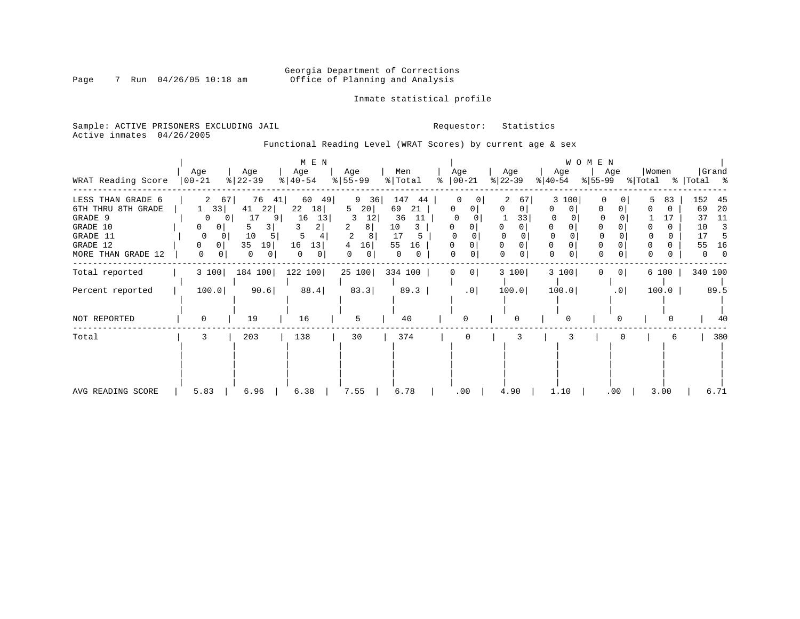# Georgia Department of Corrections<br>Page 7 Run 04/26/05 10:18 am 60ffice of Planning and Analysis Office of Planning and Analysis

Inmate statistical profile

Sample: ACTIVE PRISONERS EXCLUDING JAIL **Requestor:** Statistics Active inmates 04/26/2005

Functional Reading Level (WRAT Scores) by current age & sex

|                                                                                        |                                                                  |                                                                                                            | M E N                                                  |                                                               |                                                                     |           |                            |                                          |                                            | WOMEN          |                  |                                                                                           |
|----------------------------------------------------------------------------------------|------------------------------------------------------------------|------------------------------------------------------------------------------------------------------------|--------------------------------------------------------|---------------------------------------------------------------|---------------------------------------------------------------------|-----------|----------------------------|------------------------------------------|--------------------------------------------|----------------|------------------|-------------------------------------------------------------------------------------------|
| WRAT Reading Score                                                                     | Age<br>$ 00-21$                                                  | Age<br>$ 22-39 $                                                                                           | Age<br>$ 40-54 $                                       | Age<br>$ 55 - 99 $                                            | Men<br>% Total                                                      | $\approx$ | Age<br>$ 00-21 $           | Age<br>$ 22-39 $                         | Age<br>$ 40-54 $                           | Age<br>%∣55-99 | Women<br>% Total | Grand<br>%   Total %                                                                      |
| LESS THAN GRADE 6<br>6TH THRU 8TH GRADE<br>GRADE 9<br>GRADE 10<br>GRADE 11<br>GRADE 12 | 33<br>$\Omega$<br>0<br>$\mathbf{0}$<br>$\Omega$<br>$\Omega$<br>0 | 76<br>67<br>41<br>22<br>41<br>17<br>9<br>0 <sup>1</sup><br>$\overline{\mathsf{3}}$<br>5.<br>10<br>35<br>19 | 60<br>49<br>22<br>18<br>16<br>13<br>2<br>5<br>16<br>13 | 9 36<br>5<br>20 <br>12<br>3<br>8<br>$\overline{c}$<br>16<br>4 | 147<br>44<br>69<br>21<br>36<br>11<br>10<br>3<br>17<br>5<br>55<br>16 |           | 0                          | 2<br>67<br>0<br>33<br>$\Omega$<br>0<br>0 | 3 100<br>0<br>0<br>$\Omega$<br>$\mathbf 0$ | 0<br>0         | 83               | 152<br>45<br>20<br>69<br>11<br>37<br>10<br>$\overline{\mathbf{3}}$<br>5<br>17<br>16<br>55 |
| MORE THAN GRADE 12                                                                     | 0                                                                | 0<br>$\circ$                                                                                               | 0<br>0                                                 | 0                                                             | 0                                                                   |           |                            | 0                                        | $\mathbf 0$                                |                |                  | $\mathbf{0}$<br>$\Omega$                                                                  |
| Total reported                                                                         | 3 100                                                            | 184 100                                                                                                    | 122 100                                                |                                                               | 25 100 334 100                                                      |           | 0 <sup>1</sup><br>$\Omega$ | 3 100                                    | 3 100                                      | $\circ$<br>0   | 6 100            | 340 100                                                                                   |
| Percent reported                                                                       | 100.0                                                            | 90.6                                                                                                       | 88.4                                                   | 83.3                                                          | 89.3                                                                |           | .0                         | 100.0                                    | 100.0                                      | .0             | 100.0            | 89.5                                                                                      |
| NOT REPORTED                                                                           |                                                                  | 19                                                                                                         | 16                                                     | 5                                                             | 40                                                                  |           | $\Omega$                   | 0                                        | 0                                          |                |                  | 40                                                                                        |
| Total                                                                                  | 3                                                                | 203                                                                                                        | 138                                                    | 30                                                            | 374                                                                 |           |                            |                                          | 3                                          |                | 6                | 380                                                                                       |
| AVG READING SCORE                                                                      | 5.83                                                             | 6.96                                                                                                       | 6.38                                                   | 7.55                                                          | 6.78                                                                |           | .00                        | 4.90                                     | 1.10                                       | .00            | 3.00             | 6.71                                                                                      |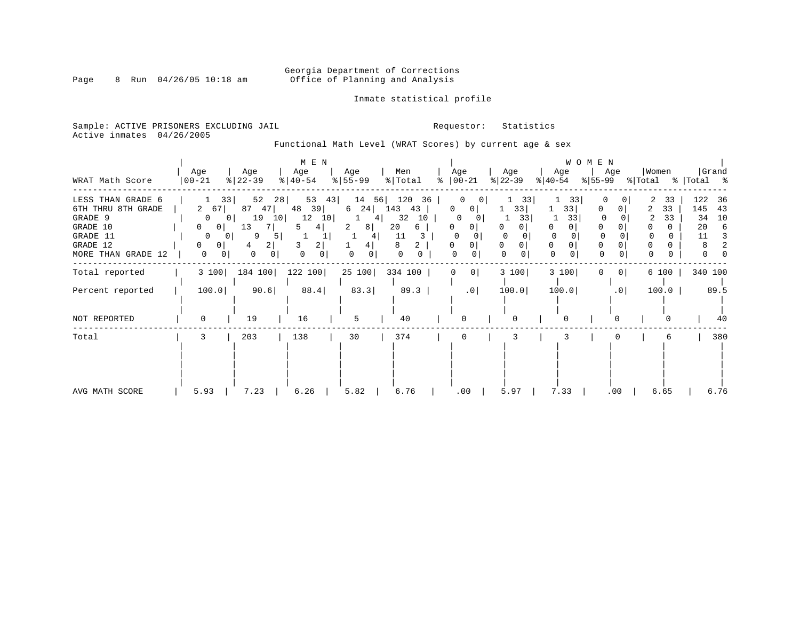# Georgia Department of Corrections<br>Page 8 Run 04/26/05 10:18 am 60ffice of Planning and Analysis Office of Planning and Analysis

### Inmate statistical profile

Sample: ACTIVE PRISONERS EXCLUDING JAIL **Requestor:** Statistics Active inmates 04/26/2005

Functional Math Level (WRAT Scores) by current age & sex

| WRAT Math Score                                                                                              | Age<br>$ 00-21 $                                                                                            | Age<br>$ 22-39 $                                                                                                            | M E N<br>Age<br>$ 40-54 $                                              | Age<br>$ 55 - 99 $                                 | Men<br>% Total                                                | Age<br>$\frac{1}{6}$   00-21                                                                   | Age<br>$ 22-39 $     | Age<br>$ 40-54 $                                                        | WOMEN<br>Age<br>%∣55-99                       | Women<br>% Total % Total % | Grand                                                          |
|--------------------------------------------------------------------------------------------------------------|-------------------------------------------------------------------------------------------------------------|-----------------------------------------------------------------------------------------------------------------------------|------------------------------------------------------------------------|----------------------------------------------------|---------------------------------------------------------------|------------------------------------------------------------------------------------------------|----------------------|-------------------------------------------------------------------------|-----------------------------------------------|----------------------------|----------------------------------------------------------------|
| LESS THAN GRADE 6<br>6TH THRU 8TH GRADE<br>GRADE 9<br>GRADE 10<br>GRADE 11<br>GRADE 12<br>MORE THAN GRADE 12 | 33<br>2 67<br>0<br>0 <sup>1</sup><br>$\Omega$<br>$\mathbf{0}$<br>0<br>0 <sup>1</sup><br>0<br>$\overline{0}$ | 52<br>28<br>87<br>47<br>10 <sup>1</sup><br>19<br>0<br>13<br>-7 I<br>9<br>5<br>0 <sup>1</sup><br>2 <br>4<br>$\mathbf 0$<br>0 | $53 \quad 43$<br>39<br>48<br>12<br>10<br>4  <br>5<br>3<br>2 <br>0<br>0 | 14<br>56<br>$6 \quad 24$<br>4<br>2<br>8<br>41<br>4 | 120<br>36<br>143<br>43<br>32<br>10<br>20<br>6<br>11<br>8<br>0 | 0<br>0<br>0<br>$\mathbf{0}$<br>$\Omega$<br>0<br>01<br>0<br>$\Omega$<br>$\Omega$<br>0<br>0<br>0 | 33<br>33 <br>33<br>0 | 33<br>33 <br>33<br>0<br>$\Omega$<br>$\Omega$<br>$\Omega$<br>$\mathbf 0$ | 0<br>0<br>$\Omega$<br>0                       | 33<br>33<br>33             | 122<br>-36<br>145<br>43<br>34<br>10<br>20<br>6<br>11<br>3<br>0 |
| Total reported<br>Percent reported                                                                           | 3 100<br>100.0                                                                                              | 184 100<br>90.6                                                                                                             | 122 100<br>88.4                                                        | 25 100<br>83.3                                     | 334 100  <br>89.3                                             | 0 <br>0<br>.0                                                                                  | 3 100<br>100.0       | 3 100<br>100.0                                                          | 0 <sup>1</sup><br>$\Omega$<br>.0 <sub>1</sub> | 6 100<br>100.0             | 340 100<br>89.5                                                |
| NOT REPORTED                                                                                                 | $\Omega$                                                                                                    | 19                                                                                                                          | 16                                                                     | 5                                                  | 40                                                            | $\Omega$                                                                                       |                      | $\Omega$                                                                | $\Omega$                                      |                            | 40                                                             |
| Total                                                                                                        | 3                                                                                                           | 203                                                                                                                         | 138                                                                    | 30                                                 | 374                                                           | 0                                                                                              | 3                    | 3                                                                       |                                               | 6                          | 380                                                            |
| AVG MATH SCORE                                                                                               | 5.93                                                                                                        | 7.23                                                                                                                        | 6.26                                                                   | 5.82                                               | 6.76                                                          | .00                                                                                            | 5.97                 | 7.33                                                                    | $.00 \,$                                      | 6.65                       | 6.76                                                           |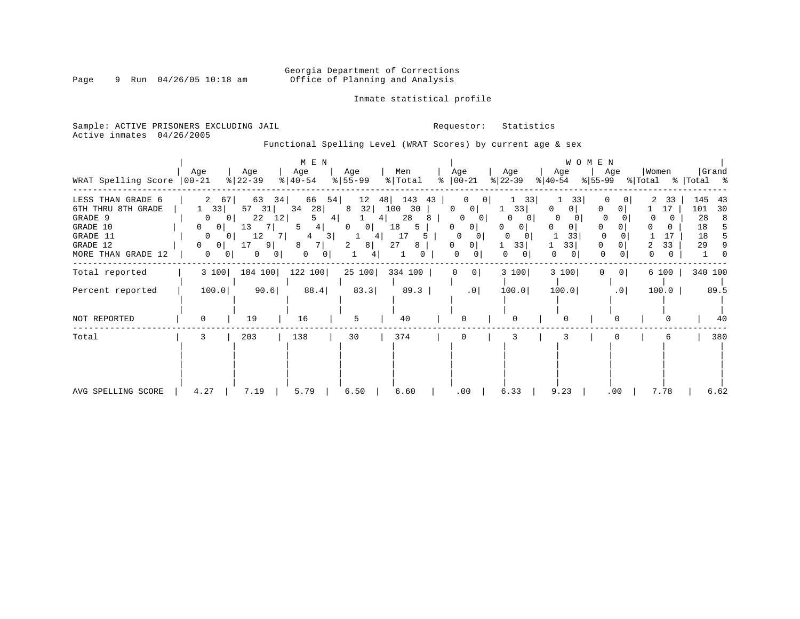# Georgia Department of Corrections<br>Page 9 Run 04/26/05 10:18 am 60ffice of Planning and Analysis Office of Planning and Analysis

### Inmate statistical profile

Sample: ACTIVE PRISONERS EXCLUDING JAIL **Requestor:** Statistics Active inmates 04/26/2005

Functional Spelling Level (WRAT Scores) by current age & sex

| WRAT Spelling Score                                                                                          | Age<br>$ 00-21 $                                                                                                            | Age<br>$ 22-39 $                                                                                                      | M E N<br>Age<br>$ 40-54 $                                                   | Age<br>$8 55-99$                                                                            | Men<br>% Total                                                      | Age<br>$\frac{1}{6}$   00-21                                       | Age<br>$ 22-39 $                                                               | Age<br>$ 40-54 $                   | WOMEN<br>Age<br>$ 55-99$           | Women<br>% Total    | Grand<br>%   Total %                                     |
|--------------------------------------------------------------------------------------------------------------|-----------------------------------------------------------------------------------------------------------------------------|-----------------------------------------------------------------------------------------------------------------------|-----------------------------------------------------------------------------|---------------------------------------------------------------------------------------------|---------------------------------------------------------------------|--------------------------------------------------------------------|--------------------------------------------------------------------------------|------------------------------------|------------------------------------|---------------------|----------------------------------------------------------|
| LESS THAN GRADE 6<br>6TH THRU 8TH GRADE<br>GRADE 9<br>GRADE 10<br>GRADE 11<br>GRADE 12<br>MORE THAN GRADE 12 | 67<br>33<br>0 <sup>1</sup><br>0<br>0<br>0 <sup>1</sup><br>$\overline{0}$<br>0 I<br>0<br>0 <sup>1</sup><br>$\mathbf{0}$<br>Ü | 63<br>34  <br>57<br>31  <br>22<br>12 <br>13<br><sup>7</sup><br>12<br>71<br>17<br>91<br>$\mathbf{0}$<br>0 <sup>1</sup> | 66<br>54  <br>28<br>34<br>4 <br>4<br>5<br>3 <br>4<br>8<br>0<br>$\mathbf{0}$ | 48<br>12<br>32 <br>8<br>4  <br>$\overline{0}$<br>0 <sup>1</sup><br>4<br>8 <sup>1</sup><br>2 | 143<br>43<br>100<br>30<br>28<br>୪<br>18<br>5<br>17<br>5.<br>27<br>8 | 0<br>$\mathbf{0}$<br>0<br>0<br>0<br>$\Omega$<br>0<br>0<br>$\Omega$ | 33<br>33<br>O<br>0<br><sup>0</sup><br>0<br>$\Omega$<br>33<br>0<br>$\mathbf{0}$ | 33<br>0<br>0<br>0<br>33<br>33<br>0 | <sup>0</sup><br>0<br>$\Omega$<br>0 | 33<br>17<br>2<br>33 | 145<br>43<br>101<br>30<br>28<br>8<br>18<br>18<br>29<br>9 |
| Total reported                                                                                               | 3 100                                                                                                                       | 184 100                                                                                                               | 122 100                                                                     | 25 100                                                                                      | 334 100                                                             | $\mathbf 0$<br>0 <sup>1</sup>                                      | 3 100                                                                          | 3 100                              | 0 <br>0                            | 6 100               | 340 100                                                  |
| Percent reported                                                                                             | 100.0                                                                                                                       | 90.6                                                                                                                  | 88.4                                                                        | 83.3                                                                                        | 89.3                                                                | .0                                                                 | 100.0                                                                          | 100.0                              | .0                                 | 100.0               | 89.5                                                     |
| NOT REPORTED                                                                                                 | $\Omega$                                                                                                                    | 19                                                                                                                    | 16                                                                          | 5                                                                                           | 40                                                                  | U                                                                  |                                                                                |                                    |                                    |                     | 40                                                       |
| Total                                                                                                        | 3                                                                                                                           | 203                                                                                                                   | 138                                                                         | 30                                                                                          | 374                                                                 | 0                                                                  |                                                                                |                                    |                                    | 6                   | 380                                                      |
| AVG SPELLING SCORE                                                                                           | 4.27                                                                                                                        | 7.19                                                                                                                  | 5.79                                                                        | 6.50                                                                                        | 6.60                                                                | .00                                                                | 6.33                                                                           | 9.23                               | .00                                | 7.78                | 6.62                                                     |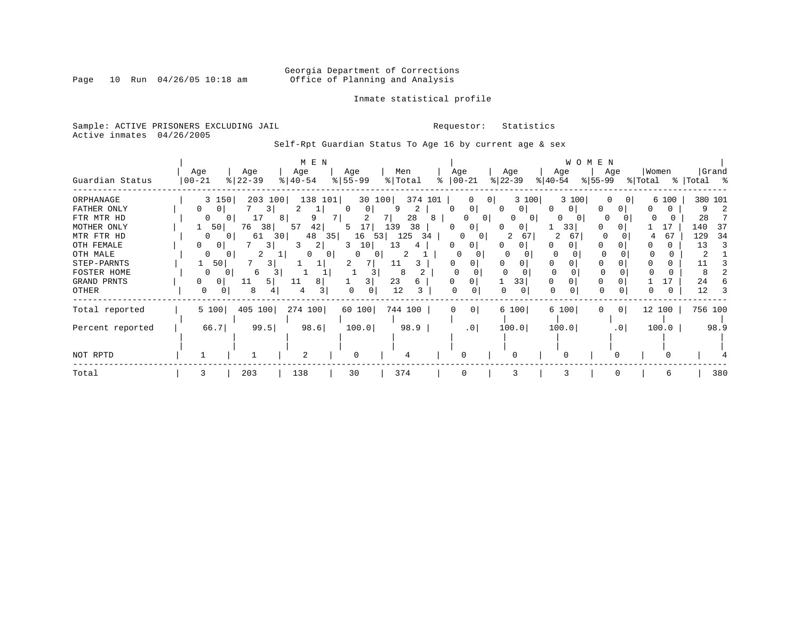# Georgia Department of Corrections<br>Page 10 Run 04/26/05 10:18 am 60ffice of Planning and Analysis Office of Planning and Analysis

### Inmate statistical profile

Sample: ACTIVE PRISONERS EXCLUDING JAIL **Requestor:** Statistics Active inmates 04/26/2005

Self-Rpt Guardian Status To Age 16 by current age & sex

|                    |            |           | M E N         |               |           |                     |                    | WOMEN                        |                          |           |
|--------------------|------------|-----------|---------------|---------------|-----------|---------------------|--------------------|------------------------------|--------------------------|-----------|
| Guardian Status    | Age        | Age       | Age           | Age           | Men<br>°≈ | Age                 | Age<br>$ 22 - 39 $ | Age                          | Women<br>Age<br>- န ၂    | Grand     |
|                    | $ 00 - 21$ | $ 22-39 $ | $8   40 - 54$ | $8 55-99$     | % Total   | $ 00-21 $           |                    | $ 55-99 $<br>$ 40-54 $       | % Total                  | Total %   |
| ORPHANAGE          | 3 150      | 203 100   | 138 101       | 30 100        | 374 101   | 0<br>0              | 3 100              | 3 100                        | 6 100<br>0               | 380 101   |
| FATHER ONLY        | 0<br>0     | 3.        | Τ.            | 0             | 2<br>9    | 0<br>$\Omega$       | $\Omega$           | U<br>$\Omega$<br>O           |                          | 9         |
| FTR MTR HD         | O<br>0     | 17        | 8<br>9        | 2             | 28<br>8   | $\Omega$            | O<br>$\Omega$      | 0                            |                          | 28        |
| MOTHER ONLY        | 50         | 38<br>76  | 57<br>42      | 17<br>5.      | 139<br>38 | 0<br>O              | $\mathbf{0}$<br>0  | 33<br>$\left( \right)$       | 17                       | 140<br>37 |
| MTR FTR HD         | 0          | 61<br>30  | 48<br>35      | 16<br>53      | 125<br>34 | 01                  | 67                 | 2<br>67                      | 67<br>4                  | 129<br>34 |
| OTH FEMALE         | 0.<br>0    |           | 2             | 10            | 13        | 0<br>0              | 0                  |                              |                          | 13<br>-3  |
| OTH MALE           |            |           | $\Omega$      | 0<br>$\Omega$ |           | 0                   |                    | <sup>o</sup><br><sup>o</sup> |                          |           |
| STEP-PARNTS        | 50         | 3         |               |               |           |                     |                    |                              |                          |           |
| <b>FOSTER HOME</b> |            | 6         |               |               |           |                     |                    | $\Omega$                     |                          |           |
| GRAND PRNTS        | 0<br>0     | 5<br>11   | 8<br>11       |               | 23        |                     | 33                 |                              |                          | 24        |
| OTHER              | 0<br>0     | 8         | 4             | 0             | 12        | U                   | 0<br>$\Omega$      | $\Omega$                     | 0                        | 12        |
| Total reported     | 5 100      | 405 100   | 274 100       | 60 100        | 744 100   | 0 <sup>1</sup><br>0 | 6 100              | 6 100<br>0                   | 12 100<br>0 <sup>1</sup> | 756 100   |
|                    |            |           |               |               |           |                     |                    |                              |                          |           |
| Percent reported   | 66.7       | 99.5      | 98.6          | 100.0         | 98.9      | .0 <sub>1</sub>     | 100.0              | 100.0                        | 100.0<br>.0 <sub>1</sub> | 98.9      |
|                    |            |           |               |               |           |                     |                    |                              |                          |           |
|                    |            |           |               |               |           |                     |                    |                              |                          |           |
| NOT RPTD           |            |           | 2             | $\Omega$      |           | U                   |                    |                              |                          |           |
| Total              | 3          | 203       | 138           | 30            | 374       | $\Omega$            | 3                  | 3                            | 6                        | 380       |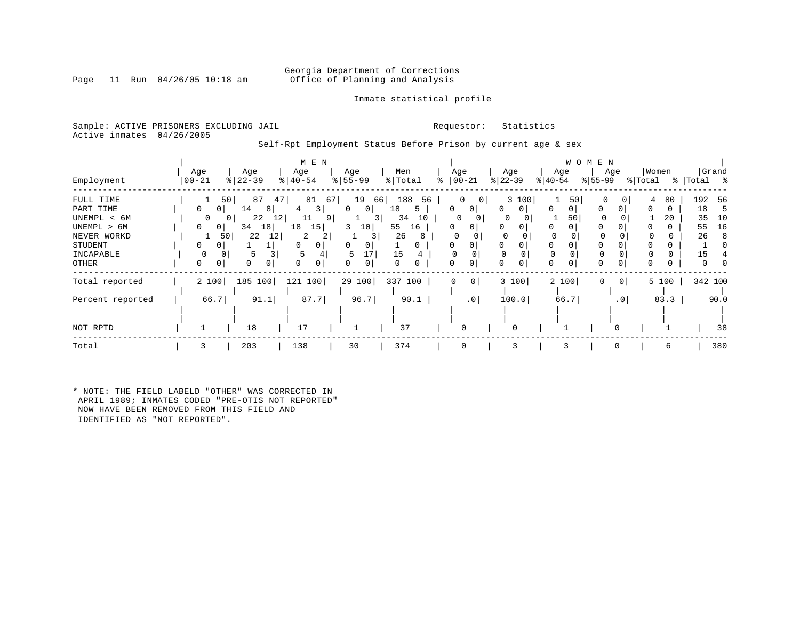### Georgia Department of Corrections<br>Page 11 Run 04/26/05 10:18 am 6ffice of Planning and Analysis Office of Planning and Analysis

### Inmate statistical profile

Sample: ACTIVE PRISONERS EXCLUDING JAIL **Requestor:** Statistics Active inmates 04/26/2005

Self-Rpt Employment Status Before Prison by current age & sex

|                  |                   |                 | M E N                        |                       |                     |                     |                          |                     | W O M E N           |         |                |
|------------------|-------------------|-----------------|------------------------------|-----------------------|---------------------|---------------------|--------------------------|---------------------|---------------------|---------|----------------|
|                  | Age               | Age<br>$ 22-39$ | Age<br>$\frac{1}{6}$   40-54 | Age                   | Men<br>% Total<br>° | Age                 | Age                      | Age                 | Age<br>$ 55-99 $    | Women   | Grand          |
| Employment       | $ 00 - 21$        |                 |                              | $\frac{8}{5}$ 55 - 99 |                     | $ 00-21 $           | $ 22-39 $                | $ 40-54 $           |                     | % Total | %   Total<br>ႜ |
| FULL TIME        |                   | 50<br>87<br>47. | 81                           | 67<br>19<br>66        | 188<br>56           | 0<br> 0             | 3 100                    | 50                  | 0                   | 80<br>4 | 192<br>-56     |
| PART TIME        | $\mathbf{0}$<br>0 | 14<br>8         | 3                            | 0 <sup>1</sup><br>0   | 18<br>5             | 0<br>0              | $\mathbf{0}$<br>$\Omega$ | 0<br>0 <sup>1</sup> | $\Omega$<br>0       | 0       | 18<br>.b       |
| UNEMPL < 6M      | 0                 | 22<br>12        | 11<br>91                     | 3                     | 34<br>10            | 0                   | O                        | 50                  |                     | 20      | 35<br>10       |
| UNEMPL > 6M      | 0<br>01           | 18<br>34        | 18<br>15                     | 3<br>10               | 55<br>16            | 0                   | 0                        | 0                   | O                   |         | 16<br>55       |
| NEVER WORKD      |                   | 22<br>12<br>50  | 2<br>2                       | 3 I                   | 26<br>-8            | $\Omega$            |                          | $\Omega$            |                     |         | 26<br>-8       |
| STUDENT          | $\Omega$<br>0     |                 | 0                            | 0<br>0                | 0                   | 0                   | 0                        | 0<br>0              | $\Omega$            |         |                |
| INCAPABLE        |                   | 5               |                              | 17<br>5               | 15                  |                     |                          |                     |                     |         | 15             |
| OTHER            | 0<br>0            | 0               | 0                            | 0<br>0                | 0<br>0              | 0                   | 0<br>0                   | 0                   | 0                   |         |                |
| Total reported   | 2 100             | 100<br>185      | 100<br>121                   | 29 100                | 337 100             | 0 <sup>1</sup><br>0 | 3 100                    | 2 100               | 0<br>0 <sup>1</sup> | 5 100   | 342 100        |
| Percent reported | 66.7              | 91.1            | 87.7                         | 96.7                  | 90.1                | .0                  | 100.0                    | 66.7                | $\cdot$ 0           | 83.3    | 90.0           |
|                  |                   |                 |                              |                       |                     |                     |                          |                     |                     |         |                |
| NOT RPTD         |                   | 18              | 17                           |                       | 37                  | 0                   | 0                        |                     |                     |         | 38             |
| Total            |                   | 203             | 138                          | 30                    | 374                 | $\Omega$            |                          |                     | O                   | 6       | 380            |

\* NOTE: THE FIELD LABELD "OTHER" WAS CORRECTED IN APRIL 1989; INMATES CODED "PRE-OTIS NOT REPORTED" NOW HAVE BEEN REMOVED FROM THIS FIELD AND IDENTIFIED AS "NOT REPORTED".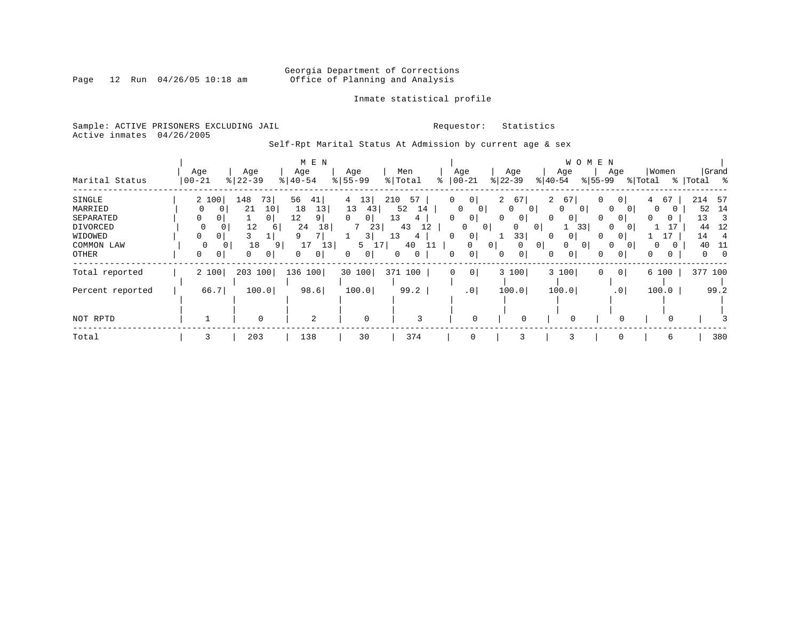# Georgia Department of Corrections<br>Page 12 Run 04/26/05 10:18 am 60ffice of Planning and Analysis Office of Planning and Analysis

### Inmate statistical profile

Sample: ACTIVE PRISONERS EXCLUDING JAIL **Requestor:** Statistics Active inmates 04/26/2005

Self-Rpt Marital Status At Admission by current age & sex

|                  |                 |                | M E N                |               |           |                    |                      |                            | W O M E N            |                      |                 |
|------------------|-----------------|----------------|----------------------|---------------|-----------|--------------------|----------------------|----------------------------|----------------------|----------------------|-----------------|
|                  | Age             | Age            | Age                  | Age           | Men       | Age                | Age                  | Age                        | Age                  | Women                | Grand           |
| Marital Status   | $ 00 - 21$<br>% | $ 22 - 39$     | $8   40 - 54$        | $8 55-99$     | % Total   | $ 00-21$<br>⊱      | $ 22-39 $            | $ 40-54 $                  | $ 55-99 $            | % Total<br>%         | Total %         |
| SINGLE           | 2 100           | 73<br>148      | 56<br>41             | 13<br>4       | 57<br>210 | 0<br>0             | $\overline{a}$<br>67 | $\overline{a}$<br>67       | 0 <sup>1</sup><br>0  | 67<br>$\overline{4}$ | 214<br>- 57     |
| MARRIED          | 0               | 10<br>21       | 13<br>18             | 13<br>43      | 52<br>14  | 0                  | 0<br>0               | 0<br>$\Omega$<br>0         | $\Omega$             | 0                    | 14<br>52        |
| SEPARATED        | 0<br>0          | 0 <sup>1</sup> | 12<br>9 <sub>1</sub> | $\Omega$<br>0 | 13<br>4   | $\Omega$<br>0      | 0<br>$\mathbf{0}$    | 0<br>0                     | 0<br>0               | 0<br>0               | 13<br>3         |
| DIVORCED         | 0               | 12<br>6        | 24<br>18             | 23            | 43<br>12  | 0                  | 0<br>$\mathbf{0}$    | 33 <br>0                   | $\Omega$             |                      | 12<br>44        |
| WIDOWED          | 0               |                | 7<br>q               | 3             | 13<br>4   | 0                  | 33                   | 0                          | $\Omega$             |                      | 14              |
| COMMON LAW       |                 | 18<br>9        | 17<br>13             | 5             | 40        | $\Omega$           | 0 <sup>1</sup><br>0  | $\overline{0}$<br>$\Omega$ | $\Omega$<br>$\Omega$ | $\Omega$             | 40<br>11        |
| OTHER            | 0<br>0          | 0<br>0         | $\overline{0}$       | 0<br>0        | 0<br>0    | 0                  | 0<br>$\mathbf{0}$    | 0<br>0                     | 0<br>0               | 0<br>0               | $\Omega$<br>- 0 |
| Total reported   | 2 100           | 203 100        | 136 100              | 30 100        | 371 100   | 0 <br>$\mathbf{0}$ | 3 100                | 3 100                      | 0<br>0 <sup>1</sup>  | 6 100                | 377 100         |
| Percent reported | 66.7            | 100.0          | 98.6                 | 100.0         | 99.2      | $\cdot$ 0          | 100.0                | 100.0                      | .0 <sup>1</sup>      | 100.0                | 99.2            |
|                  |                 |                |                      |               |           |                    |                      |                            |                      |                      |                 |
| NOT RPTD         |                 | $\Omega$       | 2                    | $\mathbf 0$   | 3         | $\Omega$           | 0                    |                            | $\Omega$             |                      |                 |
| Total            | 3               | 203            | 138                  | 30            | 374       | 0                  | 3                    |                            |                      | 6                    | 380             |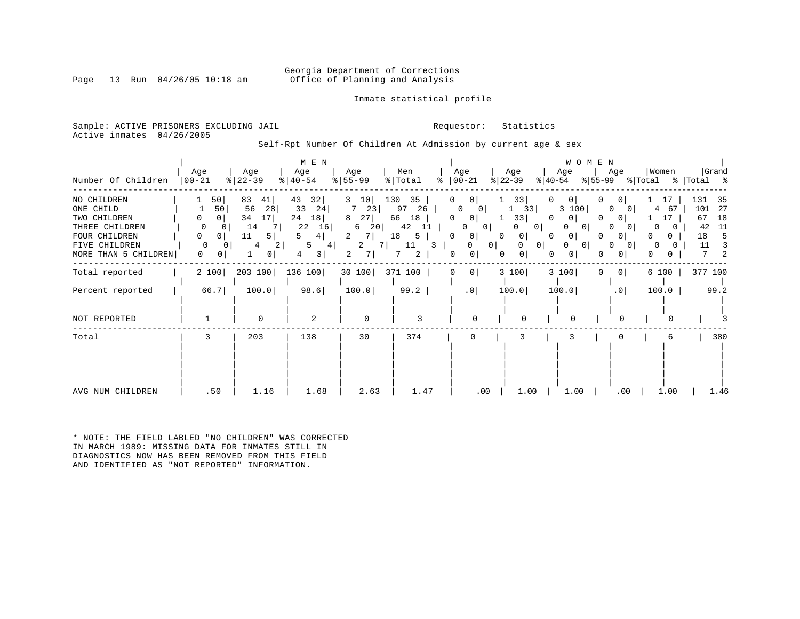### Georgia Department of Corrections<br>Page 13 Run 04/26/05 10:18 am Office of Planning and Analysis Office of Planning and Analysis

Inmate statistical profile

Sample: ACTIVE PRISONERS EXCLUDING JAIL **Requestor:** Statistics Active inmates 04/26/2005

Self-Rpt Number Of Children At Admission by current age & sex

| Number Of Children                                                                                                   | Age<br>$00 - 21$                                                              | Age<br>$8   22 - 39$                                                                 | M E N<br>Age<br>$8   40 - 54$                                             | Age<br>$8 55-99$                                                      | Men<br>% Total<br>៖                                                      | Age<br>$ 00-21$                                                                                                                                         | Age<br>$ 22-39 $<br>$ 40-54 $                                                                                  | WOMEN<br>Age<br>$ 55-99 $                                                                  | Women<br>Age<br>% Total                                                                                              | Grand<br>% Total %                                                           |
|----------------------------------------------------------------------------------------------------------------------|-------------------------------------------------------------------------------|--------------------------------------------------------------------------------------|---------------------------------------------------------------------------|-----------------------------------------------------------------------|--------------------------------------------------------------------------|---------------------------------------------------------------------------------------------------------------------------------------------------------|----------------------------------------------------------------------------------------------------------------|--------------------------------------------------------------------------------------------|----------------------------------------------------------------------------------------------------------------------|------------------------------------------------------------------------------|
| NO CHILDREN<br>ONE CHILD<br>TWO CHILDREN<br>THREE CHILDREN<br>FOUR CHILDREN<br>FIVE CHILDREN<br>MORE THAN 5 CHILDREN | 50 <br>50<br>0  <br>0<br>$\Omega$<br>0<br>0<br>$\Omega$<br>0<br>$\Omega$<br>0 | 83<br>41 <br>56<br>28<br>34<br>17 <br>14<br>7<br>11<br>5<br>4<br>$\overline{2}$<br>0 | 43<br>32 <br>33<br>24<br>18<br>24<br>22<br>16<br>4  <br>5<br>4<br>3 <br>4 | 10<br>3<br>723<br>27<br>8<br>20 <br>6<br>2<br>7<br>2<br>7 I<br>7<br>2 | 130<br>35<br>26<br>97<br>66<br>18<br>42<br>11<br>18<br>5<br>11<br>3<br>2 | 0 <sup>1</sup><br>0<br>0<br>0 <sup>1</sup><br><sup>0</sup><br>0 <sup>1</sup><br>0<br>$\mathbf{0}$<br>$\circ$<br>0<br>0<br>0 <sup>1</sup><br>0<br>0<br>0 | 33 <br>0<br>33<br>33<br>0<br>0 <sup>1</sup><br>0<br>0<br>$\Omega$<br>0<br>0 <sup>1</sup><br>0<br>0<br>$\Omega$ | $\overline{0}$<br>3 100<br>0<br>0<br>$\overline{0}$<br>0<br>0<br>$\circ$<br>0 <sup>1</sup> | 0<br>17<br>0<br>4<br>67<br>$\Omega$<br>17<br>01<br>$\Omega$<br>$\Omega$<br>0<br>0<br>0<br>0<br>0<br>0<br>0<br>0<br>0 | 131<br>-35<br>101<br>-27<br>67<br>18<br>42<br>-11<br>18<br>5<br>11<br>3<br>2 |
| Total reported                                                                                                       | 2 100                                                                         | 203 100                                                                              | 136 100                                                                   | 30 100                                                                | 371 100                                                                  | $\circ$<br>0                                                                                                                                            | 3 100                                                                                                          | 3 100<br>$\Omega$                                                                          | 0 <sup>1</sup><br>6 100                                                                                              | 377 100                                                                      |
| Percent reported                                                                                                     | 66.7                                                                          | 100.0                                                                                | 98.6                                                                      | 100.0                                                                 | 99.2                                                                     | $.0$                                                                                                                                                    | 100.0                                                                                                          | 100.0                                                                                      | .0 <sub>1</sub><br>100.0                                                                                             | 99.2                                                                         |
| NOT REPORTED                                                                                                         |                                                                               | $\mathbf 0$                                                                          | $\overline{2}$                                                            | $\mathbf 0$                                                           | 3                                                                        | $\Omega$                                                                                                                                                | $\Omega$                                                                                                       | $\Omega$                                                                                   | ∩                                                                                                                    |                                                                              |
| Total                                                                                                                | 3                                                                             | 203                                                                                  | 138                                                                       | 30                                                                    | 374                                                                      | $\Omega$                                                                                                                                                | 3                                                                                                              | 3                                                                                          | 6                                                                                                                    | 380                                                                          |
| AVG NUM CHILDREN                                                                                                     | .50                                                                           | 1.16                                                                                 | 1.68                                                                      | 2.63                                                                  | 1.47                                                                     | .00                                                                                                                                                     | 1.00                                                                                                           | 1.00                                                                                       | .00<br>1.00                                                                                                          | 1.46                                                                         |

\* NOTE: THE FIELD LABLED "NO CHILDREN" WAS CORRECTED IN MARCH 1989: MISSING DATA FOR INMATES STILL IN DIAGNOSTICS NOW HAS BEEN REMOVED FROM THIS FIELD AND IDENTIFIED AS "NOT REPORTED" INFORMATION.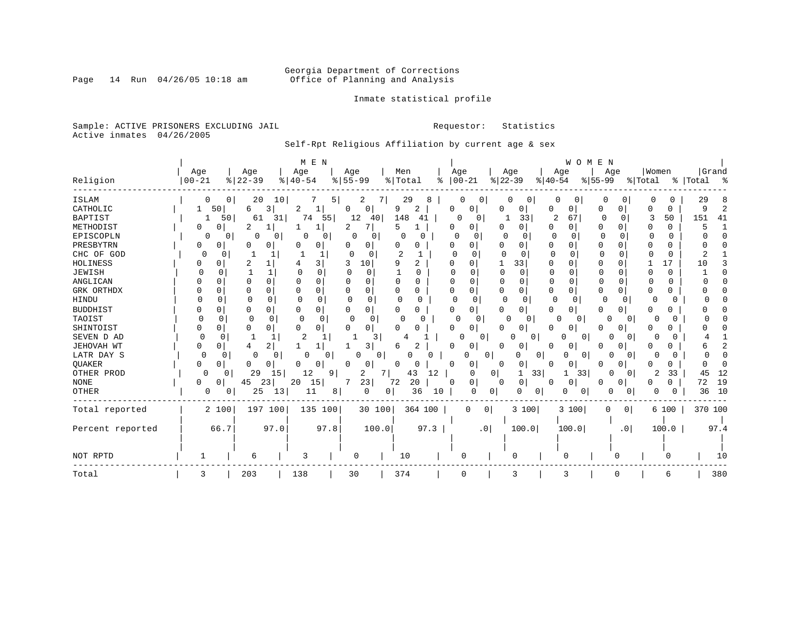# Georgia Department of Corrections<br>Page 14 Run 04/26/05 10:18 am 60ffice of Planning and Analysis Office of Planning and Analysis

Inmate statistical profile

Sample: ACTIVE PRISONERS EXCLUDING JAIL **Requestor:** Statistics Active inmates 04/26/2005

Self-Rpt Religious Affiliation by current age & sex

|                  |               |                            | M E N                    |                      |                            |                   |                          | WOMEN             |                     |                          |                |
|------------------|---------------|----------------------------|--------------------------|----------------------|----------------------------|-------------------|--------------------------|-------------------|---------------------|--------------------------|----------------|
|                  | Age           | Age                        | Age                      | Age                  | Men                        | Age               | Age                      | Age               | Age                 | Women                    | Grand          |
| Religion         | $00 - 21$     | $8   22 - 39$              | $8   40 - 54$            | $8155 - 99$          | %   Total                  | $ 00-21$<br>ႜ     | $ 22-39$                 | $8 40-54$         | $8155 - 99$         | % Total                  | %   Total<br>း |
| ISLAM            |               | 20<br>$\overline{0}$<br>10 |                          | 5 <br>2              | 29<br>8                    |                   | 0<br>0                   | 0                 |                     | 0                        | 29             |
| CATHOLIC         | 50 <br>1      | 6<br>3                     | 2<br>1                   | 0<br>0               | 9<br>2                     | 0<br>0            | 0                        | 0<br>0            | 0<br>0              | 0<br>O                   | 9              |
| <b>BAPTIST</b>   | 50            | 61<br>31                   | 74<br>55                 | 12<br>40             | 148<br>41                  | 0<br>0            | 33                       | 2<br>67           | 0<br>0              | 3<br>50                  | 151<br>41      |
| METHODIST        | 0<br>O        | 2<br>1                     | 1                        | 7<br>2               | 5                          | 0<br>0            | 0<br>O                   | 0<br>0            | O<br><sup>n</sup>   | 0<br>O                   |                |
| EPISCOPLN        | O             | 0<br>0<br>0                | 0<br>0                   | 0<br>0               | $\Omega$                   | $\Omega$<br>0     | 0                        | $\mathbf 0$<br>U  | $\Omega$<br>O       | $\Omega$                 |                |
| PRESBYTRN        | 0<br>0        | 0<br>0                     | 0<br>0                   | 0                    | 0                          | 0                 | 0                        | 0<br>O            | U                   | 0                        |                |
| CHC OF GOD       | 0<br>0        |                            |                          | $\Omega$<br>$\Omega$ | 2                          | 0<br>n            | U<br><sup>0</sup>        | $\Omega$          | U                   | $\Omega$<br><sup>0</sup> |                |
| HOLINESS         | ∩             | 2<br>1                     | 3                        | 10                   | 9<br>2                     | <sup>0</sup><br>O | 33<br>1                  | 0<br>n            | $\Omega$<br>O       | 17                       | 10             |
| JEWISH           | $\cap$        |                            | $\Omega$                 | U<br>ſ               | U                          | U                 | $\cap$<br>$\Omega$       | <sup>0</sup><br>U | n                   | 0                        |                |
| ANGLICAN         |               | U<br>$\Omega$              | 0<br>U                   | $\Omega$             | 0<br>U                     | U<br>U            | $\cap$                   | U                 | O                   | 0                        |                |
| GRK ORTHDX       |               | 0<br>0                     | 0<br>$\Omega$            | $\Omega$<br>O        | 0<br>0                     | 0<br>0            | 0<br>0                   | 0<br>0            | $\Omega$            | 0                        |                |
| HINDU            | U             | 0<br><sup>0</sup>          | 0                        | $\Omega$<br>0        | n<br><sup>0</sup>          | $\Omega$<br>0     | 0<br>$\Omega$            | 0<br>0            | 0<br>O              | U<br>O                   |                |
| <b>BUDDHIST</b>  |               | O<br>0                     | 0<br>0                   | 0                    | 0<br>0                     | 0<br>0            | 0<br>0                   | 0<br>0            | 0<br>0              | 0<br>0                   |                |
| TAOIST           |               | 0                          | $\Omega$<br><sup>0</sup> | $\Omega$<br>$\Omega$ | $\Omega$                   | $\Omega$<br>0     | <sup>0</sup><br>0        | <sup>0</sup><br>0 | <sup>0</sup><br>O   | 0                        |                |
| SHINTOIST        | 0             | 0<br>O                     | $\Omega$<br>0            | $\Omega$<br>O        | O<br>U                     | 0<br>$\Omega$     | $\Omega$<br>O            | 0<br>0            | O<br>0              | O<br>O.                  |                |
| SEVEN D AD       | $\Omega$<br>U | $\mathbf{1}$               |                          | 3                    |                            |                   | $\Omega$<br>0<br>n       | $\Omega$          |                     | U                        |                |
| JEHOVAH WT       | U             | 2<br>4                     |                          | 3                    | 2<br>6                     | 0<br>0            | O<br>0                   | U<br>0            | n                   |                          |                |
| LATR DAY S       | 0             | 0                          | $\Omega$<br>0            | O                    | 0<br>O                     |                   | 0<br>0<br>O              | 0                 |                     |                          |                |
| QUAKER           | O<br>0        | O<br>0                     | 0<br>0                   | <sup>0</sup><br>0    | 0<br>0                     | $\Omega$<br>0     | 0<br>0                   | 0<br>0            | n<br>0              | 0                        |                |
| OTHER PROD       | 0<br>0        | 29<br>15                   | 12                       | 2<br>9               | 7 <sup>1</sup><br>43<br>12 | 0                 | 0 <sup>1</sup><br>33     | 33<br>1           | O                   | 2<br>33                  | 45<br>12       |
| <b>NONE</b>      | 0<br>0        | 23<br>45                   | 20<br>15                 | 23                   | 20<br>72                   | 0<br>0            | 0<br>0                   | 0<br>0            | 0<br>0              | 0                        | 72<br>19       |
| OTHER            | 0             | 25<br>13<br>0              | 11                       | 0<br>8               | 36<br>10<br>0              | $\Omega$          | 0<br>0<br>0              | 0<br>0            | 0<br>0              | 0                        | 36<br>10       |
| Total reported   | 2 100         | 197 100                    | 135 100                  | 30 100               | 364 100                    | 0                 | 3 100<br>$\circ$         | 3 100             | 0 <sup>1</sup><br>0 | 6 100                    | 370 100        |
|                  |               |                            |                          |                      |                            |                   |                          |                   |                     |                          |                |
| Percent reported | 66.7          | 97.0                       | 97.8                     | 100.0                | 97.3                       |                   | 100.0<br>.0 <sub>1</sub> | 100.0             | .0                  | 100.0                    | 97.4           |
|                  |               |                            |                          |                      |                            |                   |                          |                   |                     |                          |                |
|                  |               |                            |                          |                      |                            |                   |                          |                   |                     |                          |                |
| NOT RPTD         |               | 6                          | 3                        | 0                    | 10                         | 0                 | 0                        |                   | 0                   |                          | 10             |
| Total            | 3             | 203                        | 138                      | 30                   | 374                        | $\Omega$          | 3                        | 3                 | 0                   | 6                        | 380            |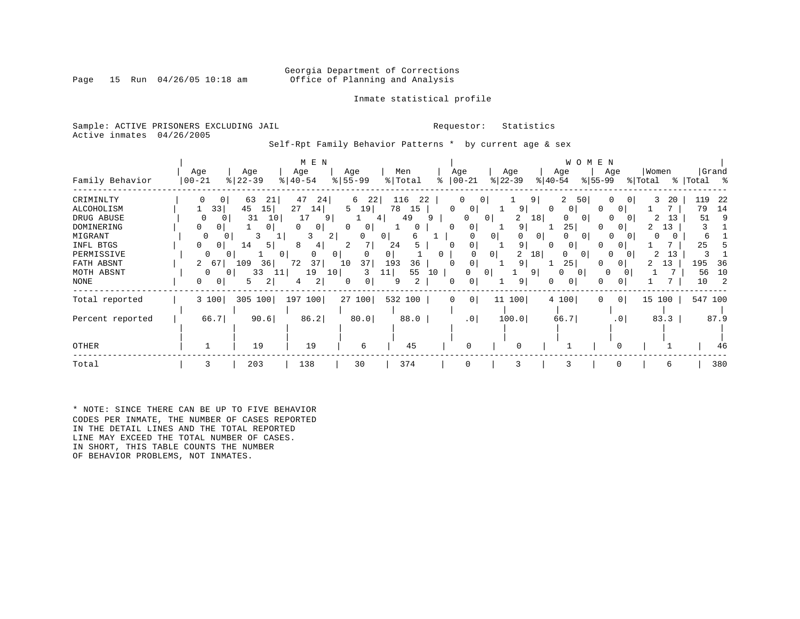### Georgia Department of Corrections<br>Page 15 Run 04/26/05 10:18 am Office of Planning and Analysis Office of Planning and Analysis

### Inmate statistical profile

Sample: ACTIVE PRISONERS EXCLUDING JAIL **Requestor:** Statistics Active inmates 04/26/2005

Self-Rpt Family Behavior Patterns \* by current age & sex

|                  |                      |                 | M E N                        |                  |                |          |                   |                     |                 | W O M E N      |                 |                  |                      |  |  |  |  |
|------------------|----------------------|-----------------|------------------------------|------------------|----------------|----------|-------------------|---------------------|-----------------|----------------|-----------------|------------------|----------------------|--|--|--|--|
| Family Behavior  | Age<br>$00 - 21$     | Age<br>$ 22-39$ | Age<br>$\frac{1}{6}$   40-54 | Age<br>$8 55-99$ | Men<br>% Total | ⊱        | Age<br>$ 00 - 21$ | Age<br>$ 22-39 $    | $ 40-54 $       | Age            | Age<br>$ 55-99$ | Women<br>% Total | Grand<br>%   Total % |  |  |  |  |
| CRIMINLTY        | 0<br>0               | 63<br>21        | 47<br>24                     | 22<br>6          | 116<br>22      |          | 0<br>0            |                     | 9               | 2<br>50        | 0               | 3<br>20          | 119<br>-22           |  |  |  |  |
| ALCOHOLISM       | 33                   | 45<br>15        | 27<br>14                     | 5<br>19          | 78<br>15       | $\Omega$ | 0                 | 9                   | 0               | 0              | 0<br>0          |                  | 79<br>14             |  |  |  |  |
| DRUG ABUSE       | $\Omega$<br>$\Omega$ | 31<br>10        | 17<br>9                      |                  | 49<br>4        | 9        | $\Omega$          | 2<br>0 <sup>1</sup> | 18              | 0<br>$\Omega$  | $\Omega$        | 13<br>2          | 51<br>9              |  |  |  |  |
| DOMINERING       | $\overline{0}$       | 0               | $\Omega$<br>0                | $\Omega$<br>0    | $\Omega$       | $\Omega$ | 0                 | 9                   |                 | 25             | 0<br>0          | 13               |                      |  |  |  |  |
| MIGRANT          | 0                    | 3               | 2<br>3                       | U                | 6<br>0         |          | 0                 | 0                   | 0 <sup>1</sup>  | $\Omega$       | $\Omega$        | 0                | 6                    |  |  |  |  |
| INFL BTGS        | 0 <sup>1</sup>       | 14<br>5         | 8<br>4                       |                  | 24             | $\Omega$ |                   | 9                   |                 | 0 <sub>1</sub> | O               |                  | 25                   |  |  |  |  |
| PERMISSIVE       | O                    | $\mathbf{0}$    | 0 <sup>1</sup>               | 0                |                | 0        |                   | 2<br>0              | 18 <sup>1</sup> | $\Omega$<br>0  |                 | 2<br>13          |                      |  |  |  |  |
| FATH ABSNT       | $\overline{2}$<br>67 | 109<br>36       | 72<br>37                     | 37<br>10         | 193<br>36      | $\Omega$ | 0                 | 9                   |                 | 25             | 0<br>0          | 13               | 195<br>36            |  |  |  |  |
| MOTH ABSNT       | $\Omega$<br>$\Omega$ | 33<br>11        | 19<br>10 <sub>1</sub>        | 3                | 55<br>11       | 10       | 0                 | 0                   | 9               | $\Omega$       | 0               |                  | 56<br>10             |  |  |  |  |
| NONE             | 0<br>0 <sup>1</sup>  | 2<br>5          | 2<br>4                       | 0<br>0           | 2<br>9         | 0        | 0                 | 9                   | 0               | 0              | 0<br>0          |                  | 10<br>2              |  |  |  |  |
| Total reported   | 3 100                | 305<br>100      | 197 100                      | 27 100           | 532 100        | 0        | 0                 | 11 100              |                 | 4 100          | $\circ$<br>0    | 15 100           | 547 100              |  |  |  |  |
| Percent reported | 66.7                 | 90.6            | 86.2                         | 80.0             | 88.0           |          | .0 <sub>1</sub>   | 100.0               |                 | 66.7           | .0 <sub>1</sub> | 83.3             | 87.9                 |  |  |  |  |
| OTHER            |                      | 19              | 19                           | 6                | 45             |          | $\Omega$          | $\Omega$            |                 |                | n               |                  | 46                   |  |  |  |  |
| Total            | 3                    | 203             | 138                          | 30               | 374            |          | 0                 | 3                   |                 | 3              | 0               | 6                | 380                  |  |  |  |  |

\* NOTE: SINCE THERE CAN BE UP TO FIVE BEHAVIOR CODES PER INMATE, THE NUMBER OF CASES REPORTED IN THE DETAIL LINES AND THE TOTAL REPORTED LINE MAY EXCEED THE TOTAL NUMBER OF CASES. IN SHORT, THIS TABLE COUNTS THE NUMBER OF BEHAVIOR PROBLEMS, NOT INMATES.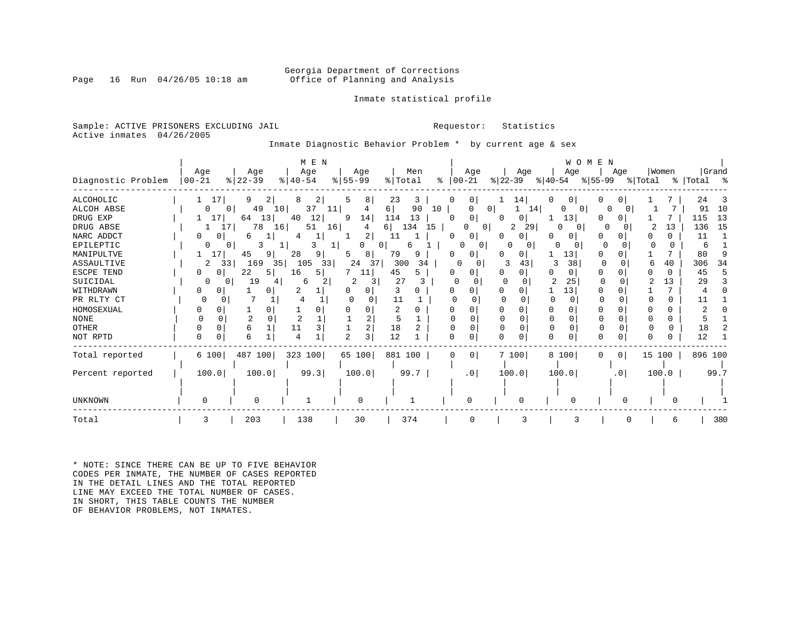### Georgia Department of Corrections<br>Page 16 Run 04/26/05 10:18 am Office of Planning and Analysis Office of Planning and Analysis

### Inmate statistical profile

Sample: ACTIVE PRISONERS EXCLUDING JAIL **Requestor:** Statistics Active inmates 04/26/2005

Inmate Diagnostic Behavior Problem \* by current age & sex

|                    |           |                      | M E N         |                |           | WOMEN<br>Age  |                     |           |               |                     |              |             |
|--------------------|-----------|----------------------|---------------|----------------|-----------|---------------|---------------------|-----------|---------------|---------------------|--------------|-------------|
|                    | Age       | Age                  | Age           | Age            | Men       |               |                     | Age       | Age           | Age                 | Women        | Grand       |
| Diagnostic Problem | $00 - 21$ | $ 22-39$             | $8   40 - 54$ | $ 55 - 99 $    | % Total   | $\frac{8}{6}$ | $ 00-21 $           | $ 22-39 $ | $ 40-54 $     | ୫ 55–99             | % Total      | %   Total % |
| <b>ALCOHOLIC</b>   | 17        | 9.<br>2 <sub>1</sub> | 2             | 5<br>8         | 23<br>3   | 0             | $\overline{0}$      | 14        |               |                     |              | 24<br>-3    |
| ALCOH ABSE         | $\Omega$  | 49<br>10<br>$\Omega$ | 37<br>11      | 4              | 90<br>6   | 10            | $\overline{0}$<br>0 | 14        | 0<br>$\Omega$ | O                   |              | 10<br>91    |
| DRUG EXP           | 17        | 13<br>64             | 12<br>40      | 9<br>14        | 13<br>114 | n             | 0                   | 0         | 13            |                     |              | 13<br>115   |
| DRUG ABSE          | 17.1      | 78<br>16             | 51<br>16      | 4              | 134<br>6  | 15            | 01                  | 29<br>2   | 0<br>0        |                     | 13           | 15<br>136   |
| NARC ADDCT         | O<br>01   | 6                    | T.            | $\overline{2}$ | 11        |               | 0                   | $\Omega$  |               | U                   | 0            | 11          |
| EPILEPTIC          |           |                      |               |                | 0<br>h    |               | <sup>0</sup>        |           |               | <sup>0</sup>        | <sup>0</sup> | 6           |
| MANIPULTVE         | 17        | 45<br>9              | 28<br>9       | 8              | 79<br>9   |               |                     | 0         | 13            |                     |              | 80          |
| ASSAULTIVE         | 33<br>2   | 169<br>35            | 105<br>33     | 37<br>24       | 300<br>34 |               |                     | 43        | 38            |                     | 40           | 306<br>34   |
| ESCPE TEND         | 0         | 22<br>5              | 16<br>5.      | 11             | 45<br>5   |               |                     | 0         | 0             |                     |              | 45          |
| SUICIDAL           |           | 19                   | 6             |                | 27        |               |                     |           | 25            |                     | 13           | 29          |
| WITHDRAWN          |           |                      |               | O              |           |               |                     |           | 13            |                     |              |             |
| PR RLTY CT         | U         |                      |               |                | 11        |               |                     |           |               |                     | 0            |             |
| HOMOSEXUAL         |           |                      |               |                | 2         |               |                     |           |               |                     |              |             |
| <b>NONE</b>        |           |                      |               |                | 5         |               |                     |           |               |                     | 0            |             |
| <b>OTHER</b>       |           | б                    |               |                | 18        |               |                     |           | $\Omega$      |                     | 0            | 18          |
| NOT RPTD           | $\Omega$  | б                    |               | 3              | 12        |               | O                   | U         |               |                     |              | 12          |
| Total reported     | 6 100     | 487 100              | 323 100       | 65 100         | 881 100   | $\Omega$      | 0 <sup>1</sup>      | 7 100     | 8 100         | 0 <sup>1</sup><br>0 | 15 100       | 896 100     |
| Percent reported   | 100.0     | 100.0                | 99.3          | 100.0          | 99.7      |               | .0 <sub>1</sub>     | 100.0     | 100.0         | .0 <sub>1</sub>     | 100.0        | 99.7        |
|                    |           |                      |               |                |           |               |                     |           |               |                     |              |             |
| UNKNOWN            |           |                      |               | $\cap$         |           |               |                     |           |               |                     |              |             |
| Total              | 3         | 203                  | 138           | 30             | 374       |               |                     |           |               |                     | 6            | 380         |

\* NOTE: SINCE THERE CAN BE UP TO FIVE BEHAVIOR CODES PER INMATE, THE NUMBER OF CASES REPORTED IN THE DETAIL LINES AND THE TOTAL REPORTED LINE MAY EXCEED THE TOTAL NUMBER OF CASES. IN SHORT, THIS TABLE COUNTS THE NUMBER OF BEHAVIOR PROBLEMS, NOT INMATES.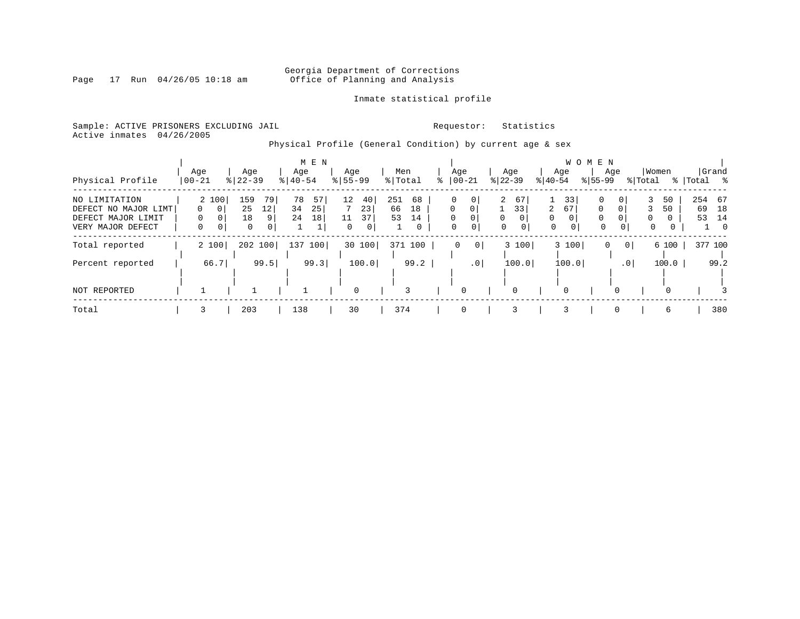# Georgia Department of Corrections<br>Page 17 Run 04/26/05 10:18 am 60ffice of Planning and Analysis Office of Planning and Analysis

### Inmate statistical profile

Sample: ACTIVE PRISONERS EXCLUDING JAIL **Requestor:** Statistics Active inmates 04/26/2005

Physical Profile (General Condition) by current age & sex

|                      |       |                  | M E N       |               |           |                      |                      |                        | W O M E N            |               |                   |
|----------------------|-------|------------------|-------------|---------------|-----------|----------------------|----------------------|------------------------|----------------------|---------------|-------------------|
|                      | Age   | Age              | Age         | Age           | Men       | Age                  | Age                  | Age                    | Age                  | Women         | Grand             |
| Physical Profile     | 00-21 | $8   22 - 39$    | $8140 - 54$ | $8155 - 99$   | % Total   | $ 00-21$             | $ 22-39 $            | $ 40-54 $              | $8155 - 99$          | % Total       | %   Total<br>ႜ ⊱ွ |
| NO LIMITATION        | 2 100 | 159<br>79        | 78<br>57    | $12 \,$<br>40 | 251<br>68 | $\mathbf 0$          | $\overline{2}$<br>67 | 33                     | 0<br>0               | 3<br>50       | 254 67            |
| DEFECT NO MAJOR LIMT | - 0 I | 25<br>12         | 34<br>25    | 23            | 66<br>18  | $\Omega$<br>$\Omega$ | 33                   | $\overline{2}$<br>67   | $\Omega$<br>$\Omega$ | 50            | 69<br>18          |
| DEFECT MAJOR LIMIT   |       | 18<br>9          | 24<br>18    | 37<br>11      | 53<br>14  | $\Omega$<br>$\Omega$ | 0<br>$\Omega$        | $\Omega$               | $\Omega$<br>0        | $\Omega$<br>0 | 53<br>14          |
| VERY MAJOR DEFECT    | 0     | $\mathbf 0$<br>0 |             | 0             | 0         | 0<br>0               | 0<br>0               | $\mathbf 0$<br>$\circ$ | $\mathbf 0$<br>0     | 0             | $\overline{0}$    |
| Total reported       | 2 100 | 202 100          | 137<br>100  | 30<br>100     | 371 100   | 0 <br>$\mathbf{0}$   | 3 100                | 3 100                  | 0                    | 6 100         | 377 100           |
| Percent reported     | 66.7  | 99.5             | 99.3        | 100.0         | 99.2      | .0 <sub>1</sub>      | 100.0                | 100.0                  | .0 <sub>1</sub>      | 100.0         | 99.2              |
|                      |       |                  |             |               |           |                      |                      |                        |                      |               |                   |
| NOT REPORTED         |       |                  |             | 0             | 3         | 0                    | 0                    | 0                      | 0                    | $\Omega$      |                   |
| Total                |       | 203              | 138         | 30            | 374       | $\Omega$             | 3                    | 3                      | $\Omega$             | 6             | 380               |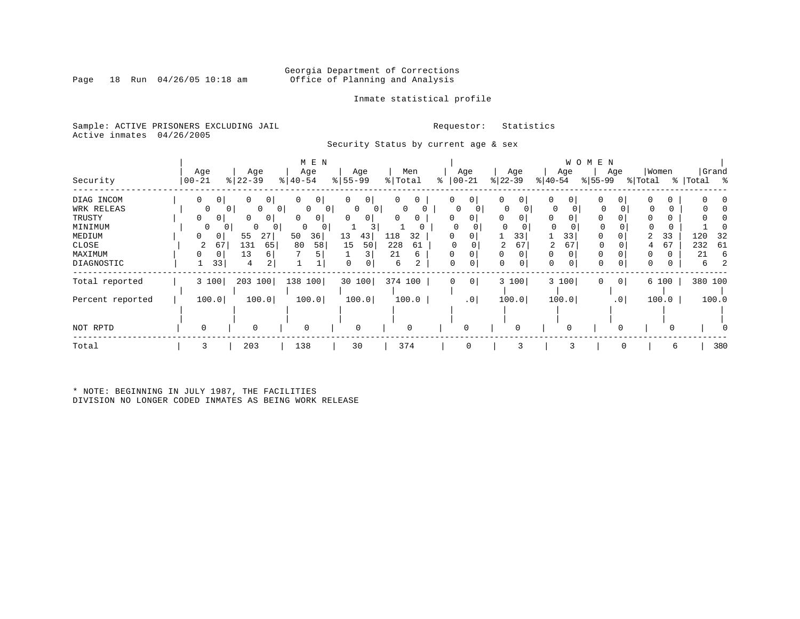### Georgia Department of Corrections<br>Page 18 Run 04/26/05 10:18 am 6ffice of Planning and Analysis Office of Planning and Analysis

### Inmate statistical profile

Sample: ACTIVE PRISONERS EXCLUDING JAIL **Requestor:** Statistics Active inmates 04/26/2005

Security Status by current age & sex

|                  |                                |                          | M E N               |                     |           |                         |               |                     | W O M E N       |              |            |  |  |  |  |  |  |  |
|------------------|--------------------------------|--------------------------|---------------------|---------------------|-----------|-------------------------|---------------|---------------------|-----------------|--------------|------------|--|--|--|--|--|--|--|
|                  | Age                            | Age                      | Age                 | Age                 | Men       | Age                     | Age           | Age                 | Age             | Women        | Grand      |  |  |  |  |  |  |  |
| Security         | $ 00 - 21$                     | $ 22-39 $                | $ 40-54 $           | $8 55-99$           | % Total   | $ 00-21$<br>⊱           | $ 22-39 $     | $ 40-54 $           | $ 55-99 $       | % Total<br>ိ | Total<br>ႜ |  |  |  |  |  |  |  |
| DIAG INCOM       | $\mathbf{0}$<br>0 <sup>1</sup> | 0<br>$\mathbf{0}$        | 0<br>0 <sup>1</sup> | 0<br>0              | 0<br>0    | $\circ$<br>0            | 0<br>0        | 0<br>0 <sup>1</sup> | 0<br>0          |              |            |  |  |  |  |  |  |  |
| WRK RELEAS       | 0                              | 0<br>$\overline{0}$<br>0 | $\circ$<br>0        | 0<br>0 <sup>1</sup> | $\Omega$  | 0                       | $\Omega$      | 0                   | 0               | 0            |            |  |  |  |  |  |  |  |
| TRUSTY           | $\Omega$<br>0                  | 0<br>$\mathbf{0}$        | $\Omega$<br>$\circ$ | 0<br>0              | 0         |                         | 0<br>0        | 0                   |                 |              |            |  |  |  |  |  |  |  |
| MINIMUM          | 0                              | $\mathbf{0}$<br>0<br>0   | 0<br>0              |                     |           |                         |               | 0                   | 0               |              |            |  |  |  |  |  |  |  |
| MEDIUM           | 0                              | 55<br>27                 | 36<br>50            | 13<br>43            | 118<br>32 |                         | 33            | 33                  | 0               | 33           | 120<br>-32 |  |  |  |  |  |  |  |
| CLOSE            | 67<br>2                        | 131<br>65                | 80<br>58            | 15<br>50            | 228<br>61 |                         | 67<br>2       | 67<br>2             | 0               | 67           | 232<br>61  |  |  |  |  |  |  |  |
| MAXIMUM          | 0<br>0                         | 13<br>6                  |                     |                     | 21<br>6   |                         | $\Omega$<br>0 | $\Omega$            |                 |              | 21<br>6    |  |  |  |  |  |  |  |
| DIAGNOSTIC       | 33                             | 2<br>4                   |                     | 0                   | 2<br>6    | $\mathbf 0$<br>$\Omega$ | 0             | 0                   | $\Omega$<br>0   | 0<br>0       | 6          |  |  |  |  |  |  |  |
| Total reported   | 3 100                          | 203 100                  | 138 100             | 30 100              | 374 100   | 0 <br>0                 | 3 100         | 3 100               | 0 <br>0         | 6 100        | 380 100    |  |  |  |  |  |  |  |
| Percent reported | 100.0                          | 100.0                    | 100.0               | 100.0               | 100.0     | $\cdot$ 0               | 100.0         | 100.0               | .0 <sub>1</sub> | 100.0        | 100.0      |  |  |  |  |  |  |  |
|                  |                                |                          |                     |                     |           |                         |               |                     |                 |              |            |  |  |  |  |  |  |  |
| NOT RPTD         | $\Omega$                       | $\mathbf 0$              | 0                   | $\mathbf 0$         | 0         |                         |               |                     |                 |              |            |  |  |  |  |  |  |  |
| Total            | 3                              | 203                      | 138                 | 30                  | 374       | 0                       | 3             |                     | $\Omega$        | 6            | 380        |  |  |  |  |  |  |  |

\* NOTE: BEGINNING IN JULY 1987, THE FACILITIES DIVISION NO LONGER CODED INMATES AS BEING WORK RELEASE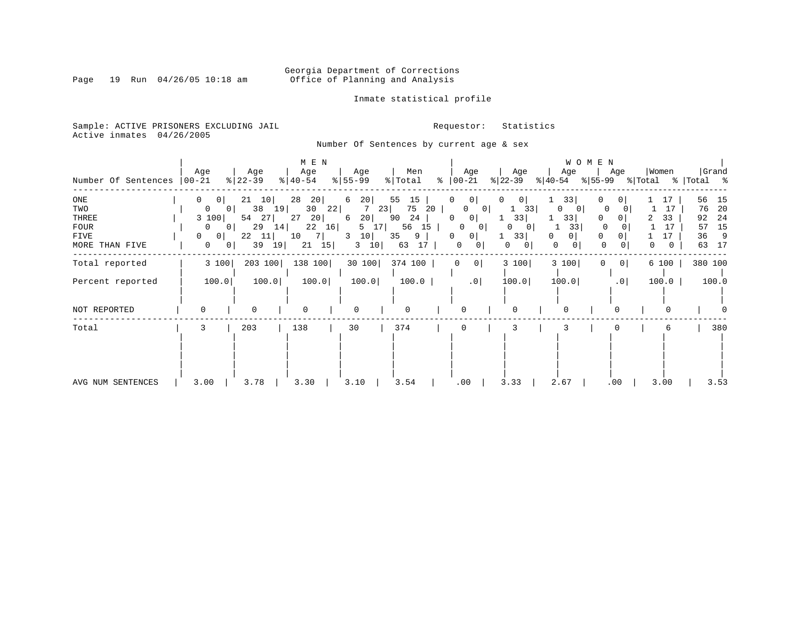# Georgia Department of Corrections<br>Page 19 Run 04/26/05 10:18 am 60ffice of Planning and Analysis Office of Planning and Analysis

### Inmate statistical profile

Sample: ACTIVE PRISONERS EXCLUDING JAIL **Requestor:** Statistics Active inmates 04/26/2005

Number Of Sentences by current age & sex

| Number Of Sentences                                          | Age<br>  00-21                                                                                                                                                         | Age<br>$ 22-39 $                                                        | M E N<br>Age<br>$ 40-54 $                                                 | Age<br>$8 55-99$                                                  | Men<br>% Total                                                   | Age<br>$\approx$ 00-21                                                                                                  | Age<br>$ 22-39 $                                                  | W O M E N<br>Age<br>$ 40-54 $                               | Age<br>% 55-99 % Total                                                      | Women                           | Grand<br>%   Total %                                                  |
|--------------------------------------------------------------|------------------------------------------------------------------------------------------------------------------------------------------------------------------------|-------------------------------------------------------------------------|---------------------------------------------------------------------------|-------------------------------------------------------------------|------------------------------------------------------------------|-------------------------------------------------------------------------------------------------------------------------|-------------------------------------------------------------------|-------------------------------------------------------------|-----------------------------------------------------------------------------|---------------------------------|-----------------------------------------------------------------------|
| ONE<br>TWO<br>THREE<br><b>FOUR</b><br>FIVE<br>MORE THAN FIVE | $\mathbf{0}$<br>0 <sup>1</sup><br>$\overline{0}$<br>0 <sup>1</sup><br>3 100<br>0 <sup>1</sup><br>$\overline{0}$<br>$0$  <br>$\Omega$<br>$\mathbf{0}$<br>0 <sup>1</sup> | 21<br>10<br>38<br>19 <br>54<br>27<br>29<br>14<br>22<br> 11 <br>39<br>19 | 28<br>20 <br>30<br>22<br>20 <br>27<br>22<br>16<br>10<br>- 7 I<br>21<br>15 | 20<br>6<br>23<br>7<br>20 <br>6<br>5 17<br>10<br>3<br>$3 \quad 10$ | 55<br>15<br>75<br>20<br>90<br>24<br>56 15<br>35<br>9<br>17<br>63 | 0<br>$\mathbf{0}$<br>0<br>0 <sub>1</sub><br> 0 <br>0<br>0<br>0 <sup>1</sup><br>0<br>0 <sup>1</sup><br>0<br>$\mathbf{0}$ | $\Omega$<br>0<br>33<br>33 <br>0<br>0<br>33<br>0 <sup>1</sup><br>0 | 33<br>$\Omega$<br>$\overline{0}$<br>33<br>33<br>0<br>0<br>0 | 0<br>0<br>$\circ$<br>$\Omega$<br>$\Omega$<br>$\circ$<br>0<br>$\overline{0}$ | 17<br>17<br>33<br>17<br>17<br>0 | 56<br>15<br>20<br>76<br>24<br>92<br>15<br>57<br>36<br>- 9<br>17<br>63 |
| Total reported                                               | 3 100                                                                                                                                                                  | 203 100                                                                 | 138 100                                                                   | 30 100                                                            | 374 100                                                          | 0 <sup>1</sup><br>0                                                                                                     | 3 100                                                             | 3 100                                                       | 0 <sup>1</sup><br>0                                                         | 6 100                           | 380 100                                                               |
| Percent reported                                             | 100.0                                                                                                                                                                  | 100.0                                                                   | 100.0                                                                     | 100.0                                                             | 100.0                                                            | .0 <sub>1</sub>                                                                                                         | 100.0                                                             | 100.0                                                       | .0                                                                          | 100.0                           | 100.0                                                                 |
| NOT REPORTED                                                 |                                                                                                                                                                        | $\Omega$                                                                |                                                                           | $\Omega$                                                          | U                                                                | $\Omega$                                                                                                                | $\cap$                                                            | 0                                                           |                                                                             |                                 |                                                                       |
| Total                                                        | 3                                                                                                                                                                      | 203                                                                     | 138                                                                       | 30                                                                | 374                                                              | $\Omega$                                                                                                                | 3                                                                 |                                                             |                                                                             | 6                               | 380                                                                   |
| AVG NUM SENTENCES                                            | 3.00                                                                                                                                                                   | 3.78                                                                    | 3.30                                                                      | 3.10                                                              | 3.54                                                             | .00                                                                                                                     | 3.33                                                              | 2.67                                                        | .00                                                                         | 3.00                            | 3.53                                                                  |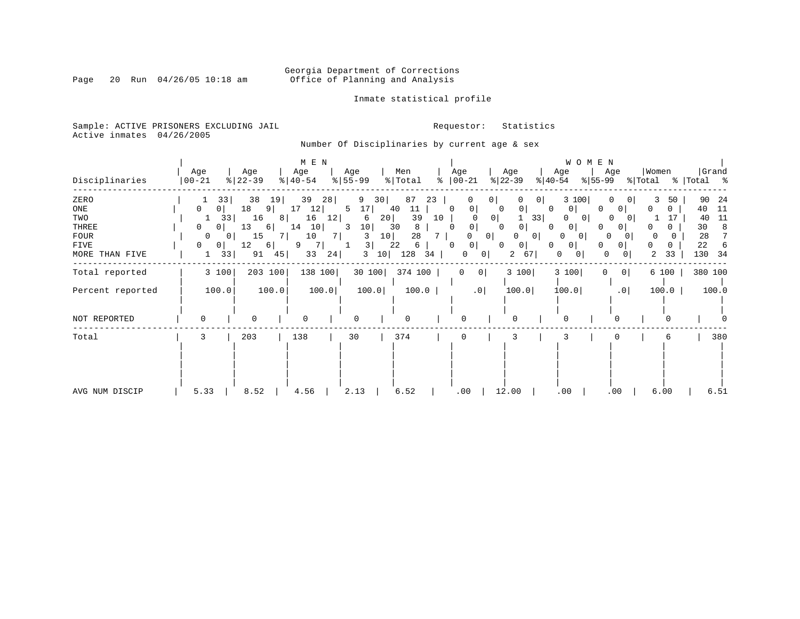# Georgia Department of Corrections<br>Page 20 Run 04/26/05 10:18 am 60ffice of Planning and Analysis Office of Planning and Analysis

### Inmate statistical profile

Sample: ACTIVE PRISONERS EXCLUDING JAIL **Requestor:** Statistics Active inmates 04/26/2005

Number Of Disciplinaries by current age & sex

|                  |                   |                  | M E N                        |                      |                     |                     |                               | WOMEN                    |                          |                      |
|------------------|-------------------|------------------|------------------------------|----------------------|---------------------|---------------------|-------------------------------|--------------------------|--------------------------|----------------------|
| Disciplinaries   | Age<br>$ 00 - 21$ | Age<br>$ 22-39 $ | Age<br>$\frac{1}{6}$   40-54 | Age<br>$8 55-99$     | Men<br>% Total<br>៖ | Age<br>$ 00-21$     | Age<br>$ 22-39 $<br>$ 40-54 $ | Age<br>Age<br>$ 55-99 $  | Women<br>% Total         | Grand<br>%   Total % |
| ZERO             | 33                | 38<br>19         | 39<br>28                     | 9<br>30              | 87<br>23            | 0                   | 0 <sup>1</sup>                | 3 100                    | 3<br>50<br>$\Omega$      | 90<br>24             |
| ONE              | 0<br>0            | 18<br>91         | 17<br>12                     | 17<br>5              | 40<br>11            | 0<br>0              | 0<br>0<br>0                   | 0<br>0                   | <sup>0</sup><br>$\Omega$ | 40<br>11             |
| TWO              | 33<br>T           | 16<br>8 I        | 16<br>12                     | 20 <br>6             | 39<br>10            | 0 <sup>1</sup>      | 33                            | 0<br>O                   | 0                        | 11<br>40             |
| THREE            | 0<br>0            | 13<br>6          | 14<br>10                     | 10 <sub>1</sub><br>3 | 30<br>8             | $\mathbf 0$         | 0<br>0                        | $\mathbf{0}$<br>0        |                          | 30<br>8              |
| FOUR             | 0<br>$\mathbf{0}$ | 15               | 10<br>7 I                    | 10<br>3              | 28                  | $\overline{0}$<br>0 | 0                             | 0<br>$\overline{0}$      |                          | 28                   |
| FIVE             | $\mathbf{0}$<br>0 | 12<br>6          | 9                            | 3                    | 22<br>6             | 0<br>0              | 0<br>0<br>0                   | 0<br>0                   | <sup>0</sup><br>$\Omega$ | 22                   |
| MORE THAN FIVE   | 33<br>1           | 91<br>45         | 33<br>24                     | 3<br>10 <sup>1</sup> | 128<br>34           | 0<br>0              | 67<br>2                       | 0<br>0<br>0<br>0         | 2<br>33                  | 130<br>-34           |
| Total reported   | 3 100             | 203 100          | 138 100                      | 30 100               | 374 100             | 0 <br>0             | 3 100                         | 3 100<br> 0 <br>$\Omega$ | 6 100                    | 380 100              |
| Percent reported | 100.0             | 100.0            | 100.0                        | 100.0                | 100.0               | .0 <sub>1</sub>     | 100.0                         | 100.0<br>.0              | 100.0                    | 100.0                |
| NOT REPORTED     | $\Omega$          | $\Omega$         | $\Omega$                     |                      | O                   | $\Omega$            |                               |                          |                          |                      |
| Total            | 3                 | 203              | 138                          | 30                   | 374                 | 0                   | 3                             |                          | 6                        | 380                  |
|                  |                   |                  |                              |                      |                     |                     |                               |                          |                          |                      |
| AVG NUM DISCIP   | 5.33              | 8.52             | 4.56                         | 2.13                 | 6.52                | .00                 | 12.00                         | .00<br>.00               | 6.00                     | 6.51                 |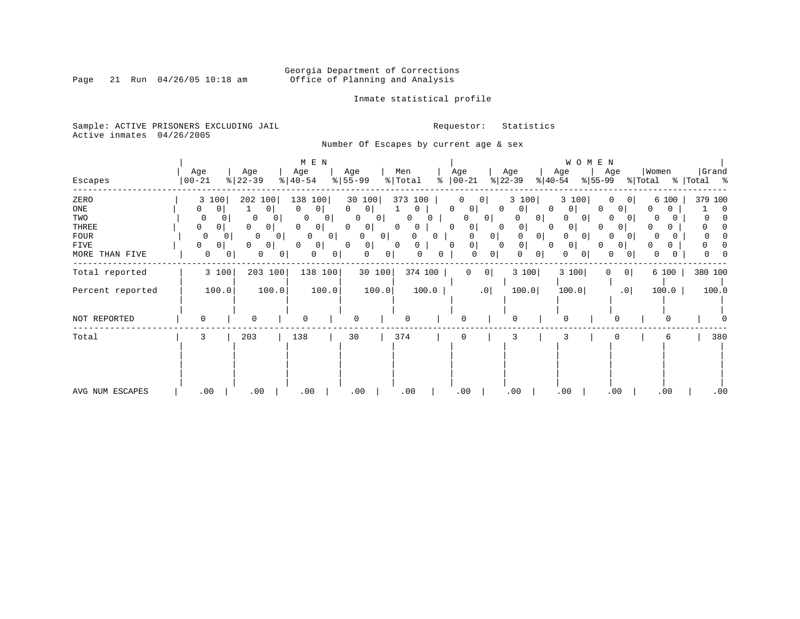# Georgia Department of Corrections<br>Page 21 Run 04/26/05 10:18 am 60ffice of Planning and Analysis Office of Planning and Analysis

### Inmate statistical profile

Sample: ACTIVE PRISONERS EXCLUDING JAIL **Requestor:** Statistics Active inmates 04/26/2005

Number Of Escapes by current age & sex

|                  |           |                                        | M E N                 |                          |                          |                      |                        | W O M E N                       |                        |         |
|------------------|-----------|----------------------------------------|-----------------------|--------------------------|--------------------------|----------------------|------------------------|---------------------------------|------------------------|---------|
|                  | Age       | Age                                    | Age                   | Age                      | Men                      | Age                  | Age<br>Age             | Age                             | Women                  | Grand   |
| Escapes          | $00 - 21$ | $ 22-39$                               | $\frac{1}{6}$   40-54 | $8 55-99$                | $\frac{1}{2}$ Total<br>ႜ | $ 00 - 21 $          | $ 22-39 $<br>$ 40-54 $ | $ 55-99 $                       | % Total<br>%   Total % |         |
| ZERO             | 3 100     | 202 100                                | 138<br>100            | 30 100                   | 373 100                  | 0                    | 3 100                  | 3 100<br>O<br>0 I               | 6 100                  | 379 100 |
| ONE              | 0<br>0    | 0 <sup>1</sup>                         | 0<br>0 <sup>1</sup>   | $\circ$<br>$\Omega$      | 0                        | 0<br>0<br>0          | $\Omega$<br>0          | $\overline{0}$<br>$\Omega$<br>0 | 0<br>0                 | 0       |
| TWO              | 0         | 0<br>U                                 | 0<br>0 I              | 0<br>$\circ$             | <sup>0</sup>             | 0<br>0 <sup>1</sup>  | $\mathbf{0}$           | 0 <sup>1</sup><br>0<br>0        | 0                      |         |
| THREE            | 0<br>0    | 0<br>0                                 | 0<br>0 <sup>1</sup>   | $\Omega$<br>0            | $\Omega$<br>0            | 0<br>0<br>0          | $\Omega$               | 0<br>0                          |                        |         |
| FOUR             | 0         | $\Omega$<br>0 <sub>1</sub><br>0        | $\circ$<br>0          | $\Omega$<br>$\mathbf{0}$ | 0                        | $\mathbf{0}$<br>0    | 0                      | 0 <sup>1</sup><br>0<br>$\Omega$ | <sup>0</sup>           |         |
| FIVE             | 0<br>0    | 0<br>$\Omega$                          | 0 <sup>1</sup><br>0   | $\circ$<br>$\Omega$      | 0<br>0                   | 0<br>$\Omega$<br>0   | 0<br>0                 | $\overline{0}$<br>0             | 0                      |         |
| MORE THAN FIVE   | 0         | $\Omega$<br>$\mathbf{0}$<br>$^{\circ}$ | 0<br>0                | $\mathbf{0}$<br>0        | 0<br>0                   | 0 <sup>1</sup><br>0  | $\Omega$               | 0<br>0<br>0                     | 0                      |         |
| Total reported   | 3 100     | 203 100                                | 138 100               | 30 100                   | 374 100                  | 0 <br>$\overline{0}$ | 3 100                  | 3 100<br>0<br>0                 | 6 100                  | 380 100 |
| Percent reported | 100.0     | 100.0                                  | 100.0                 | 100.0                    | 100.0                    | .0                   | 100.0                  | 100.0<br>.0                     | 100.0                  | 100.0   |
| NOT REPORTED     | $\Omega$  | 0                                      | $\Omega$              | O                        |                          | O                    | O                      | $\Omega$                        | O                      |         |
|                  |           |                                        |                       |                          |                          |                      |                        |                                 |                        |         |
| Total            | 3         | 203                                    | 138                   | 30                       | 374                      | 0                    | 3                      |                                 | 6                      | 380     |
|                  |           |                                        |                       |                          |                          |                      |                        |                                 |                        |         |
| AVG NUM ESCAPES  | .00       | .00                                    | .00                   | .00                      | .00                      | .00                  | .00.                   | .00<br>.00                      | .00                    | .00     |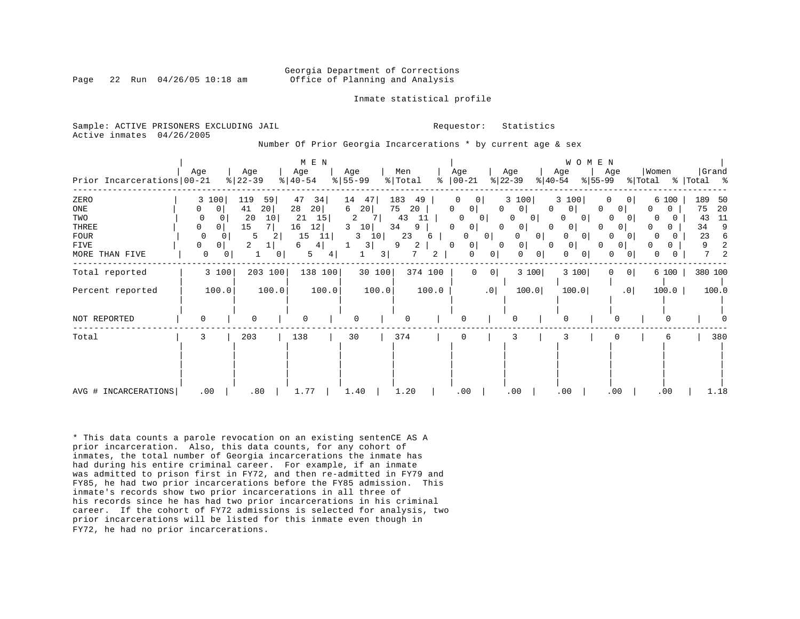#### Georgia Department of Corrections Page 22 Run 04/26/05 10:18 am Office of Planning and Analysis

Inmate statistical profile

Sample: ACTIVE PRISONERS EXCLUDING JAIL **Requestor:** Statistics Active inmates 04/26/2005

Number Of Prior Georgia Incarcerations \* by current age & sex

| Prior Incarcerations   00-21                                  | Age                                                                                      | Age<br>$8   22 - 39$                                         | M E N<br>Age<br>$\frac{1}{6}$   40-54                                         | Age<br>$8 55-99$                                                                            | Men<br>% Total<br>ႜ                                                    | Age<br>$ 00-21$                                                                                                                            | Age<br>$ 22-39 $<br>$ 40-54 $                                                                                                            | WOMEN<br>Age<br>Age<br>$ 55-99 $                                                                                                                                                | Women<br>Grand<br>% Total<br>% Total %                                                                         |
|---------------------------------------------------------------|------------------------------------------------------------------------------------------|--------------------------------------------------------------|-------------------------------------------------------------------------------|---------------------------------------------------------------------------------------------|------------------------------------------------------------------------|--------------------------------------------------------------------------------------------------------------------------------------------|------------------------------------------------------------------------------------------------------------------------------------------|---------------------------------------------------------------------------------------------------------------------------------------------------------------------------------|----------------------------------------------------------------------------------------------------------------|
| ZERO<br>ONE<br>TWO<br>THREE<br>FOUR<br>FIVE<br>MORE THAN FIVE | 100<br>3<br>$\mathbf 0$<br>0<br>0<br>0<br>0<br>0<br>$\Omega$<br>0 <sup>1</sup><br>0<br>0 | 119<br>59<br>20 <br>41<br>20<br>10<br>15<br>5<br>2<br>2<br>0 | 47<br>34<br>28<br>20 <br>21<br>15<br>12<br>16<br>15<br>11<br>6<br>4<br>5<br>4 | 14<br>47<br>20<br>6<br>$\overline{a}$<br>10<br>3<br>10<br>3<br>3<br>$\overline{\mathbf{3}}$ | 183<br>49<br>75<br>20<br>43<br>11<br>34<br>9<br>23<br>6<br>9<br>2<br>2 | 0<br>$\circ$<br>0 <sup>1</sup><br>0<br>$\Omega$<br>0<br>0<br>0 <sup>1</sup><br>0<br>$\Omega$<br>0 <sup>1</sup><br>0<br>0 <sup>1</sup><br>0 | 3 100<br>$\Omega$<br>0 <sup>1</sup><br>$\Omega$<br>$\overline{0}$<br>0<br>0 <sup>1</sup><br>0<br>O<br>0<br>0 <sup>1</sup><br>0<br>0<br>0 | 3 100<br>$\Omega$<br>$\circ$<br>$\mathbf{0}$<br>0<br>0 <sup>1</sup><br>O<br>$\Omega$<br>0<br>0<br>$\overline{0}$<br>O<br>$\circ$<br> 0 <br>0 <sub>1</sub><br>$\Omega$<br>0<br>0 | 189<br>50<br>6 100<br>75<br>20<br>0<br>0<br>11<br>43<br>9<br>34<br>0<br>23<br>6<br>2<br>9<br>O.<br>7<br>2<br>0 |
| Total reported                                                | 3 100                                                                                    | 203 100                                                      | 138 100                                                                       | 30 100                                                                                      | 374 100                                                                | $\mathbf 0$<br>0 <sup>1</sup>                                                                                                              | 3 100                                                                                                                                    | 3 100<br>0 <sup>1</sup><br>0                                                                                                                                                    | 380 100<br>6 100                                                                                               |
| Percent reported                                              | 100.0                                                                                    | 100.0                                                        | 100.0                                                                         | 100.0                                                                                       | 100.0                                                                  | .0                                                                                                                                         | 100.0                                                                                                                                    | 100.0<br>.0 <sub>1</sub>                                                                                                                                                        | 100.0<br>100.0                                                                                                 |
| NOT REPORTED                                                  | $\Omega$                                                                                 | $\mathbf 0$                                                  | $\Omega$                                                                      | $\Omega$                                                                                    |                                                                        |                                                                                                                                            | O                                                                                                                                        | U                                                                                                                                                                               |                                                                                                                |
| Total                                                         | 3                                                                                        | 203                                                          | 138                                                                           | 30                                                                                          | 374                                                                    | 0                                                                                                                                          | 3                                                                                                                                        |                                                                                                                                                                                 | 380<br>6                                                                                                       |
| AVG # INCARCERATIONS                                          | .00                                                                                      | .80                                                          | 1.77                                                                          | 1.40                                                                                        | 1.20                                                                   | .00                                                                                                                                        | .00                                                                                                                                      | .00<br>.00                                                                                                                                                                      | .00<br>1.18                                                                                                    |

\* This data counts a parole revocation on an existing sentenCE AS A prior incarceration. Also, this data counts, for any cohort of inmates, the total number of Georgia incarcerations the inmate has had during his entire criminal career. For example, if an inmate was admitted to prison first in FY72, and then re-admitted in FY79 and FY85, he had two prior incarcerations before the FY85 admission. This inmate's records show two prior incarcerations in all three of his records since he has had two prior incarcerations in his criminal career. If the cohort of FY72 admissions is selected for analysis, two prior incarcerations will be listed for this inmate even though in FY72, he had no prior incarcerations.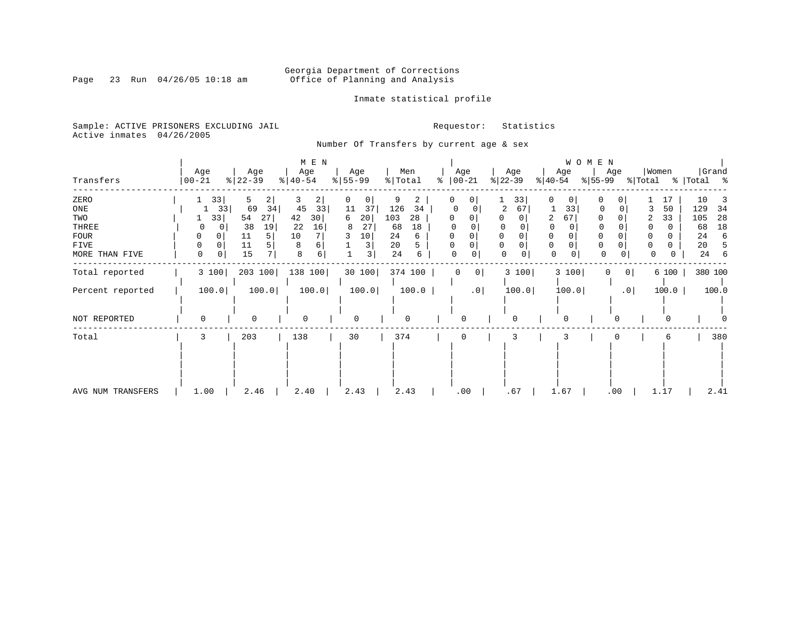# Georgia Department of Corrections<br>Page 23 Run 04/26/05 10:18 am 6ffice of Planning and Analysis Office of Planning and Analysis

### Inmate statistical profile

Sample: ACTIVE PRISONERS EXCLUDING JAIL **Requestor:** Statistics Active inmates 04/26/2005

Number Of Transfers by current age & sex

|                   |                  |                   | M E N               |                  |                | W O M E N             |                  |                             |                           |                      |  |
|-------------------|------------------|-------------------|---------------------|------------------|----------------|-----------------------|------------------|-----------------------------|---------------------------|----------------------|--|
| Transfers         | Age<br>  00-21   | Age<br>$ 22-39 $  | Age<br>$ 40-54 $    | Age<br>$8 55-99$ | Men<br>% Total | Age<br>ి<br>$ 00-21 $ | Age<br>$ 22-39 $ | Age<br>% 55-99<br>$ 40-54 $ | Women<br>Age<br>% Total   | Grand<br>%   Total % |  |
| ZERO              | 33               | 2<br>5.           | 3<br>$\overline{2}$ | 0<br>0           | 2              | $\mathbf{0}$          | 33               | 0<br>0                      | 0                         | 10<br>17             |  |
| ONE               | 33               | 69<br>34          | 45<br>33            | 37<br>11         | 126<br>34      |                       | 2<br>67          | 33                          | $\Omega$                  | 50<br>129<br>34      |  |
| TWO               | 33               | 54<br>27          | 30<br>42            | 20<br>6          | 103<br>28      |                       |                  | 67<br>2                     |                           | 33<br>105<br>28      |  |
| THREE             | 0                | 38<br>19          | 22<br>16            | 27<br>8          | 68<br>18       |                       | 0                |                             |                           | 18<br>68             |  |
| <b>FOUR</b>       | $\Omega$         | 5<br>11           | 10                  | 10               | 24<br>6        |                       |                  | 0                           |                           | 24<br>6              |  |
| FIVE              | 0<br>0           | 11                | 8                   | 3                | 20<br>5.       | 0<br>$\Omega$         | 0                | $\mathbf 0$<br>0<br>0       | 0                         | 20                   |  |
| MORE THAN FIVE    | $\mathbf 0$<br>0 | $7^{\circ}$<br>15 | 8<br>6              | 3                | 24<br>6        | 0<br>0                | $\mathbf 0$<br>0 | $\mathsf{O}$<br>0           | $\Omega$<br>0<br>$\Omega$ | 24<br>6<br>0         |  |
| Total reported    | 3 100            | 203 100           | 138 100             | 30 100           | 374 100        | 0 <br>$\mathbf 0$     | 3 100            | 3 100                       | 0 <br>$\Omega$            | 380 100<br>6 100     |  |
| Percent reported  | 100.0            | 100.0             | 100.0               | 100.0            | 100.0          | .0 <sub>1</sub>       | 100.0            | 100.0                       | .0 <sub>1</sub>           | 100.0<br>100.0       |  |
| NOT REPORTED      | 0                | 0                 | 0                   | 0                | <sup>0</sup>   | 0                     | $\mathbf 0$      |                             | $\Omega$                  | 0                    |  |
| Total             | 3                | 203               | 138                 | 30               | 374            | 0                     | 3                |                             |                           | 380<br>6             |  |
|                   |                  |                   |                     |                  |                |                       |                  |                             |                           |                      |  |
| AVG NUM TRANSFERS | 1.00             | 2.46              | 2.40                | 2.43             | 2.43           | .00                   | .67              | 1.67                        | .00<br>1.17               | 2.41                 |  |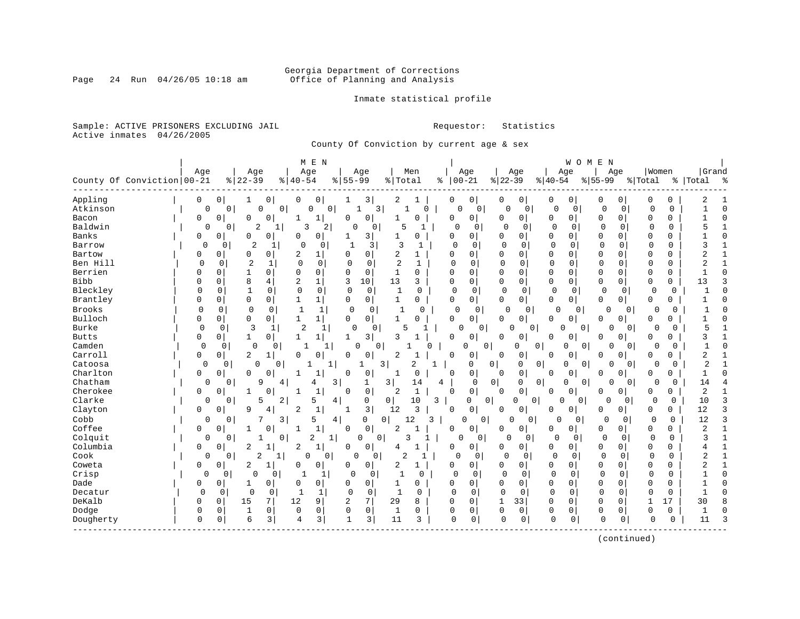# Georgia Department of Corrections<br>Page 24 Run 04/26/05 10:18 am 6ffice of Planning and Analysis Office of Planning and Analysis

### Inmate statistical profile

Sample: ACTIVE PRISONERS EXCLUDING JAIL **Requestor:** Statistics Active inmates 04/26/2005

County Of Conviction by current age & sex

|                            |             |              |                                |                          | M E N                |                            |                     |                |                                |             |                |              |                |             | WOMEN          |             |          |              |             |                |               |
|----------------------------|-------------|--------------|--------------------------------|--------------------------|----------------------|----------------------------|---------------------|----------------|--------------------------------|-------------|----------------|--------------|----------------|-------------|----------------|-------------|----------|--------------|-------------|----------------|---------------|
|                            | Age         |              | Age                            |                          | Age                  | Age                        |                     |                | Men                            |             | Age            |              | Age            | Age         |                | Age         |          | Women        |             | Grand          |               |
| County Of Conviction 00-21 |             |              | $ 22-39$                       | $8   40 - 54$            |                      | $55 - 99$<br>$\frac{8}{6}$ |                     | % Total        | ి                              |             | $00 - 21$      | $ 22-39$     |                | $ 40-54$    |                | $8 55-99$   |          | % Total      |             | %   Total      | $\frac{8}{6}$ |
|                            |             |              |                                |                          |                      |                            |                     |                |                                |             |                |              |                |             |                |             |          |              |             |                |               |
| Appling                    | 0           | 0            | 0<br>1                         | 0                        | 0                    |                            | 3                   | 2              | 1                              | 0           | 0              | 0            | $\overline{0}$ | 0           | 0              | 0           | 0        | 0            | 0           | 2              |               |
| Atkinson                   | 0           | $\Omega$     | 0                              | $\overline{0}$           | $\Omega$<br>$\Omega$ | $\mathbf{1}$               | $\overline{3}$      | $\mathbf{1}$   | $\Omega$                       | $\Omega$    | $\mathbf 0$    | 0            | $\mathbf 0$    | 0           | $\overline{0}$ | $\Omega$    | 0        | $\mathbf 0$  | $\Omega$    | $\mathbf{1}$   | $\Omega$      |
| Bacon                      | 0           | 0            | 0<br>0                         | 1                        | 1                    | $\Omega$                   | 0                   | 1              | $\Omega$                       | $\mathbf 0$ | 0              | 0            | 0              | 0           | 0              | 0           | 0        | $\mathbf 0$  | 0           |                | $\Omega$      |
| Baldwin                    | $\mathbf 0$ | 0            | $\overline{2}$                 | 3                        | 2                    | $\Omega$                   | $\mathbf 0$         | 5              | 1                              | $\Omega$    | $\mathbf 0$    | $\cap$       | 0              | $\mathbf 0$ | 0              | $\Omega$    | 0        | $\mathbf 0$  | $\mathbf 0$ |                | $\mathbf{1}$  |
| Banks                      | 0           | $\Omega$     | $\Omega$<br><sup>0</sup>       | 0                        | 0                    |                            | 3                   |                | 0                              | $\Omega$    | 0              | 0            | 0              | 0           | 0              | 0           | U        | 0            | $\Omega$    |                | $\Omega$      |
| Barrow                     | 0           | 0            | $\overline{2}$<br>1            | 0                        | 0                    | $\mathbf{1}$               | 3                   | 3              | 1                              | 0           | $\Omega$       | $\Omega$     | $\Omega$       | $\mathbf 0$ | 0              | $\Omega$    | $\Omega$ | $\Omega$     | 0           | 3              | 1             |
| Bartow                     | 0           | 0            | 0<br>0                         | 2                        | 1                    | 0                          | 0                   | 2              | $\mathbf{1}$                   | 0           | 0              | 0            | 0              | $\mathbf 0$ | $\mathbf 0$    | 0           | 0        | $\mathbf 0$  | $\Omega$    | 2              |               |
| Ben Hill                   | $\Omega$    | 0            | $\overline{2}$<br>1            | $\mathbf 0$              | $\mathbf 0$          | $\mathbf 0$                | 0                   | $\overline{2}$ | 1                              | $\Omega$    | 0              | $\Omega$     | $\mathbf 0$    | 0           | 0              | $\Omega$    | 0        | $\Omega$     | 0           | $\overline{c}$ | $\mathbf{1}$  |
| Berrien                    | 0           | 0            | 0                              | 0                        | 0                    | $\Omega$                   | 0                   | 1              | 0                              | $\Omega$    | 0              | 0            | 0              | $\mathbf 0$ | 0              | 0           | 0        | 0            | 0           |                | $\Omega$      |
| <b>Bibb</b>                | $\Omega$    | $\mathbf 0$  | 8<br>4                         | $\overline{2}$           | $\mathbf{1}$         | 3                          | 10                  | 13             | 3                              | $\mathbf 0$ | 0              | $\mathbf 0$  | 0              | $\mathbf 0$ | $\mathbf 0$    | 0           | 0        | $\mathbf 0$  | 0           | 13             | 3             |
| Bleckley                   | $\Omega$    | $\Omega$     | $\mathbf{1}$<br>0              | $\Omega$                 | $\Omega$             | $\Omega$                   | $\Omega$            | $\mathbf{1}$   | 0                              | $\Omega$    | $\mathbf 0$    | $\Omega$     | $\mathbf 0$    | $\mathbf 0$ | $\mathbf 0$    | $\Omega$    | $\Omega$ | $\Omega$     | $\Omega$    |                | $\Omega$      |
| Brantley                   | 0           | $\mathbf 0$  | $\mathbf 0$<br>$\Omega$        | $\mathbf{1}$             | $\mathbf{1}$         | 0                          | 0                   | $\mathbf 1$    | 0                              | $\Omega$    | 0 <sup>1</sup> | 0            | 0              | $\mathbf 0$ | 0 <sup>1</sup> | $\Omega$    | 0        | $\mathbf 0$  | 0           |                | $\Omega$      |
| <b>Brooks</b>              | 0           | 0            | $\Omega$<br>0                  | 1                        | 1                    | $\mathbf 0$                | 0                   | 1              | 0                              | 0           | 0              | 0            | 0              | 0           | 0              | 0           | 0        | 0            | 0           |                | $\Omega$      |
| Bulloch                    | 0           | 0            | 0<br>0                         | $\mathbf{1}$             | 1                    | 0                          | 0                   | 1              | 0                              | 0           | 0 <sup>1</sup> | 0            | 0              | 0           | 0              | 0           | 0        | 0            | 0           |                | $\Omega$      |
| Burke                      | 0           | 0            | 3                              | $\overline{2}$           | 1                    | 0                          | 0                   |                |                                | $\Omega$    | 0              | 0            | 0              | O           | 0              | 0           | 0        | 0            | $\Omega$    | 5              |               |
| <b>Butts</b>               | 0           | 0            | 1<br>$\Omega$                  | 1                        | 1                    | 1                          | 3                   | 3              |                                | $\mathbf 0$ | 0              | 0            | 0              | 0           | 0              | 0           | 0        | $\Omega$     | 0           | 3              |               |
| Camden                     | $\Omega$    | $\Omega$     | $\mathbf 0$                    | $\Omega$<br>$\mathbf{1}$ | 1                    | $\Omega$                   | $\Omega$            |                | $\Omega$                       |             | $\Omega$<br>0  |              | 0<br>$\Omega$  | $\Omega$    | $\mathbf 0$    | 0           | $\Omega$ | $\Omega$     | $\Omega$    | $\mathbf{1}$   | $\Omega$      |
| Carroll                    | 0           | 0            | 2<br>1                         | $\mathbf 0$              | 0                    | 0                          | 0                   | 2              |                                | $\Omega$    | 0              | 0            | 0              | 0           | 0              | 0           | 0        | $\mathbf 0$  | 0           | 2              |               |
| Catoosa                    | $\mathbf 0$ | 0            | $\mathbf 0$                    | 0                        | 1                    |                            | $\overline{3}$      |                | $\overline{2}$<br>$\mathbf{1}$ |             | 0              | $\circ$      | 0<br>0         | 0           | 0              | $\Omega$    | $\Omega$ | $\Omega$     | 0           | $\overline{c}$ | $\mathbf{1}$  |
| Charlton                   | 0           | $\mathbf 0$  | $\Omega$<br>0                  |                          | 1                    | $\Omega$                   | 0                   | 1              | $\Omega$                       | $\Omega$    | 0              | 0            | 0              | $\Omega$    | 0              | 0           | 0        | $\Omega$     | 0           |                | $\Omega$      |
| Chatham                    | 0           | 0            | 9                              | 4                        | 4                    | 3                          | 1                   | 3              | 14<br>4                        |             | 0              | $\mathbf 0$  | 0<br>0         | $\Omega$    | 0              |             | $\Omega$ | 0            | 0           | 14             |               |
| Cherokee                   | 0           | $\Omega$     | 1<br>$\cap$                    |                          | $\mathbf{1}$         | $\Omega$                   | $\mathsf 0$         | 2              | $\mathbf{1}$                   | $\Omega$    | 0 <sup>1</sup> | $\Omega$     | 0              | $\Omega$    | 0              | 0           | 0        | 0            | 0           | 2              | $\mathbf{1}$  |
| Clarke                     | 0           | $\mathbf{0}$ | 5                              | 2                        | 5                    | $\overline{4}$             | 0                   | 0              | 10<br>3                        |             | 0<br>0         |              | 0<br>O         | 0           | 0              | 0           | 0        | 0            | 0           | 10             | 3             |
| Clayton                    | 0           | 0            | 9<br>4                         | 2                        | $1\,$                | 1                          | 3                   | 12             | 3                              | 0           | 0              | 0            | 0              | 0           | 0              | 0           | 0        | 0            | 0           | 12             | 3             |
| Cobb                       | 0           | 0            |                                | 3                        | 5                    | 4                          | 0 <sup>1</sup><br>0 | 12             | 3                              |             | $\Omega$<br>0  | $\Omega$     | 0              | 0           | 0              | 0           | 0        | $\mathbf 0$  | $\Omega$    | 12             | 3             |
| Coffee                     | 0           | $\mathbf 0$  | 1<br>$\Omega$                  | 1                        | $\mathbf{1}$         | $\Omega$                   | $\mathbf 0$         | $\overline{a}$ | -1                             | $\Omega$    | 0              | 0            | 0              | 0           | 0              | 0           | 0        | $\mathbf 0$  | 0           | 2              | $\mathbf{1}$  |
| Colquit                    | 0           | 0            |                                | $\mathbf{0}$             | 2<br>1               | 0                          | $\overline{0}$      | 3              |                                | $\Omega$    | 0              | $\Omega$     | 0              | $\mathbf 0$ | 0              | 0           | 0        | 0            | $\Omega$    | 3              | $\mathbf{1}$  |
| Columbia                   | 0           | 0            | $\overline{c}$<br>$\mathbf{1}$ | 2                        | $\mathbf{1}$         | 0                          | 0                   | 4              | $\mathbf{1}$                   | 0           | 0              | 0            | 0              | 0           | 0              | 0           | 0        | $\mathbf 0$  | $\Omega$    |                | 1             |
| Cook                       | 0           | 0            | $\overline{2}$                 | 1                        | O<br>0               | U                          | 0                   | $\overline{2}$ | 1                              | $\Omega$    | 0              | $\Omega$     | 0              | $\Omega$    | 0              | $\Omega$    | 0        | $\Omega$     | 0           | 2              |               |
| Coweta                     | 0           | 0            | 2<br>1                         | 0                        | 0                    | 0                          | $\circ$             | 2              | 1                              | $\Omega$    | 0              | 0            | 0              | 0           | 0              | 0           | $\Omega$ | $\mathbf 0$  | $\Omega$    | 2              |               |
| Crisp                      | 0           | 0            | 0<br>0                         |                          | 1                    | 0                          | 0                   |                | 0                              | $\Omega$    | 0              | $\Omega$     | 0              | $\mathbf 0$ | 0              | 0           | 0        | 0            | 0           |                | $\Omega$      |
| Dade                       | 0           | 0            | 0<br>1                         | $\Omega$                 | 0                    | 0                          | 0                   | 1              | 0                              | $\Omega$    | $\mathbf{0}$   | 0            | 0              | $\mathbf 0$ | 0              | 0           | 0        | 0            | 0           |                | $\Omega$      |
| Decatur                    | $\Omega$    | 0            | 0<br>$\mathbf 0$               | 1                        | 1                    | 0                          | 0                   | 1              | 0                              | $\Omega$    | 0              | 0            | 0              | $\mathbf 0$ | 0              | $\Omega$    | 0        | 0            | 0           |                | $\Omega$      |
| DeKalb                     | 0           | $\mathbf 0$  | 15<br>7                        | 12                       | 9                    | 2                          | 7                   | 29             | 8                              | $\Omega$    | $\Omega$       | $\mathbf{1}$ | 33             | $\mathbf 0$ | $\mathbf 0$    | $\Omega$    | O        | $\mathbf{1}$ | 17          | 30             | 8             |
| Dodge                      | 0           | $\mathbf 0$  | 0<br>$\mathbf{1}$              | $\mathbf 0$              | 0                    | $\mathbf 0$                | $\mathbf 0$         | 1              | 0                              | $\mathbf 0$ | 0              | $\mathbf{0}$ | 0              | 0           | $\mathbf 0$    | $\mathbf 0$ | 0        | $\Omega$     | 0           |                | $\Omega$      |
| Dougherty                  | 0           | 0            | 6<br>3                         | 4                        | 3                    | $\mathbf{1}$               | 3                   | 11             | 3                              | $\Omega$    | 0              | $\Omega$     | $\mathbf 0$    | $\mathbf 0$ | 0              | $\mathbf 0$ | 0        | $\Omega$     | 0           | 11             | 3             |
|                            |             |              |                                |                          |                      |                            |                     |                |                                |             |                |              |                |             |                |             |          |              |             |                |               |
|                            |             |              |                                |                          |                      |                            |                     |                |                                |             |                |              |                |             |                |             |          |              |             |                |               |

(continued)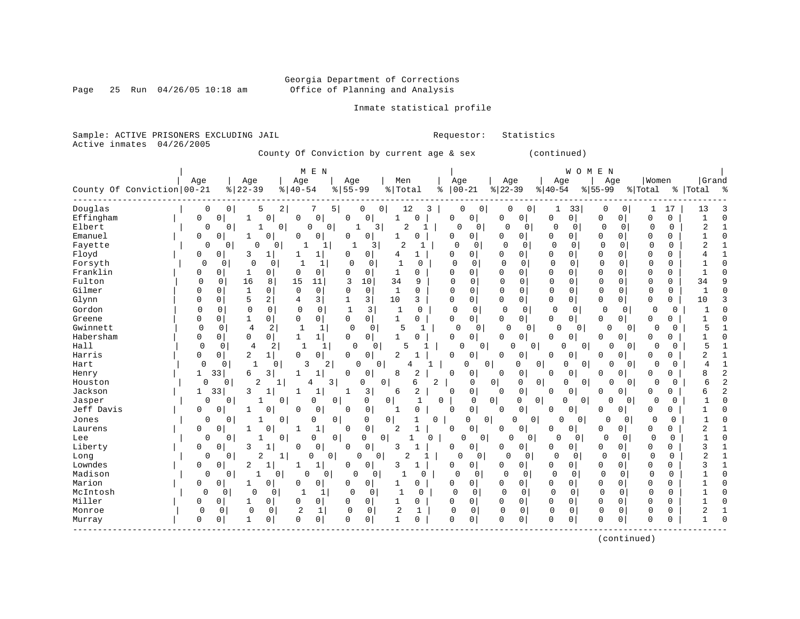# Georgia Department of Corrections<br>Office of Planning and Analysis

Page 25 Run  $04/26/05$  10:18 am

### Inmate statistical profile

Sample: ACTIVE PRISONERS EXCLUDING JAIL **Requestor:** Statistics Active inmates 04/26/2005

County Of Conviction by current age & sex (continued)

| Age<br>Age<br>Women<br>Age<br>Age<br>Age<br>Men<br>Age<br>Age<br>Age<br>County Of Conviction   00-21<br>$ 22-39$<br>$8155 - 99$<br>$ 22-39$<br>$8   40 - 54$<br>% Total<br>$00 - 21$<br>$8 40-54$<br>$8155 - 99$<br>% Total<br>%   Total<br>နွ<br>Douglas<br>$\overline{a}$<br>12<br>33<br>0<br>0<br>5<br>7<br>5  <br>0<br>0<br>3<br>0<br>0<br>0<br>0<br>0<br>17<br>13<br>0<br>1<br>1<br>Effingham<br>0<br>$\mathbf 0$<br>0<br>0<br>0<br>$\mathbf 0$<br>$\mathbf 0$<br>$\mathbf 0$<br>$\mathbf 0$<br>O<br>0<br>0<br>0<br>$\mathbf 0$<br>0<br>0<br>1<br>0<br>0<br>1<br>1<br>2<br>0<br>2<br>Elbert<br>0<br>0<br>0<br>$\overline{\mathbf{3}}$<br>0<br>0<br>0<br>0<br>0<br>$\Omega$<br>$\Omega$<br>$\mathbf{0}$<br>0<br>1<br>1<br>0<br>0<br>Emanuel<br>0<br>0<br>$\Omega$<br>$\mathbf 0$<br>0<br>0<br>$\Omega$<br>$\Omega$<br>$\Omega$<br>0<br>0<br>0<br>0<br>$\Omega$<br>0<br>1<br>0<br>$\Omega$<br>1<br>0<br>Fayette<br>$\mathbf 0$<br>$\mathbf 0$<br>$\overline{2}$<br>$\mathbf 0$<br>$\mathbf 0$<br>$\overline{2}$<br>0<br>$\Omega$<br>0<br>0<br>$\Omega$<br>0<br>0<br>$\Omega$<br>0<br>0<br>1<br>-1<br>3<br>Floyd<br>$\mathbf 0$<br>3<br>0<br>0<br>0<br>$\Omega$<br>$\Omega$<br>$\mathbf 0$<br>0<br>1<br>0<br>4<br>0<br>0<br>0<br>$\Omega$<br>0<br>1<br>Forsyth<br>$\overline{0}$<br>0<br>$\Omega$<br>$\Omega$<br>$\mathbf 0$<br>$\Omega$<br>$\Omega$<br>$\Omega$<br>$\Omega$<br>0<br>$\Omega$<br>$\Omega$<br>$\Omega$<br>$\Omega$<br>-1<br>1<br>$\Omega$<br>$\Omega$<br>$\Omega$<br>Franklin<br>$\Omega$<br>0<br>1<br>0<br>0<br>$\Omega$<br>$\Omega$<br>0<br>$\Omega$<br>0<br>$\Omega$<br>$\Omega$<br>0<br>$\Omega$<br>1<br>$\Omega$<br>$\Omega$<br>$\Omega$<br>U<br>$\Omega$<br>Fulton<br>16<br>34<br>$\mathbf 0$<br>8<br>15<br>3<br>10<br>$\Omega$<br>$\Omega$<br>$\Omega$<br>$\mathbf{0}$<br>$\mathbf 0$<br>$\mathbf 0$<br>$\mathbf 0$<br>34<br>0<br>11<br>9<br>$\Omega$<br>$\Omega$<br>$\Omega$<br>Gilmer<br>$\Omega$<br>$\mathbf 0$<br>0<br>$\mathsf{O}$<br>$\mathbf{1}$<br>$\mathsf{O}$<br>$\Omega$<br>$\mathsf 0$<br>$\mathbf 0$<br>$\mathbf{1}$<br>$\Omega$<br>$\Omega$<br>$\mathbf 0$<br>0<br>0<br>$\mathbf{1}$<br>0<br>0<br>0<br>0<br>$\Omega$<br>Glynn<br>5<br>$\overline{2}$<br>3<br>3<br>10<br>0<br>0<br>0<br>0<br>$\mathbf 0$<br>3<br>$\mathbf{0}$<br>0<br>0<br>0<br>10<br>4<br>0<br>$\Omega$<br>0<br>Gordon<br>$\mathbf 0$<br>3<br>0<br>$\mathbf 0$<br>$\mathbf 0$<br>0<br>$\mathbf 0$<br>$\mathbf{1}$<br>$\mathbf 0$<br>$\mathbf 0$<br>$\mathbf 0$<br>0<br>$\mathbf 0$<br>$\mathbf 0$<br>0<br>$\mathbf{1}$<br>0<br>0<br>0<br>0<br>Greene<br>0<br>1<br>0<br>$\mathbf 0$<br>$\mathbf{1}$<br>$\Omega$<br>0<br>0<br>$\mathbf{0}$<br>$\circ$<br>0<br>0<br>0<br>$\Omega$<br>$\Omega$<br>$\Omega$<br>$\Omega$<br>0<br>0<br>0 | Grand<br>್ಠಿ |
|-----------------------------------------------------------------------------------------------------------------------------------------------------------------------------------------------------------------------------------------------------------------------------------------------------------------------------------------------------------------------------------------------------------------------------------------------------------------------------------------------------------------------------------------------------------------------------------------------------------------------------------------------------------------------------------------------------------------------------------------------------------------------------------------------------------------------------------------------------------------------------------------------------------------------------------------------------------------------------------------------------------------------------------------------------------------------------------------------------------------------------------------------------------------------------------------------------------------------------------------------------------------------------------------------------------------------------------------------------------------------------------------------------------------------------------------------------------------------------------------------------------------------------------------------------------------------------------------------------------------------------------------------------------------------------------------------------------------------------------------------------------------------------------------------------------------------------------------------------------------------------------------------------------------------------------------------------------------------------------------------------------------------------------------------------------------------------------------------------------------------------------------------------------------------------------------------------------------------------------------------------------------------------------------------------------------------------------------------------------------------------------------------------------------------------------------------------------------------------------------------------------------------------------------------------------------------------------------------------------------------------------------------------------------------------------------------------------------------------------------|--------------|
|                                                                                                                                                                                                                                                                                                                                                                                                                                                                                                                                                                                                                                                                                                                                                                                                                                                                                                                                                                                                                                                                                                                                                                                                                                                                                                                                                                                                                                                                                                                                                                                                                                                                                                                                                                                                                                                                                                                                                                                                                                                                                                                                                                                                                                                                                                                                                                                                                                                                                                                                                                                                                                                                                                                                         |              |
|                                                                                                                                                                                                                                                                                                                                                                                                                                                                                                                                                                                                                                                                                                                                                                                                                                                                                                                                                                                                                                                                                                                                                                                                                                                                                                                                                                                                                                                                                                                                                                                                                                                                                                                                                                                                                                                                                                                                                                                                                                                                                                                                                                                                                                                                                                                                                                                                                                                                                                                                                                                                                                                                                                                                         |              |
|                                                                                                                                                                                                                                                                                                                                                                                                                                                                                                                                                                                                                                                                                                                                                                                                                                                                                                                                                                                                                                                                                                                                                                                                                                                                                                                                                                                                                                                                                                                                                                                                                                                                                                                                                                                                                                                                                                                                                                                                                                                                                                                                                                                                                                                                                                                                                                                                                                                                                                                                                                                                                                                                                                                                         |              |
|                                                                                                                                                                                                                                                                                                                                                                                                                                                                                                                                                                                                                                                                                                                                                                                                                                                                                                                                                                                                                                                                                                                                                                                                                                                                                                                                                                                                                                                                                                                                                                                                                                                                                                                                                                                                                                                                                                                                                                                                                                                                                                                                                                                                                                                                                                                                                                                                                                                                                                                                                                                                                                                                                                                                         |              |
|                                                                                                                                                                                                                                                                                                                                                                                                                                                                                                                                                                                                                                                                                                                                                                                                                                                                                                                                                                                                                                                                                                                                                                                                                                                                                                                                                                                                                                                                                                                                                                                                                                                                                                                                                                                                                                                                                                                                                                                                                                                                                                                                                                                                                                                                                                                                                                                                                                                                                                                                                                                                                                                                                                                                         |              |
|                                                                                                                                                                                                                                                                                                                                                                                                                                                                                                                                                                                                                                                                                                                                                                                                                                                                                                                                                                                                                                                                                                                                                                                                                                                                                                                                                                                                                                                                                                                                                                                                                                                                                                                                                                                                                                                                                                                                                                                                                                                                                                                                                                                                                                                                                                                                                                                                                                                                                                                                                                                                                                                                                                                                         |              |
|                                                                                                                                                                                                                                                                                                                                                                                                                                                                                                                                                                                                                                                                                                                                                                                                                                                                                                                                                                                                                                                                                                                                                                                                                                                                                                                                                                                                                                                                                                                                                                                                                                                                                                                                                                                                                                                                                                                                                                                                                                                                                                                                                                                                                                                                                                                                                                                                                                                                                                                                                                                                                                                                                                                                         |              |
|                                                                                                                                                                                                                                                                                                                                                                                                                                                                                                                                                                                                                                                                                                                                                                                                                                                                                                                                                                                                                                                                                                                                                                                                                                                                                                                                                                                                                                                                                                                                                                                                                                                                                                                                                                                                                                                                                                                                                                                                                                                                                                                                                                                                                                                                                                                                                                                                                                                                                                                                                                                                                                                                                                                                         |              |
|                                                                                                                                                                                                                                                                                                                                                                                                                                                                                                                                                                                                                                                                                                                                                                                                                                                                                                                                                                                                                                                                                                                                                                                                                                                                                                                                                                                                                                                                                                                                                                                                                                                                                                                                                                                                                                                                                                                                                                                                                                                                                                                                                                                                                                                                                                                                                                                                                                                                                                                                                                                                                                                                                                                                         |              |
|                                                                                                                                                                                                                                                                                                                                                                                                                                                                                                                                                                                                                                                                                                                                                                                                                                                                                                                                                                                                                                                                                                                                                                                                                                                                                                                                                                                                                                                                                                                                                                                                                                                                                                                                                                                                                                                                                                                                                                                                                                                                                                                                                                                                                                                                                                                                                                                                                                                                                                                                                                                                                                                                                                                                         |              |
|                                                                                                                                                                                                                                                                                                                                                                                                                                                                                                                                                                                                                                                                                                                                                                                                                                                                                                                                                                                                                                                                                                                                                                                                                                                                                                                                                                                                                                                                                                                                                                                                                                                                                                                                                                                                                                                                                                                                                                                                                                                                                                                                                                                                                                                                                                                                                                                                                                                                                                                                                                                                                                                                                                                                         |              |
|                                                                                                                                                                                                                                                                                                                                                                                                                                                                                                                                                                                                                                                                                                                                                                                                                                                                                                                                                                                                                                                                                                                                                                                                                                                                                                                                                                                                                                                                                                                                                                                                                                                                                                                                                                                                                                                                                                                                                                                                                                                                                                                                                                                                                                                                                                                                                                                                                                                                                                                                                                                                                                                                                                                                         |              |
|                                                                                                                                                                                                                                                                                                                                                                                                                                                                                                                                                                                                                                                                                                                                                                                                                                                                                                                                                                                                                                                                                                                                                                                                                                                                                                                                                                                                                                                                                                                                                                                                                                                                                                                                                                                                                                                                                                                                                                                                                                                                                                                                                                                                                                                                                                                                                                                                                                                                                                                                                                                                                                                                                                                                         |              |
|                                                                                                                                                                                                                                                                                                                                                                                                                                                                                                                                                                                                                                                                                                                                                                                                                                                                                                                                                                                                                                                                                                                                                                                                                                                                                                                                                                                                                                                                                                                                                                                                                                                                                                                                                                                                                                                                                                                                                                                                                                                                                                                                                                                                                                                                                                                                                                                                                                                                                                                                                                                                                                                                                                                                         |              |
|                                                                                                                                                                                                                                                                                                                                                                                                                                                                                                                                                                                                                                                                                                                                                                                                                                                                                                                                                                                                                                                                                                                                                                                                                                                                                                                                                                                                                                                                                                                                                                                                                                                                                                                                                                                                                                                                                                                                                                                                                                                                                                                                                                                                                                                                                                                                                                                                                                                                                                                                                                                                                                                                                                                                         |              |
| Gwinnett<br>0<br>5<br>0<br>4<br>2<br>1<br>$\Omega$<br>0<br>5<br>0<br>0<br>$\Omega$<br>O<br>$\Omega$<br>0 <sup>1</sup><br>0<br>$\mathbf{1}$<br>0<br>$\mathbf 0$<br>$\Omega$                                                                                                                                                                                                                                                                                                                                                                                                                                                                                                                                                                                                                                                                                                                                                                                                                                                                                                                                                                                                                                                                                                                                                                                                                                                                                                                                                                                                                                                                                                                                                                                                                                                                                                                                                                                                                                                                                                                                                                                                                                                                                                                                                                                                                                                                                                                                                                                                                                                                                                                                                              |              |
| Habersham<br>$\Omega$<br>0<br>0<br>0<br>$\Omega$<br>1<br>$\Omega$<br>0<br>0<br>0<br>0<br>$\Omega$<br>0<br>0<br>$\mathbf{1}$<br>O<br>$\Omega$<br>$\Omega$<br><sup>0</sup>                                                                                                                                                                                                                                                                                                                                                                                                                                                                                                                                                                                                                                                                                                                                                                                                                                                                                                                                                                                                                                                                                                                                                                                                                                                                                                                                                                                                                                                                                                                                                                                                                                                                                                                                                                                                                                                                                                                                                                                                                                                                                                                                                                                                                                                                                                                                                                                                                                                                                                                                                                |              |
| Hall<br>$\mathbf 0$<br>$\overline{4}$<br>5<br>5<br>0<br>2<br>$\mathbf{1}$<br>$\Omega$<br>0<br>0<br><sup>0</sup><br>0<br>U<br>0<br>U<br>$\overline{0}$<br>0<br>$\Omega$<br>U                                                                                                                                                                                                                                                                                                                                                                                                                                                                                                                                                                                                                                                                                                                                                                                                                                                                                                                                                                                                                                                                                                                                                                                                                                                                                                                                                                                                                                                                                                                                                                                                                                                                                                                                                                                                                                                                                                                                                                                                                                                                                                                                                                                                                                                                                                                                                                                                                                                                                                                                                             |              |
| Harris<br>2<br>$\mathbf 0$<br>0<br>0<br>$\mathbf 0$<br>$\mathbf 0$<br>2<br>0<br>$\mathbf 0$<br>$\overline{0}$<br>2<br>0<br>$1\vert$<br>0<br>$\Omega$<br>0<br>0<br>0<br>0<br>0                                                                                                                                                                                                                                                                                                                                                                                                                                                                                                                                                                                                                                                                                                                                                                                                                                                                                                                                                                                                                                                                                                                                                                                                                                                                                                                                                                                                                                                                                                                                                                                                                                                                                                                                                                                                                                                                                                                                                                                                                                                                                                                                                                                                                                                                                                                                                                                                                                                                                                                                                           |              |
| Hart<br>0<br>$\mathbf{1}$<br>$\mathbf 0$<br>3<br>2<br>0<br>0<br> 0 <br>$\mathbf 0$<br>$\Omega$<br>0<br>O<br>0<br>0<br>$\Omega$<br>0<br>$\Omega$<br>$\Omega$<br>4<br>4                                                                                                                                                                                                                                                                                                                                                                                                                                                                                                                                                                                                                                                                                                                                                                                                                                                                                                                                                                                                                                                                                                                                                                                                                                                                                                                                                                                                                                                                                                                                                                                                                                                                                                                                                                                                                                                                                                                                                                                                                                                                                                                                                                                                                                                                                                                                                                                                                                                                                                                                                                   |              |
| 33<br>8<br>8<br>3<br>0<br>0<br>2<br>0<br>0<br>0<br>0<br>0<br>0<br>0<br>Henry<br>1<br>6<br>1<br>1<br>$\Omega$<br>0<br>$\Omega$                                                                                                                                                                                                                                                                                                                                                                                                                                                                                                                                                                                                                                                                                                                                                                                                                                                                                                                                                                                                                                                                                                                                                                                                                                                                                                                                                                                                                                                                                                                                                                                                                                                                                                                                                                                                                                                                                                                                                                                                                                                                                                                                                                                                                                                                                                                                                                                                                                                                                                                                                                                                           |              |
| $\mathbf 0$<br>$\overline{2}$<br>3<br>6<br>$\mathbf 0$<br> 0 <br>Houston<br>0<br>$\Omega$<br>0<br>2<br>0<br>0<br>0<br>$\overline{0}$<br>$\Omega$<br>6<br>1<br>4<br>0<br>∩<br>$\Omega$                                                                                                                                                                                                                                                                                                                                                                                                                                                                                                                                                                                                                                                                                                                                                                                                                                                                                                                                                                                                                                                                                                                                                                                                                                                                                                                                                                                                                                                                                                                                                                                                                                                                                                                                                                                                                                                                                                                                                                                                                                                                                                                                                                                                                                                                                                                                                                                                                                                                                                                                                   |              |
| 0<br>Jackson<br>33<br>3<br>3<br>2<br>$\mathbf 0$<br>0<br>1<br>1<br>1<br>6<br>$\Omega$<br>0<br>0<br>0<br>6<br>0<br>0<br>$\Omega$<br>-1<br>1                                                                                                                                                                                                                                                                                                                                                                                                                                                                                                                                                                                                                                                                                                                                                                                                                                                                                                                                                                                                                                                                                                                                                                                                                                                                                                                                                                                                                                                                                                                                                                                                                                                                                                                                                                                                                                                                                                                                                                                                                                                                                                                                                                                                                                                                                                                                                                                                                                                                                                                                                                                              | 2            |
| 0<br>Jasper<br>0<br>0<br>0<br>0<br>0<br>0<br>0<br>1<br>0<br>0<br>0<br>$\Omega$<br>0<br>0<br>0<br>0<br>$\Omega$<br>0                                                                                                                                                                                                                                                                                                                                                                                                                                                                                                                                                                                                                                                                                                                                                                                                                                                                                                                                                                                                                                                                                                                                                                                                                                                                                                                                                                                                                                                                                                                                                                                                                                                                                                                                                                                                                                                                                                                                                                                                                                                                                                                                                                                                                                                                                                                                                                                                                                                                                                                                                                                                                     |              |
| 0<br>Jeff Davis<br>0<br>$\mathbf 0$<br>$\mathbf 0$<br>0<br>0<br>$\Omega$<br>$\Omega$<br>O<br>$\Omega$<br>$\Omega$<br>0<br>$\Omega$<br>0<br>1<br>$\Omega$<br>0<br>$\Omega$<br>$\Omega$<br>-1                                                                                                                                                                                                                                                                                                                                                                                                                                                                                                                                                                                                                                                                                                                                                                                                                                                                                                                                                                                                                                                                                                                                                                                                                                                                                                                                                                                                                                                                                                                                                                                                                                                                                                                                                                                                                                                                                                                                                                                                                                                                                                                                                                                                                                                                                                                                                                                                                                                                                                                                             |              |
| Jones<br>$\mathbf 0$<br>$\mathbf 0$<br>0<br>0<br>0<br>0<br>0<br>0<br>0<br>$\Omega$<br>$\Omega$<br>0<br>$\mathbf{1}$<br>0<br>O<br>$\Omega$<br>0<br>$\Omega$<br>0                                                                                                                                                                                                                                                                                                                                                                                                                                                                                                                                                                                                                                                                                                                                                                                                                                                                                                                                                                                                                                                                                                                                                                                                                                                                                                                                                                                                                                                                                                                                                                                                                                                                                                                                                                                                                                                                                                                                                                                                                                                                                                                                                                                                                                                                                                                                                                                                                                                                                                                                                                         |              |
| $\mathbf 0$<br>$\overline{a}$<br>$\mathbf{1}$<br>0<br>$\mathbf 0$<br>$\Omega$<br>1<br>$\Omega$<br>$\mathbf 0$<br>$\overline{0}$<br>$\Omega$<br>0<br>2<br>Laurens<br>0<br>1<br>$\Omega$<br>$\Omega$<br>0<br>0<br>1<br>0                                                                                                                                                                                                                                                                                                                                                                                                                                                                                                                                                                                                                                                                                                                                                                                                                                                                                                                                                                                                                                                                                                                                                                                                                                                                                                                                                                                                                                                                                                                                                                                                                                                                                                                                                                                                                                                                                                                                                                                                                                                                                                                                                                                                                                                                                                                                                                                                                                                                                                                  |              |
| Lee<br>0<br>$\Omega$<br>0<br>0<br>0<br>0<br>$\Omega$<br>0<br>$\mathbf{0}$<br>0<br>0<br>$\Omega$<br>0<br>$\Omega$<br>0<br>0<br>$\Omega$<br>1<br>0                                                                                                                                                                                                                                                                                                                                                                                                                                                                                                                                                                                                                                                                                                                                                                                                                                                                                                                                                                                                                                                                                                                                                                                                                                                                                                                                                                                                                                                                                                                                                                                                                                                                                                                                                                                                                                                                                                                                                                                                                                                                                                                                                                                                                                                                                                                                                                                                                                                                                                                                                                                        |              |
| Liberty<br>0<br>0<br>0<br>$\overline{0}$<br>0<br>3<br>0<br>1<br>0<br>0<br>0<br>0<br>0<br>3<br>0<br>3<br>0<br>0<br>0<br>0                                                                                                                                                                                                                                                                                                                                                                                                                                                                                                                                                                                                                                                                                                                                                                                                                                                                                                                                                                                                                                                                                                                                                                                                                                                                                                                                                                                                                                                                                                                                                                                                                                                                                                                                                                                                                                                                                                                                                                                                                                                                                                                                                                                                                                                                                                                                                                                                                                                                                                                                                                                                                |              |
| $\overline{a}$<br>2<br>$\mathbf 0$<br>$\overline{2}$<br>$\mathbf 0$<br>$\Omega$<br>$\Omega$<br>$\mathbf 0$<br>$\mathbf 0$<br>Long<br>0<br>$\Omega$<br>1<br>$\Omega$<br>0<br>$\overline{0}$<br>0<br>0<br>0<br>0<br>0                                                                                                                                                                                                                                                                                                                                                                                                                                                                                                                                                                                                                                                                                                                                                                                                                                                                                                                                                                                                                                                                                                                                                                                                                                                                                                                                                                                                                                                                                                                                                                                                                                                                                                                                                                                                                                                                                                                                                                                                                                                                                                                                                                                                                                                                                                                                                                                                                                                                                                                     |              |
| Lowndes<br>0<br>$\mathbf 0$<br>$\overline{2}$<br>0<br>3<br>0<br>$\mathbf 0$<br>0<br>0<br>0<br>3<br>0<br>1<br>1<br>0<br>0<br>$\Omega$<br>0<br>0<br>-1<br>1                                                                                                                                                                                                                                                                                                                                                                                                                                                                                                                                                                                                                                                                                                                                                                                                                                                                                                                                                                                                                                                                                                                                                                                                                                                                                                                                                                                                                                                                                                                                                                                                                                                                                                                                                                                                                                                                                                                                                                                                                                                                                                                                                                                                                                                                                                                                                                                                                                                                                                                                                                               |              |
| Madison<br>$\mathbf 0$<br>$\mathbf 0$<br>$\mathbf 0$<br>$\mathbf 0$<br>$\mathbf 0$<br>$\mathbf 0$<br>0<br>1<br>0 <sup>1</sup><br>$\Omega$<br>0<br>O<br>0<br>0<br>$\Omega$<br>$\Omega$<br>$\mathbf 0$<br>0<br>$\Omega$                                                                                                                                                                                                                                                                                                                                                                                                                                                                                                                                                                                                                                                                                                                                                                                                                                                                                                                                                                                                                                                                                                                                                                                                                                                                                                                                                                                                                                                                                                                                                                                                                                                                                                                                                                                                                                                                                                                                                                                                                                                                                                                                                                                                                                                                                                                                                                                                                                                                                                                   |              |
| Marion<br>0<br>0<br>0<br>0<br>0<br>0<br>$\Omega$<br>0<br>0<br>0<br>0<br>0<br>$\Omega$<br>$\Omega$<br>$\Omega$<br>0<br>$\Omega$<br>0                                                                                                                                                                                                                                                                                                                                                                                                                                                                                                                                                                                                                                                                                                                                                                                                                                                                                                                                                                                                                                                                                                                                                                                                                                                                                                                                                                                                                                                                                                                                                                                                                                                                                                                                                                                                                                                                                                                                                                                                                                                                                                                                                                                                                                                                                                                                                                                                                                                                                                                                                                                                     |              |
| McIntosh<br>$\mathbf 0$<br>$\Omega$<br>$\mathbf 0$<br>$\mathbf 0$<br>$\Omega$<br>$\mathbf 0$<br>0<br>$\Omega$<br>0<br>1<br>$\Omega$<br>$\Omega$<br>$\Omega$<br>$\Omega$<br>$\Omega$<br>0<br>0<br>$\Omega$                                                                                                                                                                                                                                                                                                                                                                                                                                                                                                                                                                                                                                                                                                                                                                                                                                                                                                                                                                                                                                                                                                                                                                                                                                                                                                                                                                                                                                                                                                                                                                                                                                                                                                                                                                                                                                                                                                                                                                                                                                                                                                                                                                                                                                                                                                                                                                                                                                                                                                                               |              |
| Miller<br>$\mathbf 0$<br>0<br>$\mathbf 0$<br>$\mathbf 0$<br>0<br>0<br>$\Omega$<br>$\mathbf 0$<br>$\Omega$<br>0<br>$\mathbf 0$<br>0<br>0<br>0<br>0<br>0<br>0<br>0<br>1<br>1                                                                                                                                                                                                                                                                                                                                                                                                                                                                                                                                                                                                                                                                                                                                                                                                                                                                                                                                                                                                                                                                                                                                                                                                                                                                                                                                                                                                                                                                                                                                                                                                                                                                                                                                                                                                                                                                                                                                                                                                                                                                                                                                                                                                                                                                                                                                                                                                                                                                                                                                                              |              |
| 2<br>2<br>$\mathbf 0$<br>0<br>$\mathbf 0$<br>$\mathbf{1}$<br>$\mathbf 0$<br>$\mathbf 0$<br>0<br>$\mathbf 0$<br>$\mathbf 0$<br>0<br>$\mathbf 0$<br>Monroe<br>0<br>0<br>$\Omega$<br>0<br>0<br>$\Omega$<br>2<br>1                                                                                                                                                                                                                                                                                                                                                                                                                                                                                                                                                                                                                                                                                                                                                                                                                                                                                                                                                                                                                                                                                                                                                                                                                                                                                                                                                                                                                                                                                                                                                                                                                                                                                                                                                                                                                                                                                                                                                                                                                                                                                                                                                                                                                                                                                                                                                                                                                                                                                                                          |              |
| 0<br>0<br>$\Omega$<br>0<br>$\Omega$<br>$\mathbf 0$<br>1<br>$\Omega$<br>0<br>$\mathbf 0$<br>0<br>$\Omega$<br>0<br>0<br>0<br>1<br>0<br>$\Omega$<br>0<br>0<br>Murray                                                                                                                                                                                                                                                                                                                                                                                                                                                                                                                                                                                                                                                                                                                                                                                                                                                                                                                                                                                                                                                                                                                                                                                                                                                                                                                                                                                                                                                                                                                                                                                                                                                                                                                                                                                                                                                                                                                                                                                                                                                                                                                                                                                                                                                                                                                                                                                                                                                                                                                                                                       |              |

(continued)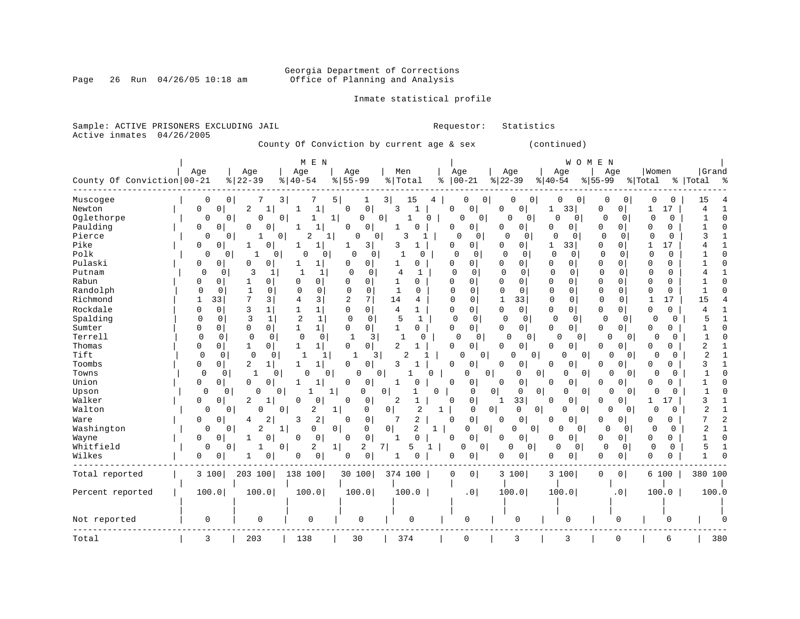#### Georgia Department of Corrections Page 26 Run 04/26/05 10:18 am Office of Planning and Analysis

# Inmate statistical profile

| Sample: ACTIVE PRISONERS EXCLUDING JAIL                                                                                                                                                                                                                                                                    |            |                                                                                                                                                                                                                                                                                                                                                                                                                   |                                                                                                                                                                                                                                                                                                                                                                                       |                                                                                                                                                                                                                                                                                                                                                                        |                                                                                                                                                                                                                                                                                                                                                                                                                                                                                       |                                                                                                                                                                                                                                                                                                                                                                                                                                           | Requestor:                                                                                                                                                                                                    |                                                                                                                                                                                                                                                           | Statistics                                                                                                                                                                                                                                                                                                                                                                                                                                                                                                           |                                                                                                                                                                                                                                                                                                                                                                                                                                                                                                 |                                                                                                                                                                                                                                                                                                                                                                                                                                                                                                                                                                                                                             |                                                                                                                                                                                                                                                                                                                                                                                                                                                                       |                                                                                                                                                                                                                                                                      |
|------------------------------------------------------------------------------------------------------------------------------------------------------------------------------------------------------------------------------------------------------------------------------------------------------------|------------|-------------------------------------------------------------------------------------------------------------------------------------------------------------------------------------------------------------------------------------------------------------------------------------------------------------------------------------------------------------------------------------------------------------------|---------------------------------------------------------------------------------------------------------------------------------------------------------------------------------------------------------------------------------------------------------------------------------------------------------------------------------------------------------------------------------------|------------------------------------------------------------------------------------------------------------------------------------------------------------------------------------------------------------------------------------------------------------------------------------------------------------------------------------------------------------------------|---------------------------------------------------------------------------------------------------------------------------------------------------------------------------------------------------------------------------------------------------------------------------------------------------------------------------------------------------------------------------------------------------------------------------------------------------------------------------------------|-------------------------------------------------------------------------------------------------------------------------------------------------------------------------------------------------------------------------------------------------------------------------------------------------------------------------------------------------------------------------------------------------------------------------------------------|---------------------------------------------------------------------------------------------------------------------------------------------------------------------------------------------------------------|-----------------------------------------------------------------------------------------------------------------------------------------------------------------------------------------------------------------------------------------------------------|----------------------------------------------------------------------------------------------------------------------------------------------------------------------------------------------------------------------------------------------------------------------------------------------------------------------------------------------------------------------------------------------------------------------------------------------------------------------------------------------------------------------|-------------------------------------------------------------------------------------------------------------------------------------------------------------------------------------------------------------------------------------------------------------------------------------------------------------------------------------------------------------------------------------------------------------------------------------------------------------------------------------------------|-----------------------------------------------------------------------------------------------------------------------------------------------------------------------------------------------------------------------------------------------------------------------------------------------------------------------------------------------------------------------------------------------------------------------------------------------------------------------------------------------------------------------------------------------------------------------------------------------------------------------------|-----------------------------------------------------------------------------------------------------------------------------------------------------------------------------------------------------------------------------------------------------------------------------------------------------------------------------------------------------------------------------------------------------------------------------------------------------------------------|----------------------------------------------------------------------------------------------------------------------------------------------------------------------------------------------------------------------------------------------------------------------|
| Active inmates                                                                                                                                                                                                                                                                                             | 04/26/2005 |                                                                                                                                                                                                                                                                                                                                                                                                                   |                                                                                                                                                                                                                                                                                                                                                                                       | County Of Conviction by current age & sex                                                                                                                                                                                                                                                                                                                              |                                                                                                                                                                                                                                                                                                                                                                                                                                                                                       |                                                                                                                                                                                                                                                                                                                                                                                                                                           |                                                                                                                                                                                                               |                                                                                                                                                                                                                                                           |                                                                                                                                                                                                                                                                                                                                                                                                                                                                                                                      | (continued)                                                                                                                                                                                                                                                                                                                                                                                                                                                                                     |                                                                                                                                                                                                                                                                                                                                                                                                                                                                                                                                                                                                                             |                                                                                                                                                                                                                                                                                                                                                                                                                                                                       |                                                                                                                                                                                                                                                                      |
| County Of Conviction 00-21                                                                                                                                                                                                                                                                                 |            | Age                                                                                                                                                                                                                                                                                                                                                                                                               | Age<br>$ 22-39$                                                                                                                                                                                                                                                                                                                                                                       | M E N<br>Age<br>$8   40 - 54$                                                                                                                                                                                                                                                                                                                                          | Age<br>$ 55-99$                                                                                                                                                                                                                                                                                                                                                                                                                                                                       | Men<br>% Total                                                                                                                                                                                                                                                                                                                                                                                                                            | Age<br>$8   00 - 21$                                                                                                                                                                                          |                                                                                                                                                                                                                                                           | Age<br>$ 22-39$                                                                                                                                                                                                                                                                                                                                                                                                                                                                                                      | W O M E N<br>Age<br>$ 40-54$                                                                                                                                                                                                                                                                                                                                                                                                                                                                    | Age<br>$\frac{1}{6}$ 55-99                                                                                                                                                                                                                                                                                                                                                                                                                                                                                                                                                                                                  | Women<br>% Total                                                                                                                                                                                                                                                                                                                                                                                                                                                      | Grand<br>%   Total %                                                                                                                                                                                                                                                 |
| Muscogee<br>Newton<br>Oglethorpe<br>Paulding<br>Pierce<br>Pike<br>Polk<br>Pulaski<br>Putnam<br>Rabun<br>Randolph<br>Richmond<br>Rockdale<br>Spalding<br>Sumter<br>Terrell<br>Thomas<br>Tift<br>Toombs<br>Towns<br>Union<br>Upson<br>Walker<br>Walton<br>Ware<br>Washington<br>Wayne<br>Whitfield<br>Wilkes |            | $\mathbf 0$<br>0 <sup>1</sup><br>0<br>0<br>0<br>$\circ$<br>0<br>0<br>0<br>0<br>0<br>0<br>0<br>0<br>0<br>0<br>0<br>0<br>$\mathbf 0$<br>0<br>0<br>0<br>33<br>1<br>$\mathbf 0$<br>0<br>0<br>0<br>0<br>0<br>$\mathbf 0$<br>0<br>0<br>0<br>$\mathbf 0$<br>0<br>0<br>0 <sup>1</sup><br>0<br>0<br>0<br>0<br>0<br>$\mathbf{0}$<br>0<br>0<br>0<br>$\mathbf{0}$<br>0<br>0<br>0<br>$\mathbf 0$<br>0<br>0<br>0<br>0<br>0<br>0 | 3 <br>7<br>2<br>0<br>0<br>$\Omega$<br>0<br>1<br>$\overline{0}$<br>0<br>-1<br>$\mathbf{1}$<br>0<br>0<br>0<br>3<br>-1<br>$\Omega$<br>1<br>$\mathbf{1}$<br>0<br>7<br>3<br>3<br>1<br>3<br>$\mathbf{1}$<br>0<br>0<br>0<br>0<br>1<br>0<br>$\mathbf 0$<br>0<br>2<br>$\mathbf{1}$<br>0<br>0<br>0<br>$\Omega$<br>0<br>2<br>1<br>0<br>0<br>2<br>4<br>2<br>$\mathbf{1}$<br>1<br>0<br>0<br>1<br>0 | 1<br>1<br>1<br>$\mathbf{1}$<br>2<br>1<br>1<br>-1<br>$\Omega$<br>0<br>1<br>1<br>-1<br>1<br>0<br>$\Omega$<br>$\Omega$<br>$\mathbf 0$<br>3<br>4<br>1 <br>$\mathbf{1}$<br>$\sqrt{2}$<br>$\mathbf{1}$<br>1 <br>1<br>$\mathbf 0$<br>0<br>1<br>1<br>$\mathbf{1}$<br>1<br>$\mathbf{1}$<br>1<br>0<br>1<br>1<br>-1<br>0<br>0<br>2<br>2<br>3<br>0<br>0<br>0<br>2<br>0<br>$\Omega$ | 5<br>1<br>0<br>0<br>0<br>$1\vert$<br>$\circ$<br>$\Omega$<br>0<br>0<br>3<br>1<br>$\Omega$<br>0<br>$\Omega$<br>0 <sup>1</sup><br>0<br>$\mathbf 0$<br>$\Omega$<br>$\Omega$<br>0<br>0<br>2<br>7<br>$\mathbf 0$<br>$\overline{0}$<br>$\mathbf 0$<br>0<br>$\circ$<br>0<br>3<br>1<br>0<br>0 <sup>1</sup><br>-1<br>3<br>$\Omega$<br>$\mathbf 0$<br>0<br>0<br>0<br>0<br>$\mathbf 1$<br>0<br>0<br>0<br>$\mathbf{1}$<br>0<br>0<br>0<br>0<br>0<br>$\mathsf{O}$<br>0<br>$\mathbf 1$<br>2<br>0<br>0 | 15<br>3 <br>3<br>$\circ$<br>$\mathbf{1}$<br>0<br>3<br>$\mathbf{1}$<br>3<br>1<br>$\Omega$<br>1<br>0<br>4<br>1<br>$\Omega$<br>$\mathbf{1}$<br>$\mathbf{1}$<br>0<br>14<br>4<br>4<br>$\mathbf{1}$<br>5<br>$\mathbf{1}$<br>$\mathbf{1}$<br>0<br>$\mathbf{1}$<br>0<br>2<br>$\overline{2}$<br>3<br>0<br>1<br>0<br>1<br>2<br>1<br>0<br>2<br>$\overline{2}$<br>7<br>0<br>$\overline{c}$<br>$\Omega$<br>$\mathbf{1}$<br>7<br>5<br>0<br>$\mathbf{1}$ | 4<br>0<br>0<br>0<br>$\mathbf 0$<br>0<br>$\Omega$<br>0<br>$\mathbf 0$<br>0<br>$\Omega$<br>$\Omega$<br>0<br>$\mathbf 0$<br>0<br>$\Omega$<br>0<br>0<br>U<br>0<br>0<br>0<br>1<br>0<br>$\mathbf{1}$<br>0<br>1<br>0 | 0 <br>0<br>0<br>O<br>0<br>0<br>0<br>0<br>0<br>0<br>0<br>0<br>$\mathbf 0$<br>0<br>0<br>0<br>0<br>$\mathbf 0$<br>0<br>0<br>0<br>0<br>0<br>0<br>0<br>$\mathbf 0$<br> 0 <br>0<br>$\mathbf 0$<br>0 <sup>1</sup><br>0<br>0<br>$\mathbf 0$<br>0<br>0<br> 0 <br>0 | 0<br>$\mathbf{0}$<br>0<br>0<br>$\Omega$<br>0<br>$\Omega$<br>0<br>0<br>0<br>$\Omega$<br>$\overline{0}$<br>$\Omega$<br>$\Omega$<br>0<br>0<br>$\Omega$<br>$\Omega$<br>$\Omega$<br>$\Omega$<br>$\Omega$<br>$\mathbf 0$<br>33<br>1<br>$\mathbf 0$<br>$\Omega$<br>$\mathbf 0$<br>$\Omega$<br>$\Omega$<br>0<br>0<br>$\Omega$<br>0<br>0<br>0<br>0<br>0<br>$\Omega$<br>0<br>0<br>$\mathbf 0$<br>0<br>0<br>0<br>33<br>1<br>0<br>0 <sup>1</sup><br>$\mathbf 0$<br>0<br>$\mathbf{0}$<br>0<br> 0 <br>0<br>$\Omega$<br>0<br>0<br>0 | 0<br> 0 <br>33<br>1<br>$\Omega$<br>$\circ$<br>0<br>0<br>$\mathbf 0$<br>0<br>331<br>1<br>$\Omega$<br>$\mathbf 0$<br>0<br>0<br>$\mathbf 0$<br>0<br>$\Omega$<br>$\Omega$<br>$\mathbf 0$<br>0<br>$\mathbf 0$<br>0<br>0<br>0<br>0<br>$\overline{0}$<br>0<br>0 <sup>1</sup><br>0 <sup>1</sup><br>U<br>0<br>0<br>U<br>0<br>0<br>0<br>0<br>0<br>0<br>0<br>$\Omega$<br>0<br>0<br>0<br>0<br>$\mathbf{0}$<br>0<br>0<br>$\Omega$<br>$\Omega$<br>0<br>0 <sup>1</sup><br>$\Omega$<br>0<br>0<br>0 <sup>1</sup> | 0<br>$\Omega$<br>0 <sup>1</sup><br>0<br>$\mathbf 0$<br>$\mathbf 0$<br>$\Omega$<br>0<br>0<br>$\mathbf 0$<br>$\mathbf 0$<br>$\overline{0}$<br>$\Omega$<br>0<br>$\mathbf 0$<br>$\overline{0}$<br>$\mathbf 0$<br>0<br>$\Omega$<br>$\Omega$<br>$\mathbf 0$<br>0<br>0<br>0<br>$\mathbf 0$<br>$\overline{0}$<br>$\mathbf 0$<br>0<br>0<br>0<br>$\circ$<br>0<br>0<br>0<br>$\Omega$<br>$\overline{0}$<br>0<br>$\Omega$<br>O<br>$\overline{0}$<br>0<br>0<br>$\cap$<br>0 <sup>1</sup><br>0  <br>0<br>$\Omega$<br>$\Omega$<br>0<br>O<br>0<br>$\Omega$<br>$\mathbf 0$<br>0 <sup>1</sup><br>$\Omega$<br>0<br>$\mathbf 0$<br>0 <sup>1</sup> | 0<br>0<br>17<br>1<br>$\Omega$<br>$\Omega$<br>0<br>0<br>$\mathbf 0$<br>0<br>17<br>$\mathbf{1}$<br>$\Omega$<br>$\Omega$<br>0<br>0<br>$\Omega$<br>$\Omega$<br>$\Omega$<br>$\Omega$<br>$\mathbf 0$<br>$\Omega$<br>17<br>1<br>0<br>0<br>$\Omega$<br>0<br>0<br>0<br>$\Omega$<br>$\Omega$<br>0<br>0<br>0<br>$\Omega$<br>$\Omega$<br>O<br>0<br>0<br>0<br>U<br>0<br>$\Omega$<br>17<br>1<br>0<br>0<br>0<br>O<br>$\Omega$<br>$\mathbf 0$<br>0<br>0<br>$\mathbf 0$<br>0<br>0<br>0 | 15<br>4<br>-1<br>$\cap$<br>1<br>C<br>3<br>$\sqrt{ }$<br>4<br>1<br>15<br>4<br>5<br>-1<br>C<br>$\mathbf{1}$<br>2<br>2<br>-1<br>3<br>$\overline{1}$<br>1<br>$\mathbf{1}$<br>U<br>3<br>-1<br>$\overline{2}$<br>$\overline{1}$<br>7<br>2<br>$\overline{2}$<br>1<br>5<br>1 |
| Total reported                                                                                                                                                                                                                                                                                             |            | 3 100                                                                                                                                                                                                                                                                                                                                                                                                             | 203 100                                                                                                                                                                                                                                                                                                                                                                               | 138 100                                                                                                                                                                                                                                                                                                                                                                | 30 100                                                                                                                                                                                                                                                                                                                                                                                                                                                                                | 374 100                                                                                                                                                                                                                                                                                                                                                                                                                                   | 0                                                                                                                                                                                                             | 0 <sup>1</sup>                                                                                                                                                                                                                                            | 3 100                                                                                                                                                                                                                                                                                                                                                                                                                                                                                                                | 3 100                                                                                                                                                                                                                                                                                                                                                                                                                                                                                           | 0<br>$\overline{0}$                                                                                                                                                                                                                                                                                                                                                                                                                                                                                                                                                                                                         | 6 100                                                                                                                                                                                                                                                                                                                                                                                                                                                                 | 380 100                                                                                                                                                                                                                                                              |
| Percent reported                                                                                                                                                                                                                                                                                           |            | 100.0                                                                                                                                                                                                                                                                                                                                                                                                             | 100.0                                                                                                                                                                                                                                                                                                                                                                                 | 100.0                                                                                                                                                                                                                                                                                                                                                                  | 100.0                                                                                                                                                                                                                                                                                                                                                                                                                                                                                 | 100.0                                                                                                                                                                                                                                                                                                                                                                                                                                     |                                                                                                                                                                                                               | .0                                                                                                                                                                                                                                                        | 100.0                                                                                                                                                                                                                                                                                                                                                                                                                                                                                                                | 100.0                                                                                                                                                                                                                                                                                                                                                                                                                                                                                           | .0                                                                                                                                                                                                                                                                                                                                                                                                                                                                                                                                                                                                                          | 100.0                                                                                                                                                                                                                                                                                                                                                                                                                                                                 | 100.0                                                                                                                                                                                                                                                                |
| Not reported                                                                                                                                                                                                                                                                                               |            | 0                                                                                                                                                                                                                                                                                                                                                                                                                 | 0                                                                                                                                                                                                                                                                                                                                                                                     | 0                                                                                                                                                                                                                                                                                                                                                                      | 0                                                                                                                                                                                                                                                                                                                                                                                                                                                                                     | $\mathbf 0$                                                                                                                                                                                                                                                                                                                                                                                                                               |                                                                                                                                                                                                               | 0                                                                                                                                                                                                                                                         | 0                                                                                                                                                                                                                                                                                                                                                                                                                                                                                                                    | 0                                                                                                                                                                                                                                                                                                                                                                                                                                                                                               | 0                                                                                                                                                                                                                                                                                                                                                                                                                                                                                                                                                                                                                           | 0                                                                                                                                                                                                                                                                                                                                                                                                                                                                     |                                                                                                                                                                                                                                                                      |
| Total                                                                                                                                                                                                                                                                                                      |            | 3                                                                                                                                                                                                                                                                                                                                                                                                                 | 203                                                                                                                                                                                                                                                                                                                                                                                   | 138                                                                                                                                                                                                                                                                                                                                                                    | 30                                                                                                                                                                                                                                                                                                                                                                                                                                                                                    | 374                                                                                                                                                                                                                                                                                                                                                                                                                                       |                                                                                                                                                                                                               | $\mathbf 0$                                                                                                                                                                                                                                               | 3                                                                                                                                                                                                                                                                                                                                                                                                                                                                                                                    | 3                                                                                                                                                                                                                                                                                                                                                                                                                                                                                               | $\mathbf 0$                                                                                                                                                                                                                                                                                                                                                                                                                                                                                                                                                                                                                 | 6                                                                                                                                                                                                                                                                                                                                                                                                                                                                     | 380                                                                                                                                                                                                                                                                  |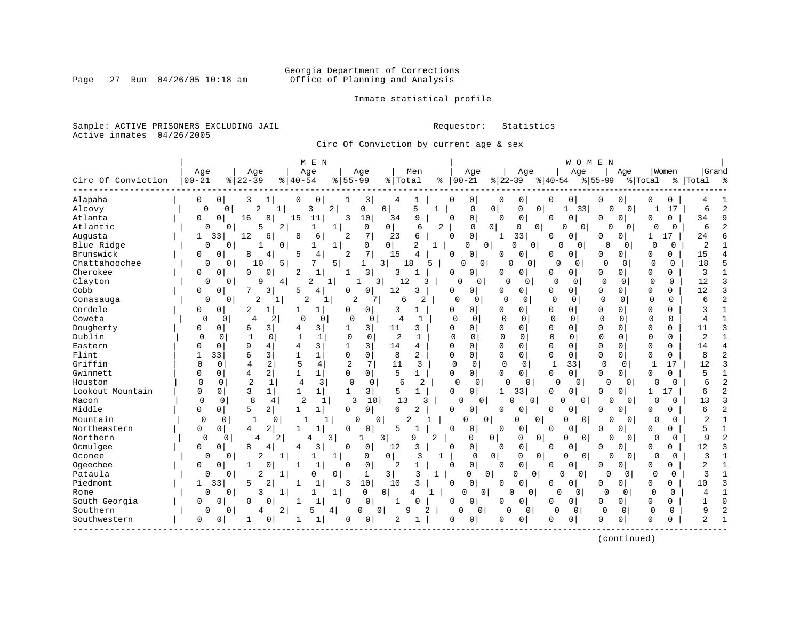# Georgia Department of Corrections<br>Page 27 Run 04/26/05 10:18 am 60ffice of Planning and Analysis Office of Planning and Analysis

Inmate statistical profile

Sample: ACTIVE PRISONERS EXCLUDING JAIL **Requestor:** Statistics Active inmates 04/26/2005

Circ Of Conviction by current age & sex

|                    |             |                            |                               | M E N                        |                |                  |                |              |              |                      |                |                            |              | WOMEN       |                            |                    |                   |                |                |
|--------------------|-------------|----------------------------|-------------------------------|------------------------------|----------------|------------------|----------------|--------------|--------------|----------------------|----------------|----------------------------|--------------|-------------|----------------------------|--------------------|-------------------|----------------|----------------|
|                    | Age         |                            | Age                           | Age                          |                | Age              |                | Men          |              | Age                  |                | Age                        |              | Age         | Aqe                        |                    | Women             | Grand          |                |
| Circ Of Conviction | $00 - 21$   | $8122 - 39$                |                               | $8   40 - 54$                | $8 55-99$      |                  | % Total        |              | ႜ            | $00 - 21$            | $ 22-39$       |                            | $ 40-54$     | $8155 - 99$ |                            | % Total            |                   | %   Total      | ႜ              |
| Alapaha            | 0           | $\overline{0}$<br>3        | ı                             | 0<br>0                       | 1              | 3                | 4              | 1            | $\Omega$     | 0                    | 0              | 0                          | 0            | 0           | 0<br>0                     | 0                  | 0                 |                |                |
| Alcovy             | $\mathbf 0$ | $\Omega$                   | $\overline{a}$<br>$\mathbf 1$ | 3                            | $\overline{2}$ | 0                | $\mathbf{0}$   | 5            |              | 0                    | 0 <sup>1</sup> | 0<br>$\overline{0}$        | $\mathbf 1$  | 33          | $\mathbf 0$                | 0                  | 17                | 6              | $\overline{a}$ |
| Atlanta            | 0           | $\mathbf 0$<br>16          | 8                             | 15<br>11                     | 3              | 10               | 34             | 9            | $\Omega$     | 0                    | $\Omega$       | 0                          | <sup>0</sup> | $\mathbf 0$ | 0<br>0                     | $\Omega$           | $\Omega$          | 34             | 9              |
| Atlantic           | $\Omega$    | 0                          | 5<br>$\overline{a}$           |                              | 1              | 0                | $\overline{0}$ | 6            | 2            | $\Omega$             | 0              | 0<br>0                     | U            | 0           | $\Omega$                   | 0<br>O             | $\Omega$          | 6              | $\overline{a}$ |
| Augusta            | 1           | 12<br>33                   | 6                             | 8<br>6                       | 2              | 7                | 23             | б            | $\Omega$     | $\Omega$             | $\mathbf{1}$   | 33                         | U            | $\Omega$    | 0<br>O                     | 1                  | 17                | 24             | ศ              |
| Blue Ridge         | 0           | 0                          | 0 <sup>1</sup>                |                              | $\mathbf{1}$   | 0                | $\overline{0}$ | 2<br>1       |              | 0                    | 0              | $\Omega$<br>0              | $\Omega$     | 0           | $\Omega$                   | $\cap$<br>0        | 0                 | $\overline{2}$ |                |
| Brunswick          | 0           | 0<br>8                     | 4                             | 5<br>4                       | $\overline{a}$ | 7                | 15             | 4            | $\Omega$     | 0                    | 0              | 0                          | O            | 0           | 0<br>0                     | 0                  | 0                 | 15             |                |
| Chattahoochee      | 0           | 0 I                        | 10<br>5                       |                              | 5              | 1                | 3              | 18<br>5      |              | 0<br>0               | O              | 0                          | $\Omega$     | 0           | $\Omega$<br>0              | $\Omega$           | $\Omega$          | 18             | 5              |
| Cherokee           | 0           | 0<br>$\cap$                | 0                             | 1<br>2                       | 1              | 3                | 3              | 1            | $\Omega$     | 0                    | U              | 0                          | 0            | 0           | 0<br>$\overline{0}$        | 0                  | 0                 | 3              | 1              |
| Clayton            | 0           | 0                          | 9<br>4                        | 2                            | $\mathbf{1}$   | 3                | 12             | 3            | O            | $\Omega$             | O              | 0                          | $\Omega$     | $\Omega$    | $\Omega$<br>$\mathbf 0$    | $\Omega$           | 0                 | 12             | 3              |
| Cobb               | 0           | 0                          | 3                             | 5<br>4                       | O              | 0                | 12             | 3            | $\Omega$     | $\Omega$             | <sup>0</sup>   | 0                          | 0            | 0           | 0<br>$\Omega$              | $\Omega$           | $\Omega$          | 12             | 3              |
| Conasauga          | 0           | $\overline{0}$             | 2                             | 2                            |                | 2                | 6              | 2            | $\Omega$     | 0                    | $\Omega$       | 0                          | 0            | $\mathbf 0$ | $\Omega$<br>0              | $\Omega$           | 0                 | 6              | $\overline{2}$ |
| Cordele            | 0           | 0<br>2                     | 1                             | 1<br>1                       | O              | 0                | 3              |              | 0            | $\Omega$             | O              | 0                          | 0            | 0           | $\Omega$<br>0              | $\Omega$           | $\Omega$          | 3              |                |
| Coweta             | $\Omega$    | $\Omega$                   | $\overline{4}$<br>2           | $\Omega$                     | $\Omega$<br>0  | 0                | 4              | 1            | O            | $\Omega$             | $\Omega$       | $\Omega$                   | $\Omega$     | $\Omega$    | $\Omega$<br>$\Omega$       | $\Omega$           | $\Omega$          | 4              | $\mathbf{1}$   |
| Dougherty          | 0           | 0<br>6                     | 3                             | 3                            | 1              | 3                | 11             | 3            | $\cap$       | $\Omega$             | <sup>0</sup>   | 0                          | $\Omega$     | 0           | 0<br>$\Omega$              | $\Omega$           | $\Omega$          | 11             | 3              |
| Dublin             | $\Omega$    | 0                          | 0                             | 1                            | $\mathbf 0$    | 0                | $\overline{c}$ |              | U            | $\Omega$             | $\Omega$       | $\Omega$                   | $\Omega$     | 0           | $\Omega$<br>$\Omega$       | $\Omega$           | <sup>0</sup>      | $\overline{2}$ | $\mathbf{1}$   |
| Eastern            | ∩           | 9<br>$\Omega$              | 4                             | 3                            | $\mathbf{1}$   | 3                | 14             | 4            | $\Omega$     | $\Omega$             | $\Omega$       | 0                          | $\Omega$     | $\Omega$    | O<br>$\Omega$              | $\Omega$           | $\Omega$          | 14             | 4              |
| Flint              |             | 33<br>6                    | 3                             | $\mathbf{1}$<br>-1           | 0              | $\mathbf 0$      | 8              | 2            | 0            | 0                    | 0              | 0                          | 0            | $\mathbf 0$ | $\Omega$<br>0              | 0                  | 0                 | 8              | $\overline{2}$ |
| Griffin            | 0           | 0                          | 2<br>4                        | 5<br>$\overline{4}$          | $\overline{2}$ | 7                | 11             | 3            | $\Omega$     | $\mathbf 0$          | $\mathbf 0$    | $\mathbf 0$                | $\mathbf{1}$ | 33          | $\Omega$<br>0 <sup>1</sup> | $\mathbf{1}$       | 17                | 12             | 3              |
| Gwinnett           | O           | $\overline{4}$<br>$\Omega$ | 2                             | $\mathbf{1}$<br>$\mathbf{1}$ | $\Omega$       | $\mathbf 0$      | 5              | 1            | $\Omega$     | $\overline{0}$       | 0              | 0                          | $\Omega$     | $\mathbf 0$ | 0<br>$\circ$               | $\Omega$           | 0                 | 5              | $\mathbf{1}$   |
| Houston            | $\Omega$    | 0                          | $\overline{2}$<br>1           | 4<br>3                       | 0              | 0                | 6              | 2            | 0            | 0                    | O              | 0                          | 0            | 0           | $\Omega$                   | 0<br>$\Omega$      | 0                 | 6              | $\overline{2}$ |
| Lookout Mountain   | O           | 0                          | 3<br>$\mathbf{1}$             | $1\vert$<br>$\mathbf{1}$     | 1              | 3                | 5              | $\mathbf{1}$ | $\mathbf{0}$ | 0                    | 1              | 33                         | $\Omega$     | $\Omega$    | 0<br>$\Omega$              | 1                  | $\mathbf{1}$<br>7 | 6              | 2              |
| Macon              | $\Omega$    | $\Omega$                   | 8<br>4                        | $\mathfrak{D}$               | $\mathbf{1}$   | 10<br>3          | 13             | 3            |              | $\Omega$<br>$\Omega$ | $\Omega$       | $\Omega$                   | $\Omega$     | $\Omega$    | 0                          | $\Omega$           | $\Omega$          | 13             | 3              |
| Middle             | $\Omega$    | 0 <sup>1</sup><br>5        | 2                             | $\mathbf{1}$<br>1            | 0              | $\overline{0}$   | 6              | 2            | 0            | 0                    | 0              | 0                          | $\Omega$     | 0           | $\Omega$<br>0              | $\Omega$           | $\Omega$          | 6              | $\overline{a}$ |
| Mountain           | 0           | 0                          | $\mathbf 1$<br>$\Omega$       |                              | 1              | O<br>0           |                | 2            |              | $\mathbf 0$          | 0              | 0<br>0                     | $\Omega$     | 0           | 0                          | $\Omega$<br>0      | 0                 | 2              |                |
| Northeastern       | 0           | 0<br>4                     | $\overline{2}$                | 1<br>-1                      | <sup>0</sup>   | 0                | 5              | $\mathbf{1}$ | $\Omega$     | $\circ$              | $\Omega$       | 0                          | U            | 0           | 0<br>0                     | $\Omega$           | 0                 | 5              | $\mathbf{1}$   |
| Northern           | 0           | 0                          | 4<br>2                        | 4                            | 3              |                  | 3              | 9<br>2       |              | 0                    | 0              | 0<br>0                     | 0            | 0           | $\Omega$                   | $\cap$<br>0        | 0                 | 9              | $\overline{a}$ |
| Ocmulgee           | 0           | $\Omega$<br>8              | 4                             | 3<br>4                       | 0              | 0                | 12             | 3            | $\Omega$     | 0                    | $\Omega$       | 0                          | $\Omega$     | 0           | 0<br>ი                     | $\Omega$           | $\Omega$          | 12             | 3              |
| Oconee             | 0           | 0                          | 2<br>1                        | 1                            | $\mathbf{1}$   | 0                | $\overline{0}$ | 3            | 1            | $\Omega$             | 0 <sup>1</sup> | $\Omega$<br>$\overline{0}$ | $\Omega$     | 0           | $\Omega$                   | $\Omega$<br>$\cap$ | 0                 | 3              |                |
| Ogeechee           | 0           | 0                          | $\Omega$                      | 1<br>-1                      | $\Omega$       | $\mathbf 0$      | 2              | 1            | $\Omega$     | $\mathbf 0$          | $\Omega$       | $\mathbf 0$                | $\Omega$     | 0           | 0<br>0                     | 0                  | 0                 | 2              |                |
| Pataula            | 0           | 0                          | 2                             | 0                            | 0              | 1                | 3              | 3            |              | 0                    | 0 <sup>1</sup> | $\overline{0}$<br>0        | $\Omega$     | 0           | O                          | 0<br>0             | 0                 | 3              |                |
| Piedmont           | 1           | 33<br>5                    | 2                             | $\mathbf{1}$                 | 3              | 10               | 10             | 3            | $\Omega$     | $\Omega$             | $\Omega$       | $\mathbf 0$                | 0            | $\Omega$    | $\overline{0}$<br>0        | $\Omega$           | $\Omega$          | 10             | 3              |
| Rome               | $\Omega$    | $\Omega$                   | 3                             |                              | 1              | $\Omega$         | $\circ$        | 4            |              | 0<br>$\circ$         | U              | 0                          |              | $\Omega$    | $\Omega$                   | 0<br>$\Omega$      | $\Omega$          |                | 1              |
| South Georgia      | $\Omega$    | $\cap$<br>O                | O                             | $\mathbf{1}$<br>-1           | $\Omega$       | $\Omega$         | 1              | U            | $\Omega$     | $\Omega$             | 0              | 0                          | $\Omega$     | $\Omega$    | $\Omega$<br>0              | $\Omega$           | $\Omega$          | 1              | U              |
| Southern           | 0           | 0                          | $\overline{2}$<br>4           | 5                            | 4              | $\mathbf 0$<br>0 | $\mathsf{Q}$   |              |              | $\Omega$<br>$\Omega$ | $\Omega$       | $\mathbf 0$                | 0            | 0           | 0<br>0                     | $\Omega$           | 0                 | 9              |                |
| Southwestern       | $\Omega$    | 0                          | 0                             | 1                            | <sup>0</sup>   | 0                | 2              |              | 0            | 0                    | O              | $\overline{0}$             | $\Omega$     | 0           | 0<br>0                     | $\Omega$           | $\Omega$          | $\overline{a}$ | $\mathbf{1}$   |
|                    |             |                            |                               |                              |                |                  |                |              |              |                      |                |                            |              |             |                            |                    |                   |                |                |

(continued)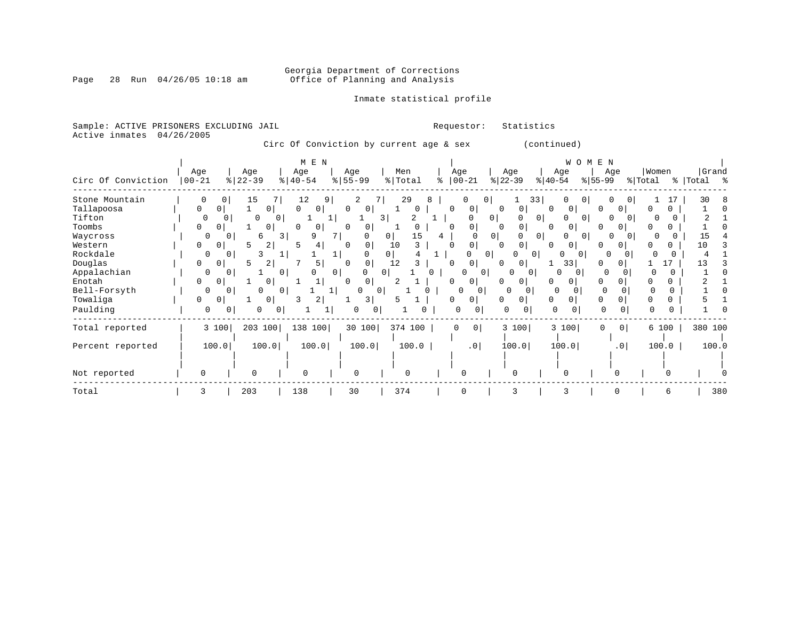#### Georgia Department of Corrections Page 28 Run 04/26/05 10:18 am Office of Planning and Analysis

# Inmate statistical profile

|  |                           | Sample: ACTIVE PRISONERS EXCLUDING JAIL |  |                                         |  |  | Requestor: Statistics |  |
|--|---------------------------|-----------------------------------------|--|-----------------------------------------|--|--|-----------------------|--|
|  | Active inmates 04/26/2005 |                                         |  |                                         |  |  |                       |  |
|  |                           |                                         |  | Circ Of Conviction by current age & sex |  |  | (continued)           |  |

| Circ Of Conviction | Age<br>$ 00 - 21$ | Age<br>$22 - 39$<br>$\frac{8}{6}$ | M E N<br>Age<br>$8   40 - 54$ | Age<br>$8 55-99$     | Men<br>%   Total    | Age<br>$8   00 - 21$ | Age<br>$ 22-39 $     | W O M<br>Age<br>$ 40-54 $       | E<br>N<br>Age<br>$ 55-99 $ | Women<br>% Total | Grand<br>% Total % |
|--------------------|-------------------|-----------------------------------|-------------------------------|----------------------|---------------------|----------------------|----------------------|---------------------------------|----------------------------|------------------|--------------------|
| Stone Mountain     |                   | 15<br>$\mathbf{0}$                | 12<br>9                       | 2                    | 29<br>8             | 0                    | 33<br>0 <sup>1</sup> | U<br>0                          | 0                          |                  | 30                 |
| Tallapoosa         | 0<br>0            | 0                                 | 0<br>0                        | 0<br>0               |                     | 0                    | $\mathbf{0}$         | $\mathbf{0}$                    | 0<br>0                     | 0                |                    |
| Tifton             | $\Omega$          | $\Omega$<br>0                     | $\circ$                       | 1                    | 2<br>3 <sup>1</sup> |                      | 0<br>0               | $\overline{0}$<br>O<br>0        | 0                          | O                |                    |
| Toombs             | 0<br>0            | $\overline{0}$                    | 0                             | 0                    | 0                   | 0                    | $\overline{0}$       | $\overline{0}$                  |                            |                  |                    |
| Waycross           | 0                 | 6                                 | 9<br>3                        | $\Omega$             | 15<br>0             | 4                    | 0 <br>0              | $\overline{0}$<br>0<br>$\Omega$ | 0<br>$\Omega$              | <sup>0</sup>     | 15                 |
| Western            | 0<br>0            | $\overline{2}$<br>$\mathsf{h}$    | 4                             |                      | 10<br>3             | 0                    | $\Omega$             | U<br>$\Omega$                   | 0                          | 0                | 10                 |
| Rockdale           | 0                 | 3                                 |                               | 1<br>$\Omega$        | 0                   | 0                    | 0<br>01<br>0         |                                 | $\Omega$<br>O              |                  |                    |
| Douglas            | 0<br>0            | 2                                 | 5                             | 0<br>O               | 12                  | 0 <sup>1</sup><br>0  | 0                    | 33                              | 0                          | 17               | 13                 |
| Appalachian        | 0                 |                                   | $\Omega$                      | 0                    | 0                   | $\mathbf{0}$         | O<br>0               | 0<br>0                          | $\Omega$                   |                  |                    |
| Enotah             | 0<br>$\mathbf{0}$ | 0 <sup>1</sup>                    |                               | $\circ$              |                     | 0<br>0               | $\overline{0}$       |                                 |                            |                  |                    |
| Bell-Forsyth       | 0                 | O                                 | $\Omega$                      | $\Omega$<br>$\Omega$ |                     | 0                    | $\Omega$             | $\Omega$                        | $\Omega$                   | O                |                    |
| Towaliga           | 0<br>0            | $\circ$                           | 2                             | 3                    |                     | 0                    | $\Omega$             | 0                               |                            |                  |                    |
| Paulding           | 0                 | $\Omega$                          | 0                             | 0                    | ∩                   | 0<br>U               | $\Omega$<br>0        | 0<br>$\Omega$                   | O                          | $\Omega$         |                    |
| Total reported     | 3 100             | 203 100                           | 138 100                       | 30 100               | 374 100             | $\Omega$<br>0        | 3 100                | 3 100                           | $\Omega$<br>0              | 6 100            | 380 100            |
| Percent reported   | 100.0             | 100.0                             | 100.0                         | 100.0                | 100.0               | $\cdot$ 0            | 100.0                | 100.0                           | $\cdot$ 0                  | 100.0            | 100.0              |
| Not reported       | 0                 | $\mathbf 0$                       | $\mathbf 0$                   | $\mathbf 0$          | $\Omega$            | 0                    | $\Omega$             | 0                               |                            |                  |                    |
| Total              | 3                 | 203                               | 138                           | 30                   | 374                 | 0                    | 3                    | 3                               |                            | 6                | 380                |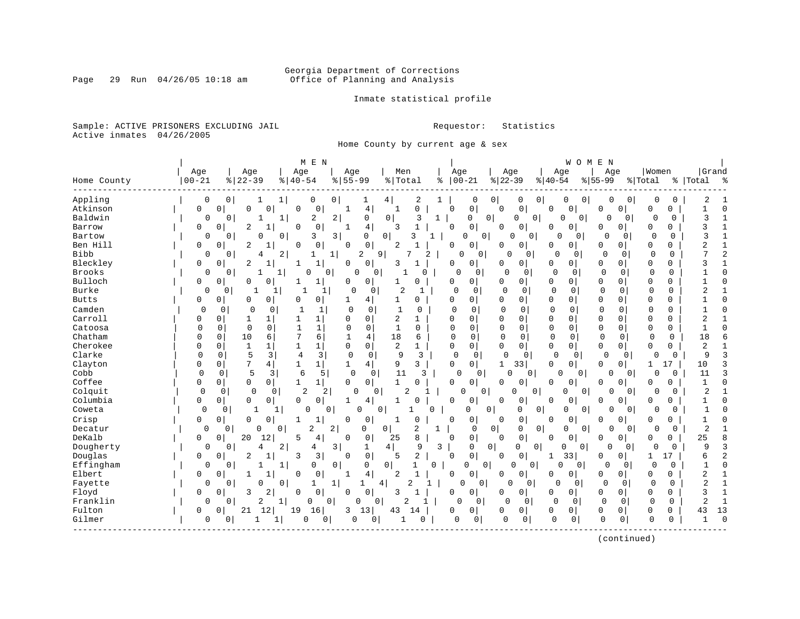# Georgia Department of Corrections<br>Page 29 Run 04/26/05 10:18 am 69 Office of Planning and Analysis Office of Planning and Analysis

Inmate statistical profile

Sample: ACTIVE PRISONERS EXCLUDING JAIL **Requestor:** Statistics Active inmates 04/26/2005

Home County by current age & sex

| Appling<br>0<br>$\overline{0}$<br>0<br>0<br>$\mathbf{1}$<br>0<br>$\overline{0}$<br>2<br>0<br>0<br>$\overline{0}$<br>0<br>0<br>0<br>0<br>2<br>1<br>4<br>1<br>0<br>ı<br>0<br>Atkinson<br>0<br>$\overline{4}$<br>0<br>0<br>$\mathbf 0$<br>0<br>0<br>$\mathbf 0$<br>0<br>$\mathbf 0$<br>0<br>0<br>0<br>0<br>0<br>$\mathbf 0$<br>0<br>1<br>0<br>Baldwin<br>2<br>$\overline{0}$<br>3<br>0<br>$\overline{a}$<br>0<br>ζ<br>$\mathbf{1}$<br>$\Omega$<br>$\Omega$<br>$\mathbf{1}$<br>$\overline{0}$<br>1<br>$\overline{0}$<br>0<br>0<br>O<br>$\circ$<br>$\Omega$<br>0<br>-1<br>$\Omega$<br>$\overline{4}$<br>0<br>2<br>0<br>0<br>0<br>3<br>Barrow<br>0<br>0<br>0<br>3<br>0<br>0<br>0<br>0<br>0<br>0<br>0<br>$\mathbf{1}$<br>0<br>3<br>$\mathbf{1}$<br>Bartow<br>0<br>0<br>0<br>3<br>3<br>0<br>3<br>1<br>0<br>$\Omega$<br>0<br>0<br>U<br>0<br>$\Omega$<br>0<br>$\Omega$<br>O<br>0<br>$\mathbf 0$<br>Ben Hill<br>0<br>2<br>0<br>0<br>2<br>0<br>$\Omega$<br>2<br>$\Omega$<br>0<br>0<br>0<br>0<br>0<br>$\Omega$<br>0<br>0<br>0<br>$\overline{c}$<br>Bibb<br>2<br>9<br>7<br>0<br>$\mathbf 0$<br>$\mathbf{1}$<br>1 <br>2<br>2<br>$\mathbf 0$<br>$\mathbf 0$<br>$\Omega$<br>$\overline{0}$<br>$\mathbf{0}$<br>0<br>0<br>$\mathbf 0$<br>4<br>O<br>0<br>Bleckley<br>2<br>$\mathbf{1}$<br>0<br>0<br>0<br>0<br>0<br>0<br>0<br>0<br>3<br>0<br>0<br>0<br>0<br>0<br>0<br>3<br>$\mathbf{1}$<br>-1<br>-1<br><b>Brooks</b><br>$\Omega$<br>0<br>$\mathbf 0$<br>$\Omega$<br>$\mathbf 0$<br>$\Omega$<br>$\Omega$<br>$\mathbf 0$<br>$\Omega$<br>$\mathbf 0$<br>$\mathbf 0$<br>$\mathbf 0$<br>$\mathbf 0$<br>$\mathbf 0$<br>$\Omega$<br>$\mathbf 0$<br>0<br>$\Omega$<br>1<br>Bulloch<br>0<br>$\Omega$<br>1<br>0<br>0<br>0<br>0<br>0<br>0<br>0<br>0<br>0<br>$\Omega$<br>0<br>0<br>0<br>0<br>0<br>0<br>Burke<br>$\Omega$<br>2<br>$\mathbf 0$<br>$\mathbf{0}$<br>$\mathbf 0$<br>0<br>$\Omega$<br>$\mathbf 0$<br>$\mathbf 0$<br>0<br>$\overline{c}$<br>$\Omega$<br>1<br>$\mathbf 0$<br>1<br>0<br>0<br>0<br>1<br>1<br>1<br>$\Omega$<br>0<br>$\mathbf 0$<br>0<br>0<br>$\mathbf{1}$<br>0<br>0<br>0<br>0<br>0<br>$\mathbf 0$<br>0<br>0<br>$\mathbf 0$<br>0<br><b>Butts</b><br>0<br>0<br>1<br>4<br>0<br>Camden<br>$\mathbf 0$<br>$\mathbf{1}$<br>$\mathbf{0}$<br>$\mathbf{0}$<br>$\mathbf 0$<br>0<br>$\mathbf 0$<br>0<br>$\mathbf{1}$<br>0<br>0<br>$\mathbf 0$<br>0<br>$\Omega$<br>0<br>0<br>$\mathbf 0$<br>$\mathbf 0$<br>$\Omega$<br>$\mathbf{1}$<br>0<br>Carroll<br>2<br>0<br>$\mathbf 0$<br>$\Omega$<br>$\mathbf 0$<br>0<br>0<br>1<br>$\Omega$<br>0<br>$\Omega$<br>0<br>0<br>0<br>0<br>0<br>2<br>1<br>1<br>0<br>Catoosa<br>$\mathbf 0$<br>0<br>$\mathbf{1}$<br>$\mathbf{1}$<br>$\mathbf 0$<br>$\overline{0}$<br>$\mathbf{1}$<br>0<br>$\mathbf 0$<br>0<br>$\mathbf 0$<br>$\Omega$<br>$\mathbf 0$<br>$\mathbf 0$<br>0<br>$\Omega$<br>$\Omega$<br>$\mathbf 0$<br>0<br>$\Omega$<br>6<br>Chatham<br>7<br>10<br>6<br>4<br>18<br>$\mathbf 0$<br>$\mathbf 0$<br>$\Omega$<br>$\mathbf 0$<br>$\mathbf 0$<br>$\mathbf 0$<br>18<br>6<br>0<br>0<br>1<br>6<br>0<br>0<br>0<br>0<br>Cherokee<br>$\mathbf 1$<br>$\mathsf{O}\xspace$<br>2<br>0<br>$\mathbf 0$<br>0<br>0<br>$\mathbf{1}$<br>$\mathbf{1}$<br>$\mathbf{1}$<br>$\mathbf 0$<br>$\mathbf{1}$<br>$\mathbf 0$<br>$\mathbf 0$<br>$\mathbf 0$<br>0<br>0<br>$\mathbf 0$<br>$\mathbf 0$<br>2<br>$\mathbf{1}$<br>0<br>5<br>Clarke<br>3<br>3<br>0<br>9<br>3<br>$\Omega$<br>9<br>3<br>$\Omega$<br>0<br>4<br>0<br>0<br>$\mathbf 0$<br>0<br>$\mathbf 0$<br>$\overline{0}$<br>$\mathbf 0$<br>$\Omega$<br>0<br>0<br>7<br>Clayton<br>$\mathbf{1}$<br>4<br>3<br>$\Omega$<br>0<br>$\mathbf{1}$<br>33<br>0<br>$\mathbf 0$<br>$\mathbf 0$<br>17<br>10<br>3<br>0<br>0<br>4<br>9<br>1<br>1<br>0<br>5<br>3<br>Cobb<br>6<br>5<br>$\mathbf 0$<br>11<br>3<br>$\mathbf 0$<br>$\mathbf 0$<br>3<br>$\mathbf 0$<br>$\mathbf 0$<br>$\Omega$<br>$\Omega$<br>11<br>$\Omega$<br>0<br>0<br>$\overline{0}$<br>$\Omega$<br>$\overline{0}$<br>0<br>Coffee<br>0<br>$\Omega$<br>0<br>0<br>0<br>0<br>1<br>$\mathbf{1}$<br>0<br>1<br>0<br>0<br>0<br>0<br>0<br>0<br>0<br>0<br>$\mathbf{1}$<br>0<br>0<br>0<br>2<br>$\overline{c}$<br>$\mathbf{1}$<br>Colquit<br>$\mathbf 0$<br>$\mathbf 0$<br>2<br>$\overline{c}$<br>0<br>0<br>0<br>$\Omega$<br>0<br>0<br>$\overline{0}$<br>$\Omega$<br>$\overline{0}$<br>0<br>$\Omega$<br>$\Omega$<br>0<br>0<br>Columbia<br>4<br>0<br>0<br>$\Omega$<br>0<br>$\mathbf 0$<br>0<br>0<br>0<br>$\Omega$<br>0<br>$\mathbf 0$<br>$\mathbf 0$<br>$\Omega$<br>0<br>0<br>$\mathbf{1}$<br>0<br>0<br>0<br>1<br>$\Omega$<br>0<br>0<br>$\mathbf 0$<br>0<br>$\Omega$<br>Coweta<br>0<br>1<br>$\mathbf 1$<br>$\Omega$<br>0<br>$\Omega$<br>1<br>0<br>$\Omega$<br>$\Omega$<br>0<br>0<br>$\Omega$<br>$\Omega$<br>0<br>1<br>Crisp<br>$\mathbf{1}$<br>$\mathbf{0}$<br>$\mathbf 0$<br>0<br>0<br>0<br>0<br>$\Omega$<br>$\Omega$<br>1<br>$\Omega$<br>$\mathbf{1}$<br>0<br>$\Omega$<br><sup>0</sup><br>0<br>0<br><sup>0</sup><br>0<br>0<br>$\Omega$<br>$\overline{0}$<br>$\overline{2}$<br>$\mathbf 0$<br>$\mathbf 0$<br>2<br>$\overline{2}$<br>$\mathbf 0$<br>$\overline{2}$<br>$\mathbf{1}$<br>$\mathbf 0$<br>0<br>0<br>0 <sup>1</sup><br>$\overline{0}$<br>$\mathbf 0$<br>Decatur<br>0<br>0<br>0<br>0<br>0<br>0<br>$\mathbf{1}$<br>0<br>0<br>8<br>DeKalb<br>20<br>5<br>8<br>0<br>$\mathbf 0$<br>25<br>0<br>12<br>4<br>0<br>0<br>25<br>0<br>0<br>0<br>0<br>0<br>0<br>0<br>Dougherty<br>4  <br>9<br>9<br>3<br>0<br>2<br>3<br>$\mathbf 1$<br>3<br>$\mathbf 0$<br>0<br>$\mathbf 0$<br>$\overline{0}$<br>4<br>4<br>0<br>$\Omega$<br>$\overline{0}$<br>$\Omega$<br>$\Omega$<br>$\Omega$<br>0<br>$\mathbf 0$<br>2<br>$\overline{2}$<br>Douglas<br>2<br>3<br>5<br>0<br>0<br>3<br>0<br>0<br>33<br>0<br>17<br>0<br>0<br>$\Omega$<br>0<br>1<br>6<br>1<br>Effingham<br>0<br>$\Omega$<br>$\mathbf{0}$<br>$\Omega$<br>0<br>$\Omega$<br>1<br>1<br>0<br>0<br>0<br>1<br>$\Omega$<br>$\Omega$<br>$\Omega$<br>$\Omega$<br>$\Omega$<br>0<br>$\Omega$<br>0<br>1<br>U<br>$\overline{4}$<br>$\mathbf{1}$<br>Elbert<br>0<br>2<br>0<br>0<br>$\mathbf 0$<br>0<br>0<br>0<br>2<br>0<br>0<br>0<br>0<br>0<br>0<br>0<br>2<br>0<br>2<br>Fayette<br>0<br>0<br>O<br>0<br>1<br>1<br>4 <br>U<br>0<br>0<br>$\Omega$<br>0<br>0<br>0<br>0<br>$\mathbf{1}$<br>1<br>1<br>0<br>2<br>Floyd<br>0<br>$\mathbf{0}$<br>3<br>0<br>0<br>0<br>0<br>3<br>0<br>$\mathbf 0$<br>3<br>$\Omega$<br>$\Omega$<br>0<br>0<br>0<br>0<br>0<br>0<br>$\mathbf{1}$<br>1<br>Franklin<br>2<br>$\mathbf 0$<br>2<br>0<br>0<br>2<br>1<br>0<br>0<br>1<br>0<br>0<br>$\Omega$<br>$\Omega$<br>0<br>0<br>0<br>0<br>$\mathbf{1}$<br>0<br>0<br>0<br>13<br>Fulton<br>21<br>12<br>19<br>16<br>13<br>$\mathbf 0$<br>$\mathbf 0$<br>0<br>$\Omega$<br>3<br>43<br>$\Omega$<br>0<br>0<br>0<br>0<br>0<br>0<br>0<br>43<br>14 | Home County | Age<br>$00 - 21$ |   | Age<br>$8   22 - 39$ |   | M E N<br>Age<br>$8   40 - 54$ | Age<br>$8 55-99$ |   | Men<br>%   Total |   | Age<br>ႜ | $ 00 - 21$ | Age<br>$ 22-39$ |   | Age<br>$ 40-54$ | W O M | E<br>N<br>Age<br>$8 55-99$ |   | Women<br>% Total |   | Grand<br>%   Total | ಿ        |
|-----------------------------------------------------------------------------------------------------------------------------------------------------------------------------------------------------------------------------------------------------------------------------------------------------------------------------------------------------------------------------------------------------------------------------------------------------------------------------------------------------------------------------------------------------------------------------------------------------------------------------------------------------------------------------------------------------------------------------------------------------------------------------------------------------------------------------------------------------------------------------------------------------------------------------------------------------------------------------------------------------------------------------------------------------------------------------------------------------------------------------------------------------------------------------------------------------------------------------------------------------------------------------------------------------------------------------------------------------------------------------------------------------------------------------------------------------------------------------------------------------------------------------------------------------------------------------------------------------------------------------------------------------------------------------------------------------------------------------------------------------------------------------------------------------------------------------------------------------------------------------------------------------------------------------------------------------------------------------------------------------------------------------------------------------------------------------------------------------------------------------------------------------------------------------------------------------------------------------------------------------------------------------------------------------------------------------------------------------------------------------------------------------------------------------------------------------------------------------------------------------------------------------------------------------------------------------------------------------------------------------------------------------------------------------------------------------------------------------------------------------------------------------------------------------------------------------------------------------------------------------------------------------------------------------------------------------------------------------------------------------------------------------------------------------------------------------------------------------------------------------------------------------------------------------------------------------------------------------------------------------------------------------------------------------------------------------------------------------------------------------------------------------------------------------------------------------------------------------------------------------------------------------------------------------------------------------------------------------------------------------------------------------------------------------------------------------------------------------------------------------------------------------------------------------------------------------------------------------------------------------------------------------------------------------------------------------------------------------------------------------------------------------------------------------------------------------------------------------------------------------------------------------------------------------------------------------------------------------------------------------------------------------------------------------------------------------------------------------------------------------------------------------------------------------------------------------------------------------------------------------------------------------------------------------------------------------------------------------------------------------------------------------------------------------------------------------------------------------------------------------------------------------------------------------------------------------------------------------------------------------------------------------------------------------------------------------------------------------------------------------------------------------------------------------------------------------------------------------------------------------------------------------------------------------------------------------------------------------------------------------------------------------------------------------------------------------------------------------------------------------------------------------------------------------------------------------------------------------------------------------------------------------------------------------------------------------------------------------------------------------------------------------------------------------------------------------------------------------------------------------------------------------------------------------------------------------------------------------------------------------------------------------------------------------------------------------------------------------------------------------------------------------------------------------------------------------------------------------------------------------------------------------------------------------------------------------------------------------------------------------------------------------------------------------------------------------------------------------------------------------------------------------------------------------------------------------------------------------------------------------------------------------------------------------------------------------------------------------------------------------------------------------------------------------------------------------------|-------------|------------------|---|----------------------|---|-------------------------------|------------------|---|------------------|---|----------|------------|-----------------|---|-----------------|-------|----------------------------|---|------------------|---|--------------------|----------|
|                                                                                                                                                                                                                                                                                                                                                                                                                                                                                                                                                                                                                                                                                                                                                                                                                                                                                                                                                                                                                                                                                                                                                                                                                                                                                                                                                                                                                                                                                                                                                                                                                                                                                                                                                                                                                                                                                                                                                                                                                                                                                                                                                                                                                                                                                                                                                                                                                                                                                                                                                                                                                                                                                                                                                                                                                                                                                                                                                                                                                                                                                                                                                                                                                                                                                                                                                                                                                                                                                                                                                                                                                                                                                                                                                                                                                                                                                                                                                                                                                                                                                                                                                                                                                                                                                                                                                                                                                                                                                                                                                                                                                                                                                                                                                                                                                                                                                                                                                                                                                                                                                                                                                                                                                                                                                                                                                                                                                                                                                                                                                                                                                                                                                                                                                                                                                                                                                                                                                                                                                                                                                                                                                                                                                                                                                                                                                                                                                                                                                                                                                                                                                                                                                                           |             |                  |   |                      |   |                               |                  |   |                  |   |          |            |                 |   |                 |       |                            |   |                  |   |                    |          |
|                                                                                                                                                                                                                                                                                                                                                                                                                                                                                                                                                                                                                                                                                                                                                                                                                                                                                                                                                                                                                                                                                                                                                                                                                                                                                                                                                                                                                                                                                                                                                                                                                                                                                                                                                                                                                                                                                                                                                                                                                                                                                                                                                                                                                                                                                                                                                                                                                                                                                                                                                                                                                                                                                                                                                                                                                                                                                                                                                                                                                                                                                                                                                                                                                                                                                                                                                                                                                                                                                                                                                                                                                                                                                                                                                                                                                                                                                                                                                                                                                                                                                                                                                                                                                                                                                                                                                                                                                                                                                                                                                                                                                                                                                                                                                                                                                                                                                                                                                                                                                                                                                                                                                                                                                                                                                                                                                                                                                                                                                                                                                                                                                                                                                                                                                                                                                                                                                                                                                                                                                                                                                                                                                                                                                                                                                                                                                                                                                                                                                                                                                                                                                                                                                                           |             |                  |   |                      |   |                               |                  |   |                  |   |          |            |                 |   |                 |       |                            |   |                  |   |                    |          |
|                                                                                                                                                                                                                                                                                                                                                                                                                                                                                                                                                                                                                                                                                                                                                                                                                                                                                                                                                                                                                                                                                                                                                                                                                                                                                                                                                                                                                                                                                                                                                                                                                                                                                                                                                                                                                                                                                                                                                                                                                                                                                                                                                                                                                                                                                                                                                                                                                                                                                                                                                                                                                                                                                                                                                                                                                                                                                                                                                                                                                                                                                                                                                                                                                                                                                                                                                                                                                                                                                                                                                                                                                                                                                                                                                                                                                                                                                                                                                                                                                                                                                                                                                                                                                                                                                                                                                                                                                                                                                                                                                                                                                                                                                                                                                                                                                                                                                                                                                                                                                                                                                                                                                                                                                                                                                                                                                                                                                                                                                                                                                                                                                                                                                                                                                                                                                                                                                                                                                                                                                                                                                                                                                                                                                                                                                                                                                                                                                                                                                                                                                                                                                                                                                                           |             |                  |   |                      |   |                               |                  |   |                  |   |          |            |                 |   |                 |       |                            |   |                  |   |                    |          |
|                                                                                                                                                                                                                                                                                                                                                                                                                                                                                                                                                                                                                                                                                                                                                                                                                                                                                                                                                                                                                                                                                                                                                                                                                                                                                                                                                                                                                                                                                                                                                                                                                                                                                                                                                                                                                                                                                                                                                                                                                                                                                                                                                                                                                                                                                                                                                                                                                                                                                                                                                                                                                                                                                                                                                                                                                                                                                                                                                                                                                                                                                                                                                                                                                                                                                                                                                                                                                                                                                                                                                                                                                                                                                                                                                                                                                                                                                                                                                                                                                                                                                                                                                                                                                                                                                                                                                                                                                                                                                                                                                                                                                                                                                                                                                                                                                                                                                                                                                                                                                                                                                                                                                                                                                                                                                                                                                                                                                                                                                                                                                                                                                                                                                                                                                                                                                                                                                                                                                                                                                                                                                                                                                                                                                                                                                                                                                                                                                                                                                                                                                                                                                                                                                                           |             |                  |   |                      |   |                               |                  |   |                  |   |          |            |                 |   |                 |       |                            |   |                  |   |                    |          |
|                                                                                                                                                                                                                                                                                                                                                                                                                                                                                                                                                                                                                                                                                                                                                                                                                                                                                                                                                                                                                                                                                                                                                                                                                                                                                                                                                                                                                                                                                                                                                                                                                                                                                                                                                                                                                                                                                                                                                                                                                                                                                                                                                                                                                                                                                                                                                                                                                                                                                                                                                                                                                                                                                                                                                                                                                                                                                                                                                                                                                                                                                                                                                                                                                                                                                                                                                                                                                                                                                                                                                                                                                                                                                                                                                                                                                                                                                                                                                                                                                                                                                                                                                                                                                                                                                                                                                                                                                                                                                                                                                                                                                                                                                                                                                                                                                                                                                                                                                                                                                                                                                                                                                                                                                                                                                                                                                                                                                                                                                                                                                                                                                                                                                                                                                                                                                                                                                                                                                                                                                                                                                                                                                                                                                                                                                                                                                                                                                                                                                                                                                                                                                                                                                                           |             |                  |   |                      |   |                               |                  |   |                  |   |          |            |                 |   |                 |       |                            |   |                  |   |                    |          |
|                                                                                                                                                                                                                                                                                                                                                                                                                                                                                                                                                                                                                                                                                                                                                                                                                                                                                                                                                                                                                                                                                                                                                                                                                                                                                                                                                                                                                                                                                                                                                                                                                                                                                                                                                                                                                                                                                                                                                                                                                                                                                                                                                                                                                                                                                                                                                                                                                                                                                                                                                                                                                                                                                                                                                                                                                                                                                                                                                                                                                                                                                                                                                                                                                                                                                                                                                                                                                                                                                                                                                                                                                                                                                                                                                                                                                                                                                                                                                                                                                                                                                                                                                                                                                                                                                                                                                                                                                                                                                                                                                                                                                                                                                                                                                                                                                                                                                                                                                                                                                                                                                                                                                                                                                                                                                                                                                                                                                                                                                                                                                                                                                                                                                                                                                                                                                                                                                                                                                                                                                                                                                                                                                                                                                                                                                                                                                                                                                                                                                                                                                                                                                                                                                                           |             |                  |   |                      |   |                               |                  |   |                  |   |          |            |                 |   |                 |       |                            |   |                  |   |                    |          |
|                                                                                                                                                                                                                                                                                                                                                                                                                                                                                                                                                                                                                                                                                                                                                                                                                                                                                                                                                                                                                                                                                                                                                                                                                                                                                                                                                                                                                                                                                                                                                                                                                                                                                                                                                                                                                                                                                                                                                                                                                                                                                                                                                                                                                                                                                                                                                                                                                                                                                                                                                                                                                                                                                                                                                                                                                                                                                                                                                                                                                                                                                                                                                                                                                                                                                                                                                                                                                                                                                                                                                                                                                                                                                                                                                                                                                                                                                                                                                                                                                                                                                                                                                                                                                                                                                                                                                                                                                                                                                                                                                                                                                                                                                                                                                                                                                                                                                                                                                                                                                                                                                                                                                                                                                                                                                                                                                                                                                                                                                                                                                                                                                                                                                                                                                                                                                                                                                                                                                                                                                                                                                                                                                                                                                                                                                                                                                                                                                                                                                                                                                                                                                                                                                                           |             |                  |   |                      |   |                               |                  |   |                  |   |          |            |                 |   |                 |       |                            |   |                  |   |                    |          |
|                                                                                                                                                                                                                                                                                                                                                                                                                                                                                                                                                                                                                                                                                                                                                                                                                                                                                                                                                                                                                                                                                                                                                                                                                                                                                                                                                                                                                                                                                                                                                                                                                                                                                                                                                                                                                                                                                                                                                                                                                                                                                                                                                                                                                                                                                                                                                                                                                                                                                                                                                                                                                                                                                                                                                                                                                                                                                                                                                                                                                                                                                                                                                                                                                                                                                                                                                                                                                                                                                                                                                                                                                                                                                                                                                                                                                                                                                                                                                                                                                                                                                                                                                                                                                                                                                                                                                                                                                                                                                                                                                                                                                                                                                                                                                                                                                                                                                                                                                                                                                                                                                                                                                                                                                                                                                                                                                                                                                                                                                                                                                                                                                                                                                                                                                                                                                                                                                                                                                                                                                                                                                                                                                                                                                                                                                                                                                                                                                                                                                                                                                                                                                                                                                                           |             |                  |   |                      |   |                               |                  |   |                  |   |          |            |                 |   |                 |       |                            |   |                  |   |                    |          |
|                                                                                                                                                                                                                                                                                                                                                                                                                                                                                                                                                                                                                                                                                                                                                                                                                                                                                                                                                                                                                                                                                                                                                                                                                                                                                                                                                                                                                                                                                                                                                                                                                                                                                                                                                                                                                                                                                                                                                                                                                                                                                                                                                                                                                                                                                                                                                                                                                                                                                                                                                                                                                                                                                                                                                                                                                                                                                                                                                                                                                                                                                                                                                                                                                                                                                                                                                                                                                                                                                                                                                                                                                                                                                                                                                                                                                                                                                                                                                                                                                                                                                                                                                                                                                                                                                                                                                                                                                                                                                                                                                                                                                                                                                                                                                                                                                                                                                                                                                                                                                                                                                                                                                                                                                                                                                                                                                                                                                                                                                                                                                                                                                                                                                                                                                                                                                                                                                                                                                                                                                                                                                                                                                                                                                                                                                                                                                                                                                                                                                                                                                                                                                                                                                                           |             |                  |   |                      |   |                               |                  |   |                  |   |          |            |                 |   |                 |       |                            |   |                  |   |                    |          |
|                                                                                                                                                                                                                                                                                                                                                                                                                                                                                                                                                                                                                                                                                                                                                                                                                                                                                                                                                                                                                                                                                                                                                                                                                                                                                                                                                                                                                                                                                                                                                                                                                                                                                                                                                                                                                                                                                                                                                                                                                                                                                                                                                                                                                                                                                                                                                                                                                                                                                                                                                                                                                                                                                                                                                                                                                                                                                                                                                                                                                                                                                                                                                                                                                                                                                                                                                                                                                                                                                                                                                                                                                                                                                                                                                                                                                                                                                                                                                                                                                                                                                                                                                                                                                                                                                                                                                                                                                                                                                                                                                                                                                                                                                                                                                                                                                                                                                                                                                                                                                                                                                                                                                                                                                                                                                                                                                                                                                                                                                                                                                                                                                                                                                                                                                                                                                                                                                                                                                                                                                                                                                                                                                                                                                                                                                                                                                                                                                                                                                                                                                                                                                                                                                                           |             |                  |   |                      |   |                               |                  |   |                  |   |          |            |                 |   |                 |       |                            |   |                  |   |                    |          |
|                                                                                                                                                                                                                                                                                                                                                                                                                                                                                                                                                                                                                                                                                                                                                                                                                                                                                                                                                                                                                                                                                                                                                                                                                                                                                                                                                                                                                                                                                                                                                                                                                                                                                                                                                                                                                                                                                                                                                                                                                                                                                                                                                                                                                                                                                                                                                                                                                                                                                                                                                                                                                                                                                                                                                                                                                                                                                                                                                                                                                                                                                                                                                                                                                                                                                                                                                                                                                                                                                                                                                                                                                                                                                                                                                                                                                                                                                                                                                                                                                                                                                                                                                                                                                                                                                                                                                                                                                                                                                                                                                                                                                                                                                                                                                                                                                                                                                                                                                                                                                                                                                                                                                                                                                                                                                                                                                                                                                                                                                                                                                                                                                                                                                                                                                                                                                                                                                                                                                                                                                                                                                                                                                                                                                                                                                                                                                                                                                                                                                                                                                                                                                                                                                                           |             |                  |   |                      |   |                               |                  |   |                  |   |          |            |                 |   |                 |       |                            |   |                  |   |                    |          |
|                                                                                                                                                                                                                                                                                                                                                                                                                                                                                                                                                                                                                                                                                                                                                                                                                                                                                                                                                                                                                                                                                                                                                                                                                                                                                                                                                                                                                                                                                                                                                                                                                                                                                                                                                                                                                                                                                                                                                                                                                                                                                                                                                                                                                                                                                                                                                                                                                                                                                                                                                                                                                                                                                                                                                                                                                                                                                                                                                                                                                                                                                                                                                                                                                                                                                                                                                                                                                                                                                                                                                                                                                                                                                                                                                                                                                                                                                                                                                                                                                                                                                                                                                                                                                                                                                                                                                                                                                                                                                                                                                                                                                                                                                                                                                                                                                                                                                                                                                                                                                                                                                                                                                                                                                                                                                                                                                                                                                                                                                                                                                                                                                                                                                                                                                                                                                                                                                                                                                                                                                                                                                                                                                                                                                                                                                                                                                                                                                                                                                                                                                                                                                                                                                                           |             |                  |   |                      |   |                               |                  |   |                  |   |          |            |                 |   |                 |       |                            |   |                  |   |                    |          |
|                                                                                                                                                                                                                                                                                                                                                                                                                                                                                                                                                                                                                                                                                                                                                                                                                                                                                                                                                                                                                                                                                                                                                                                                                                                                                                                                                                                                                                                                                                                                                                                                                                                                                                                                                                                                                                                                                                                                                                                                                                                                                                                                                                                                                                                                                                                                                                                                                                                                                                                                                                                                                                                                                                                                                                                                                                                                                                                                                                                                                                                                                                                                                                                                                                                                                                                                                                                                                                                                                                                                                                                                                                                                                                                                                                                                                                                                                                                                                                                                                                                                                                                                                                                                                                                                                                                                                                                                                                                                                                                                                                                                                                                                                                                                                                                                                                                                                                                                                                                                                                                                                                                                                                                                                                                                                                                                                                                                                                                                                                                                                                                                                                                                                                                                                                                                                                                                                                                                                                                                                                                                                                                                                                                                                                                                                                                                                                                                                                                                                                                                                                                                                                                                                                           |             |                  |   |                      |   |                               |                  |   |                  |   |          |            |                 |   |                 |       |                            |   |                  |   |                    |          |
|                                                                                                                                                                                                                                                                                                                                                                                                                                                                                                                                                                                                                                                                                                                                                                                                                                                                                                                                                                                                                                                                                                                                                                                                                                                                                                                                                                                                                                                                                                                                                                                                                                                                                                                                                                                                                                                                                                                                                                                                                                                                                                                                                                                                                                                                                                                                                                                                                                                                                                                                                                                                                                                                                                                                                                                                                                                                                                                                                                                                                                                                                                                                                                                                                                                                                                                                                                                                                                                                                                                                                                                                                                                                                                                                                                                                                                                                                                                                                                                                                                                                                                                                                                                                                                                                                                                                                                                                                                                                                                                                                                                                                                                                                                                                                                                                                                                                                                                                                                                                                                                                                                                                                                                                                                                                                                                                                                                                                                                                                                                                                                                                                                                                                                                                                                                                                                                                                                                                                                                                                                                                                                                                                                                                                                                                                                                                                                                                                                                                                                                                                                                                                                                                                                           |             |                  |   |                      |   |                               |                  |   |                  |   |          |            |                 |   |                 |       |                            |   |                  |   |                    |          |
|                                                                                                                                                                                                                                                                                                                                                                                                                                                                                                                                                                                                                                                                                                                                                                                                                                                                                                                                                                                                                                                                                                                                                                                                                                                                                                                                                                                                                                                                                                                                                                                                                                                                                                                                                                                                                                                                                                                                                                                                                                                                                                                                                                                                                                                                                                                                                                                                                                                                                                                                                                                                                                                                                                                                                                                                                                                                                                                                                                                                                                                                                                                                                                                                                                                                                                                                                                                                                                                                                                                                                                                                                                                                                                                                                                                                                                                                                                                                                                                                                                                                                                                                                                                                                                                                                                                                                                                                                                                                                                                                                                                                                                                                                                                                                                                                                                                                                                                                                                                                                                                                                                                                                                                                                                                                                                                                                                                                                                                                                                                                                                                                                                                                                                                                                                                                                                                                                                                                                                                                                                                                                                                                                                                                                                                                                                                                                                                                                                                                                                                                                                                                                                                                                                           |             |                  |   |                      |   |                               |                  |   |                  |   |          |            |                 |   |                 |       |                            |   |                  |   |                    |          |
|                                                                                                                                                                                                                                                                                                                                                                                                                                                                                                                                                                                                                                                                                                                                                                                                                                                                                                                                                                                                                                                                                                                                                                                                                                                                                                                                                                                                                                                                                                                                                                                                                                                                                                                                                                                                                                                                                                                                                                                                                                                                                                                                                                                                                                                                                                                                                                                                                                                                                                                                                                                                                                                                                                                                                                                                                                                                                                                                                                                                                                                                                                                                                                                                                                                                                                                                                                                                                                                                                                                                                                                                                                                                                                                                                                                                                                                                                                                                                                                                                                                                                                                                                                                                                                                                                                                                                                                                                                                                                                                                                                                                                                                                                                                                                                                                                                                                                                                                                                                                                                                                                                                                                                                                                                                                                                                                                                                                                                                                                                                                                                                                                                                                                                                                                                                                                                                                                                                                                                                                                                                                                                                                                                                                                                                                                                                                                                                                                                                                                                                                                                                                                                                                                                           |             |                  |   |                      |   |                               |                  |   |                  |   |          |            |                 |   |                 |       |                            |   |                  |   |                    |          |
|                                                                                                                                                                                                                                                                                                                                                                                                                                                                                                                                                                                                                                                                                                                                                                                                                                                                                                                                                                                                                                                                                                                                                                                                                                                                                                                                                                                                                                                                                                                                                                                                                                                                                                                                                                                                                                                                                                                                                                                                                                                                                                                                                                                                                                                                                                                                                                                                                                                                                                                                                                                                                                                                                                                                                                                                                                                                                                                                                                                                                                                                                                                                                                                                                                                                                                                                                                                                                                                                                                                                                                                                                                                                                                                                                                                                                                                                                                                                                                                                                                                                                                                                                                                                                                                                                                                                                                                                                                                                                                                                                                                                                                                                                                                                                                                                                                                                                                                                                                                                                                                                                                                                                                                                                                                                                                                                                                                                                                                                                                                                                                                                                                                                                                                                                                                                                                                                                                                                                                                                                                                                                                                                                                                                                                                                                                                                                                                                                                                                                                                                                                                                                                                                                                           |             |                  |   |                      |   |                               |                  |   |                  |   |          |            |                 |   |                 |       |                            |   |                  |   |                    |          |
|                                                                                                                                                                                                                                                                                                                                                                                                                                                                                                                                                                                                                                                                                                                                                                                                                                                                                                                                                                                                                                                                                                                                                                                                                                                                                                                                                                                                                                                                                                                                                                                                                                                                                                                                                                                                                                                                                                                                                                                                                                                                                                                                                                                                                                                                                                                                                                                                                                                                                                                                                                                                                                                                                                                                                                                                                                                                                                                                                                                                                                                                                                                                                                                                                                                                                                                                                                                                                                                                                                                                                                                                                                                                                                                                                                                                                                                                                                                                                                                                                                                                                                                                                                                                                                                                                                                                                                                                                                                                                                                                                                                                                                                                                                                                                                                                                                                                                                                                                                                                                                                                                                                                                                                                                                                                                                                                                                                                                                                                                                                                                                                                                                                                                                                                                                                                                                                                                                                                                                                                                                                                                                                                                                                                                                                                                                                                                                                                                                                                                                                                                                                                                                                                                                           |             |                  |   |                      |   |                               |                  |   |                  |   |          |            |                 |   |                 |       |                            |   |                  |   |                    |          |
|                                                                                                                                                                                                                                                                                                                                                                                                                                                                                                                                                                                                                                                                                                                                                                                                                                                                                                                                                                                                                                                                                                                                                                                                                                                                                                                                                                                                                                                                                                                                                                                                                                                                                                                                                                                                                                                                                                                                                                                                                                                                                                                                                                                                                                                                                                                                                                                                                                                                                                                                                                                                                                                                                                                                                                                                                                                                                                                                                                                                                                                                                                                                                                                                                                                                                                                                                                                                                                                                                                                                                                                                                                                                                                                                                                                                                                                                                                                                                                                                                                                                                                                                                                                                                                                                                                                                                                                                                                                                                                                                                                                                                                                                                                                                                                                                                                                                                                                                                                                                                                                                                                                                                                                                                                                                                                                                                                                                                                                                                                                                                                                                                                                                                                                                                                                                                                                                                                                                                                                                                                                                                                                                                                                                                                                                                                                                                                                                                                                                                                                                                                                                                                                                                                           |             |                  |   |                      |   |                               |                  |   |                  |   |          |            |                 |   |                 |       |                            |   |                  |   |                    |          |
|                                                                                                                                                                                                                                                                                                                                                                                                                                                                                                                                                                                                                                                                                                                                                                                                                                                                                                                                                                                                                                                                                                                                                                                                                                                                                                                                                                                                                                                                                                                                                                                                                                                                                                                                                                                                                                                                                                                                                                                                                                                                                                                                                                                                                                                                                                                                                                                                                                                                                                                                                                                                                                                                                                                                                                                                                                                                                                                                                                                                                                                                                                                                                                                                                                                                                                                                                                                                                                                                                                                                                                                                                                                                                                                                                                                                                                                                                                                                                                                                                                                                                                                                                                                                                                                                                                                                                                                                                                                                                                                                                                                                                                                                                                                                                                                                                                                                                                                                                                                                                                                                                                                                                                                                                                                                                                                                                                                                                                                                                                                                                                                                                                                                                                                                                                                                                                                                                                                                                                                                                                                                                                                                                                                                                                                                                                                                                                                                                                                                                                                                                                                                                                                                                                           |             |                  |   |                      |   |                               |                  |   |                  |   |          |            |                 |   |                 |       |                            |   |                  |   |                    |          |
|                                                                                                                                                                                                                                                                                                                                                                                                                                                                                                                                                                                                                                                                                                                                                                                                                                                                                                                                                                                                                                                                                                                                                                                                                                                                                                                                                                                                                                                                                                                                                                                                                                                                                                                                                                                                                                                                                                                                                                                                                                                                                                                                                                                                                                                                                                                                                                                                                                                                                                                                                                                                                                                                                                                                                                                                                                                                                                                                                                                                                                                                                                                                                                                                                                                                                                                                                                                                                                                                                                                                                                                                                                                                                                                                                                                                                                                                                                                                                                                                                                                                                                                                                                                                                                                                                                                                                                                                                                                                                                                                                                                                                                                                                                                                                                                                                                                                                                                                                                                                                                                                                                                                                                                                                                                                                                                                                                                                                                                                                                                                                                                                                                                                                                                                                                                                                                                                                                                                                                                                                                                                                                                                                                                                                                                                                                                                                                                                                                                                                                                                                                                                                                                                                                           |             |                  |   |                      |   |                               |                  |   |                  |   |          |            |                 |   |                 |       |                            |   |                  |   |                    |          |
|                                                                                                                                                                                                                                                                                                                                                                                                                                                                                                                                                                                                                                                                                                                                                                                                                                                                                                                                                                                                                                                                                                                                                                                                                                                                                                                                                                                                                                                                                                                                                                                                                                                                                                                                                                                                                                                                                                                                                                                                                                                                                                                                                                                                                                                                                                                                                                                                                                                                                                                                                                                                                                                                                                                                                                                                                                                                                                                                                                                                                                                                                                                                                                                                                                                                                                                                                                                                                                                                                                                                                                                                                                                                                                                                                                                                                                                                                                                                                                                                                                                                                                                                                                                                                                                                                                                                                                                                                                                                                                                                                                                                                                                                                                                                                                                                                                                                                                                                                                                                                                                                                                                                                                                                                                                                                                                                                                                                                                                                                                                                                                                                                                                                                                                                                                                                                                                                                                                                                                                                                                                                                                                                                                                                                                                                                                                                                                                                                                                                                                                                                                                                                                                                                                           |             |                  |   |                      |   |                               |                  |   |                  |   |          |            |                 |   |                 |       |                            |   |                  |   |                    |          |
|                                                                                                                                                                                                                                                                                                                                                                                                                                                                                                                                                                                                                                                                                                                                                                                                                                                                                                                                                                                                                                                                                                                                                                                                                                                                                                                                                                                                                                                                                                                                                                                                                                                                                                                                                                                                                                                                                                                                                                                                                                                                                                                                                                                                                                                                                                                                                                                                                                                                                                                                                                                                                                                                                                                                                                                                                                                                                                                                                                                                                                                                                                                                                                                                                                                                                                                                                                                                                                                                                                                                                                                                                                                                                                                                                                                                                                                                                                                                                                                                                                                                                                                                                                                                                                                                                                                                                                                                                                                                                                                                                                                                                                                                                                                                                                                                                                                                                                                                                                                                                                                                                                                                                                                                                                                                                                                                                                                                                                                                                                                                                                                                                                                                                                                                                                                                                                                                                                                                                                                                                                                                                                                                                                                                                                                                                                                                                                                                                                                                                                                                                                                                                                                                                                           |             |                  |   |                      |   |                               |                  |   |                  |   |          |            |                 |   |                 |       |                            |   |                  |   |                    |          |
|                                                                                                                                                                                                                                                                                                                                                                                                                                                                                                                                                                                                                                                                                                                                                                                                                                                                                                                                                                                                                                                                                                                                                                                                                                                                                                                                                                                                                                                                                                                                                                                                                                                                                                                                                                                                                                                                                                                                                                                                                                                                                                                                                                                                                                                                                                                                                                                                                                                                                                                                                                                                                                                                                                                                                                                                                                                                                                                                                                                                                                                                                                                                                                                                                                                                                                                                                                                                                                                                                                                                                                                                                                                                                                                                                                                                                                                                                                                                                                                                                                                                                                                                                                                                                                                                                                                                                                                                                                                                                                                                                                                                                                                                                                                                                                                                                                                                                                                                                                                                                                                                                                                                                                                                                                                                                                                                                                                                                                                                                                                                                                                                                                                                                                                                                                                                                                                                                                                                                                                                                                                                                                                                                                                                                                                                                                                                                                                                                                                                                                                                                                                                                                                                                                           |             |                  |   |                      |   |                               |                  |   |                  |   |          |            |                 |   |                 |       |                            |   |                  |   |                    |          |
|                                                                                                                                                                                                                                                                                                                                                                                                                                                                                                                                                                                                                                                                                                                                                                                                                                                                                                                                                                                                                                                                                                                                                                                                                                                                                                                                                                                                                                                                                                                                                                                                                                                                                                                                                                                                                                                                                                                                                                                                                                                                                                                                                                                                                                                                                                                                                                                                                                                                                                                                                                                                                                                                                                                                                                                                                                                                                                                                                                                                                                                                                                                                                                                                                                                                                                                                                                                                                                                                                                                                                                                                                                                                                                                                                                                                                                                                                                                                                                                                                                                                                                                                                                                                                                                                                                                                                                                                                                                                                                                                                                                                                                                                                                                                                                                                                                                                                                                                                                                                                                                                                                                                                                                                                                                                                                                                                                                                                                                                                                                                                                                                                                                                                                                                                                                                                                                                                                                                                                                                                                                                                                                                                                                                                                                                                                                                                                                                                                                                                                                                                                                                                                                                                                           |             |                  |   |                      |   |                               |                  |   |                  |   |          |            |                 |   |                 |       |                            |   |                  |   |                    |          |
|                                                                                                                                                                                                                                                                                                                                                                                                                                                                                                                                                                                                                                                                                                                                                                                                                                                                                                                                                                                                                                                                                                                                                                                                                                                                                                                                                                                                                                                                                                                                                                                                                                                                                                                                                                                                                                                                                                                                                                                                                                                                                                                                                                                                                                                                                                                                                                                                                                                                                                                                                                                                                                                                                                                                                                                                                                                                                                                                                                                                                                                                                                                                                                                                                                                                                                                                                                                                                                                                                                                                                                                                                                                                                                                                                                                                                                                                                                                                                                                                                                                                                                                                                                                                                                                                                                                                                                                                                                                                                                                                                                                                                                                                                                                                                                                                                                                                                                                                                                                                                                                                                                                                                                                                                                                                                                                                                                                                                                                                                                                                                                                                                                                                                                                                                                                                                                                                                                                                                                                                                                                                                                                                                                                                                                                                                                                                                                                                                                                                                                                                                                                                                                                                                                           |             |                  |   |                      |   |                               |                  |   |                  |   |          |            |                 |   |                 |       |                            |   |                  |   |                    |          |
|                                                                                                                                                                                                                                                                                                                                                                                                                                                                                                                                                                                                                                                                                                                                                                                                                                                                                                                                                                                                                                                                                                                                                                                                                                                                                                                                                                                                                                                                                                                                                                                                                                                                                                                                                                                                                                                                                                                                                                                                                                                                                                                                                                                                                                                                                                                                                                                                                                                                                                                                                                                                                                                                                                                                                                                                                                                                                                                                                                                                                                                                                                                                                                                                                                                                                                                                                                                                                                                                                                                                                                                                                                                                                                                                                                                                                                                                                                                                                                                                                                                                                                                                                                                                                                                                                                                                                                                                                                                                                                                                                                                                                                                                                                                                                                                                                                                                                                                                                                                                                                                                                                                                                                                                                                                                                                                                                                                                                                                                                                                                                                                                                                                                                                                                                                                                                                                                                                                                                                                                                                                                                                                                                                                                                                                                                                                                                                                                                                                                                                                                                                                                                                                                                                           |             |                  |   |                      |   |                               |                  |   |                  |   |          |            |                 |   |                 |       |                            |   |                  |   |                    |          |
|                                                                                                                                                                                                                                                                                                                                                                                                                                                                                                                                                                                                                                                                                                                                                                                                                                                                                                                                                                                                                                                                                                                                                                                                                                                                                                                                                                                                                                                                                                                                                                                                                                                                                                                                                                                                                                                                                                                                                                                                                                                                                                                                                                                                                                                                                                                                                                                                                                                                                                                                                                                                                                                                                                                                                                                                                                                                                                                                                                                                                                                                                                                                                                                                                                                                                                                                                                                                                                                                                                                                                                                                                                                                                                                                                                                                                                                                                                                                                                                                                                                                                                                                                                                                                                                                                                                                                                                                                                                                                                                                                                                                                                                                                                                                                                                                                                                                                                                                                                                                                                                                                                                                                                                                                                                                                                                                                                                                                                                                                                                                                                                                                                                                                                                                                                                                                                                                                                                                                                                                                                                                                                                                                                                                                                                                                                                                                                                                                                                                                                                                                                                                                                                                                                           |             |                  |   |                      |   |                               |                  |   |                  |   |          |            |                 |   |                 |       |                            |   |                  |   |                    |          |
|                                                                                                                                                                                                                                                                                                                                                                                                                                                                                                                                                                                                                                                                                                                                                                                                                                                                                                                                                                                                                                                                                                                                                                                                                                                                                                                                                                                                                                                                                                                                                                                                                                                                                                                                                                                                                                                                                                                                                                                                                                                                                                                                                                                                                                                                                                                                                                                                                                                                                                                                                                                                                                                                                                                                                                                                                                                                                                                                                                                                                                                                                                                                                                                                                                                                                                                                                                                                                                                                                                                                                                                                                                                                                                                                                                                                                                                                                                                                                                                                                                                                                                                                                                                                                                                                                                                                                                                                                                                                                                                                                                                                                                                                                                                                                                                                                                                                                                                                                                                                                                                                                                                                                                                                                                                                                                                                                                                                                                                                                                                                                                                                                                                                                                                                                                                                                                                                                                                                                                                                                                                                                                                                                                                                                                                                                                                                                                                                                                                                                                                                                                                                                                                                                                           |             |                  |   |                      |   |                               |                  |   |                  |   |          |            |                 |   |                 |       |                            |   |                  |   |                    |          |
|                                                                                                                                                                                                                                                                                                                                                                                                                                                                                                                                                                                                                                                                                                                                                                                                                                                                                                                                                                                                                                                                                                                                                                                                                                                                                                                                                                                                                                                                                                                                                                                                                                                                                                                                                                                                                                                                                                                                                                                                                                                                                                                                                                                                                                                                                                                                                                                                                                                                                                                                                                                                                                                                                                                                                                                                                                                                                                                                                                                                                                                                                                                                                                                                                                                                                                                                                                                                                                                                                                                                                                                                                                                                                                                                                                                                                                                                                                                                                                                                                                                                                                                                                                                                                                                                                                                                                                                                                                                                                                                                                                                                                                                                                                                                                                                                                                                                                                                                                                                                                                                                                                                                                                                                                                                                                                                                                                                                                                                                                                                                                                                                                                                                                                                                                                                                                                                                                                                                                                                                                                                                                                                                                                                                                                                                                                                                                                                                                                                                                                                                                                                                                                                                                                           |             |                  |   |                      |   |                               |                  |   |                  |   |          |            |                 |   |                 |       |                            |   |                  |   |                    |          |
|                                                                                                                                                                                                                                                                                                                                                                                                                                                                                                                                                                                                                                                                                                                                                                                                                                                                                                                                                                                                                                                                                                                                                                                                                                                                                                                                                                                                                                                                                                                                                                                                                                                                                                                                                                                                                                                                                                                                                                                                                                                                                                                                                                                                                                                                                                                                                                                                                                                                                                                                                                                                                                                                                                                                                                                                                                                                                                                                                                                                                                                                                                                                                                                                                                                                                                                                                                                                                                                                                                                                                                                                                                                                                                                                                                                                                                                                                                                                                                                                                                                                                                                                                                                                                                                                                                                                                                                                                                                                                                                                                                                                                                                                                                                                                                                                                                                                                                                                                                                                                                                                                                                                                                                                                                                                                                                                                                                                                                                                                                                                                                                                                                                                                                                                                                                                                                                                                                                                                                                                                                                                                                                                                                                                                                                                                                                                                                                                                                                                                                                                                                                                                                                                                                           |             |                  |   |                      |   |                               |                  |   |                  |   |          |            |                 |   |                 |       |                            |   |                  |   |                    |          |
|                                                                                                                                                                                                                                                                                                                                                                                                                                                                                                                                                                                                                                                                                                                                                                                                                                                                                                                                                                                                                                                                                                                                                                                                                                                                                                                                                                                                                                                                                                                                                                                                                                                                                                                                                                                                                                                                                                                                                                                                                                                                                                                                                                                                                                                                                                                                                                                                                                                                                                                                                                                                                                                                                                                                                                                                                                                                                                                                                                                                                                                                                                                                                                                                                                                                                                                                                                                                                                                                                                                                                                                                                                                                                                                                                                                                                                                                                                                                                                                                                                                                                                                                                                                                                                                                                                                                                                                                                                                                                                                                                                                                                                                                                                                                                                                                                                                                                                                                                                                                                                                                                                                                                                                                                                                                                                                                                                                                                                                                                                                                                                                                                                                                                                                                                                                                                                                                                                                                                                                                                                                                                                                                                                                                                                                                                                                                                                                                                                                                                                                                                                                                                                                                                                           |             |                  |   |                      |   |                               |                  |   |                  |   |          |            |                 |   |                 |       |                            |   |                  |   |                    |          |
|                                                                                                                                                                                                                                                                                                                                                                                                                                                                                                                                                                                                                                                                                                                                                                                                                                                                                                                                                                                                                                                                                                                                                                                                                                                                                                                                                                                                                                                                                                                                                                                                                                                                                                                                                                                                                                                                                                                                                                                                                                                                                                                                                                                                                                                                                                                                                                                                                                                                                                                                                                                                                                                                                                                                                                                                                                                                                                                                                                                                                                                                                                                                                                                                                                                                                                                                                                                                                                                                                                                                                                                                                                                                                                                                                                                                                                                                                                                                                                                                                                                                                                                                                                                                                                                                                                                                                                                                                                                                                                                                                                                                                                                                                                                                                                                                                                                                                                                                                                                                                                                                                                                                                                                                                                                                                                                                                                                                                                                                                                                                                                                                                                                                                                                                                                                                                                                                                                                                                                                                                                                                                                                                                                                                                                                                                                                                                                                                                                                                                                                                                                                                                                                                                                           |             |                  |   |                      |   |                               |                  |   |                  |   |          |            |                 |   |                 |       |                            |   |                  |   |                    |          |
|                                                                                                                                                                                                                                                                                                                                                                                                                                                                                                                                                                                                                                                                                                                                                                                                                                                                                                                                                                                                                                                                                                                                                                                                                                                                                                                                                                                                                                                                                                                                                                                                                                                                                                                                                                                                                                                                                                                                                                                                                                                                                                                                                                                                                                                                                                                                                                                                                                                                                                                                                                                                                                                                                                                                                                                                                                                                                                                                                                                                                                                                                                                                                                                                                                                                                                                                                                                                                                                                                                                                                                                                                                                                                                                                                                                                                                                                                                                                                                                                                                                                                                                                                                                                                                                                                                                                                                                                                                                                                                                                                                                                                                                                                                                                                                                                                                                                                                                                                                                                                                                                                                                                                                                                                                                                                                                                                                                                                                                                                                                                                                                                                                                                                                                                                                                                                                                                                                                                                                                                                                                                                                                                                                                                                                                                                                                                                                                                                                                                                                                                                                                                                                                                                                           |             |                  |   |                      |   |                               |                  |   |                  |   |          |            |                 |   |                 |       |                            |   |                  |   |                    |          |
|                                                                                                                                                                                                                                                                                                                                                                                                                                                                                                                                                                                                                                                                                                                                                                                                                                                                                                                                                                                                                                                                                                                                                                                                                                                                                                                                                                                                                                                                                                                                                                                                                                                                                                                                                                                                                                                                                                                                                                                                                                                                                                                                                                                                                                                                                                                                                                                                                                                                                                                                                                                                                                                                                                                                                                                                                                                                                                                                                                                                                                                                                                                                                                                                                                                                                                                                                                                                                                                                                                                                                                                                                                                                                                                                                                                                                                                                                                                                                                                                                                                                                                                                                                                                                                                                                                                                                                                                                                                                                                                                                                                                                                                                                                                                                                                                                                                                                                                                                                                                                                                                                                                                                                                                                                                                                                                                                                                                                                                                                                                                                                                                                                                                                                                                                                                                                                                                                                                                                                                                                                                                                                                                                                                                                                                                                                                                                                                                                                                                                                                                                                                                                                                                                                           |             |                  |   |                      |   |                               |                  |   |                  |   |          |            |                 |   |                 |       |                            |   |                  |   |                    |          |
| 0<br>0<br>0                                                                                                                                                                                                                                                                                                                                                                                                                                                                                                                                                                                                                                                                                                                                                                                                                                                                                                                                                                                                                                                                                                                                                                                                                                                                                                                                                                                                                                                                                                                                                                                                                                                                                                                                                                                                                                                                                                                                                                                                                                                                                                                                                                                                                                                                                                                                                                                                                                                                                                                                                                                                                                                                                                                                                                                                                                                                                                                                                                                                                                                                                                                                                                                                                                                                                                                                                                                                                                                                                                                                                                                                                                                                                                                                                                                                                                                                                                                                                                                                                                                                                                                                                                                                                                                                                                                                                                                                                                                                                                                                                                                                                                                                                                                                                                                                                                                                                                                                                                                                                                                                                                                                                                                                                                                                                                                                                                                                                                                                                                                                                                                                                                                                                                                                                                                                                                                                                                                                                                                                                                                                                                                                                                                                                                                                                                                                                                                                                                                                                                                                                                                                                                                                                               | Gilmer      |                  | 0 | 1                    | 1 | 0                             |                  | 0 |                  | 0 | $\Omega$ | 0          | $\Omega$        | 0 | $\Omega$        | 0     | $\mathbf 0$                | 0 | $\mathbf 0$      | 0 |                    | $\Omega$ |

(continued)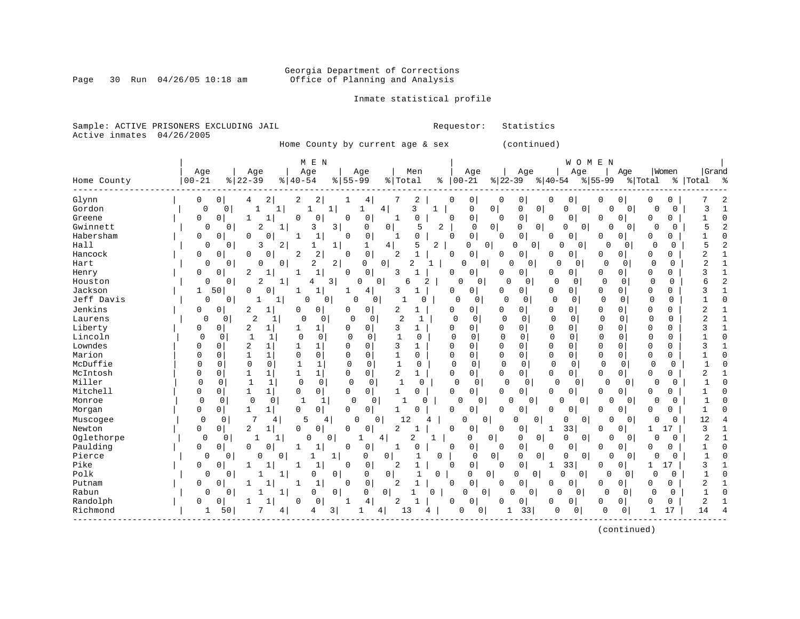# Georgia Department of Corrections<br>Page 30 Run 04/26/05 10:18 am 60ffice of Planning and Analysis Office of Planning and Analysis

### Inmate statistical profile

|  | Sample: ACTIVE PRISONERS EXCLUDING JAIL |  |  |
|--|-----------------------------------------|--|--|
|  | Active inmates 04/26/2005               |  |  |

Requestor: Statistics

Home County by current age & sex (continued)

|             |           |                               | M E N             |                                           |                     |                   |                            |                         |                            | WOMEN                      |                      |                         |              |                     |
|-------------|-----------|-------------------------------|-------------------|-------------------------------------------|---------------------|-------------------|----------------------------|-------------------------|----------------------------|----------------------------|----------------------|-------------------------|--------------|---------------------|
|             | Age       | Age                           | Age               | Age                                       |                     | Men               | Age                        | Age                     |                            | Age                        | Age                  | Women                   |              | Grand               |
| Home County | $00 - 21$ | $8   22 - 39$                 | $8   40 - 54$     | $8155 - 99$                               | % Total             | ႜ                 | $00 - 21$                  | $ 22 - 39 $             | $ 40-54 $                  | $8 55-99$                  |                      | % Total                 | နွ<br> Total | း                   |
| Glynn       | 0         | 0<br>4                        | 2<br>2            | 2<br>4                                    |                     | 2                 | 0<br>$\Omega$              | 0<br>0                  | 0<br>0                     | 0                          | 0                    | 0<br>0                  |              | 2                   |
| Gordon      | 0         | 0<br>1                        | $\mathbf{1}$<br>1 | 1                                         | 4                   | 3<br>$\mathbf{1}$ | 0                          | 0<br>0                  | 0<br>$\Omega$              | 0                          | $\overline{0}$       | $\Omega$                | 0            | $\mathbf{1}$<br>3   |
| Greene      | 0         | 0                             | $\mathbf{1}$<br>0 | 0<br>0<br>0                               | 1                   | $\Omega$          | 0<br>0                     | 0<br>0                  | 0                          | 0<br>0                     | 0                    | $\mathbf 0$             | 0            | $\Omega$            |
| Gwinnett    | 0         | $\mathbf{0}$<br>2             | 3                 | $\mathbf{3}$<br>0                         | 0                   | 2<br>5            | $\mathbf 0$                | $\mathbf{0}$<br>0       | 0<br>0                     | 0                          | 0<br>0               | O                       | 0            | 2<br>5              |
| Habersham   | 0         | 0<br>$\Omega$                 | 0                 | 0<br>1<br>$\mathbf 0$                     |                     | 0                 | 0<br>0                     | 0<br>0                  | 0                          | 0<br>0                     | 0                    | 0<br>0                  |              |                     |
| Hall        | $\Omega$  | 3<br>$\Omega$                 | 2<br>1            | $\mathbf{1}$<br>1                         | 4                   | 5<br>2            | $\Omega$                   | 0<br>0                  | $\overline{0}$<br>$\Omega$ | $\Omega$                   | $\Omega$<br>0        | $\Omega$                | $\Omega$     | 5<br>2              |
| Hancock     | 0         | 0<br>$\Omega$                 | 0<br>2            | 2<br>$\mathsf 0$<br>$\mathbf 0$           | 2                   |                   | 0<br>0                     | 0<br>U                  | 0<br>0                     | 0                          | 0                    | 0<br>0                  |              |                     |
| Hart        | 0         | O<br>0                        | $\mathbf 0$<br>2  | $\overline{a}$<br>0                       | $\mathbf{0}$        | 2<br>1            | $\mathbf 0$<br> 0          | O                       | 0<br>U                     | 0                          | $\mathbf 0$<br>0     | $\mathbf 0$             | $\Omega$     | 2                   |
| Henry       | 0         | $\overline{c}$<br>$\Omega$    | $1\,$             | 0<br>$\Omega$                             | 3                   |                   | 0<br>$\Omega$              | 0<br>0                  | 0<br>$\Omega$              | 0                          | 0                    | $\Omega$                | 0            | ς                   |
| Houston     | 0         | 2<br>$\mathbf{0}$             | 1<br>4            | 3 <br>0                                   | $\mathbf 0$<br>6    | 2                 | $\Omega$<br>0              | $\Omega$<br>0           | $\Omega$                   | $\Omega$<br>0              | 0                    | $\mathbf 0$             | $\Omega$     | $\overline{c}$<br>б |
| Jackson     | 50<br>1   | $\Omega$                      | $\Omega$<br>1     | 1<br>4                                    | 3                   |                   | 0<br>0                     | 0<br>0                  | 0                          | $\overline{0}$<br>0        | $\Omega$             | 0<br>0                  |              | 3                   |
| Jeff Davis  | 0         | 0<br>1                        | 1<br>0            | 0<br>0                                    | 0<br>$\mathbf{1}$   | 0                 | 0<br>0                     | 0<br>0                  | $\mathbf 0$                | 0<br>$\Omega$              | $\mathbf 0$          | 0                       | $\mathbf 0$  | $\Omega$            |
| Jenkins     | 0         | 0<br>2                        | 1<br>0            | 0<br>0<br>0                               | 2                   | $\mathbf{1}$      | 0<br>$\Omega$              | $\overline{0}$<br>0     | $\Omega$                   | 0<br>0                     | 0                    | $\mathbf 0$<br>$\Omega$ |              | 2                   |
| Laurens     | 0         | $\overline{2}$<br>0           | 1<br>$\cap$       | 0<br>0                                    | $\overline{2}$<br>0 | 1                 | $\Omega$<br>0              | $\Omega$<br>0           | $\mathbf 0$                | 0<br>$\Omega$              | 0                    | 0                       | 0            |                     |
| Liberty     | 0         | $\mathbf 0$<br>$\overline{2}$ | 1                 | 1<br>$\Omega$<br>0                        | 3                   | 1                 | $\Omega$<br>0              | 0<br>0                  | 0<br>0                     | $\Omega$                   | $\Omega$             | $\mathbf 0$             | $\mathbf 0$  | $\mathbf{1}$        |
| Lincoln     | $\Omega$  | 0                             | 1<br>$\Omega$     | $\mathbf 0$<br>$\Omega$                   | $\mathbf 0$         | 0                 | $\Omega$<br>0              | 0<br>$\mathbf 0$        | $\mathbf 0$                | 0<br>$\Omega$              | 0                    | 0                       | 0            | $\Omega$            |
| Lowndes     | O         | 0                             | $\mathbf{1}$      | 1<br>$\Omega$<br>$\Omega$                 | 3                   | 1                 | $\Omega$<br>0              | $\mathbf 0$<br>0        | $\mathbf 0$<br>$\mathbf 0$ | 0                          | U                    | $\mathbf 0$<br>0        |              |                     |
| Marion      | U         | 0<br>1                        | 0<br>1            | 0<br>$\mathbf 0$<br>$\Omega$              |                     | 0                 | 0<br>0                     | $\mathbf 0$<br>0        | 0<br>$\mathbf 0$           | $\Omega$                   | $\Omega$             | $\mathbf 0$             | 0            | <sup>0</sup>        |
| McDuffie    | 0         | $\mathbf 0$<br>0              | 0<br>$\mathbf{1}$ | 1<br>0                                    | 0<br>$\mathbf{1}$   | $\mathbf 0$       | $\Omega$<br>$\Omega$       | $\mathbf 0$<br>$\Omega$ | $\overline{0}$             | 0<br>$\Omega$              | $\Omega$             | 0                       | $\Omega$     | $\Omega$            |
| McIntosh    |           | $\mathbf 0$<br>1              | 1<br>$\mathbf{1}$ | $1\vert$<br>0<br>$\Omega$                 | 2                   | $\mathbf{1}$      | 0<br>$\Omega$              | 0<br>0                  | 0                          | 0 <sup>1</sup><br>$\Omega$ | 0                    | 0                       | 0            | 2                   |
| Miller      | $\Omega$  | $\mathbf{1}$<br>0             | $\mathbf 0$<br>1  | $\mathbf 0$<br>0                          | 0<br>1              | $\Omega$          | 0<br>0                     | $\Omega$<br>$\mathbf 0$ | $\Omega$                   | 0                          | $\Omega$<br>$\Omega$ | $\Omega$                | $\Omega$     | $\cap$              |
| Mitchell    | 0         | 0<br>1                        | 0<br>1            | 0<br>0<br>$\Omega$                        |                     | 0                 | 0 <sup>1</sup><br>$\Omega$ | 0<br>0                  | 0                          | 0<br>0                     | 0                    | $\Omega$                | 0            | $\Omega$            |
| Monroe      | $\Omega$  | $\mathbf 0$<br>0              | 0<br>1            | 1<br>0                                    | 0                   | $\Omega$          | $\Omega$<br>0              |                         | O<br>0                     | 0                          | $\Omega$             | 0                       | 0            | $\Omega$            |
| Morgan      | 0         | 0<br>1                        | $\mathbf 0$<br>1  | 0<br>$\mathbf 0$<br>0                     |                     | 0                 | $\mathbf 0$<br>0           | 0<br>0                  | 0<br>0                     | 0                          | 0                    | $\mathbf 0$             | 0            |                     |
| Muscogee    | 0         | 7<br>0                        | 5<br>4            | $\cap$<br>4                               | 12<br>0             | 4                 | 0<br>0                     | 0                       | 0<br>0                     | 0                          | 0                    | 0                       | 0            | 12                  |
| Newton      | 0         | 2<br>0                        | $\mathbf 0$<br>1  | 0<br>0<br>0                               | 2                   |                   | $\mathbf 0$<br>0           | 0<br>0                  | 33<br>1                    | 0                          | O                    | 1<br>17                 |              | 3                   |
| Oglethorpe  | $\Omega$  | 0<br>1                        | $\Omega$<br>1     | 0                                         | 4                   | 2<br>$\mathbf{1}$ | 0                          | 0<br>0                  | 0<br>$\mathbf 0$           | 0                          | 0<br>$\overline{0}$  | $\Omega$                | 0            | $\overline{c}$      |
| Paulding    | 0         | 0<br>0                        | 1<br>0<br>1       | 0<br>$\Omega$                             | 1                   | 0                 | 0<br>$\Omega$              | 0<br>0                  | 0                          | 0<br>0                     | 0                    | 0<br>0                  |              | $\Omega$            |
| Pierce      | $\Omega$  | 0<br>$\Omega$                 | 0                 | 1<br>0                                    | 0                   | 0                 | 0                          | 0<br>0                  | 0<br>0                     | 0                          | 0<br>$\Omega$        | $\Omega$                | 0            |                     |
| Pike        | 0         | 0                             | 1<br>1            | $\mathsf 0$<br>$\mathbf 1$<br>$\mathbf 0$ | 2                   | 1                 | 0 <sup>1</sup><br>0        | 0<br>0                  | 33<br>1                    | 0                          | 0                    | 17<br>1                 |              | 3                   |
| Polk        | 0         | 0                             | 0                 | 0<br>0                                    | 0                   | 0                 | 0                          | $\circ$<br>0            | $\Omega$<br>0              | 0                          | 0<br>0               | $\Omega$                | 0            | $\cap$              |
| Putnam      | $\Omega$  | $\Omega$                      | $\mathbf{1}$<br>1 | 0<br>0                                    | 2                   | $\mathbf{1}$      | 0<br>$\mathbf 0$           | 0<br>$\Omega$           | 0<br>0                     | 0                          | 0                    | $\Omega$                | $\mathbf 0$  | 2                   |
| Rabun       | 0         | $\Omega$                      | 1 <br>0           | $\overline{0}$<br>0                       | $\mathbf 0$         | $\Omega$          | $\Omega$<br>0              | 0                       | $\mathbf 0$<br>O           | 0                          | 0<br>$\Omega$        | $\Omega$                | 0            | 1                   |
| Randolph    | 0         | 0                             | 0                 | 0<br>4<br>1                               | 2                   | $\mathbf 1$       | 0<br>$\Omega$              | 0<br>0                  | 0                          | 0<br>0                     | 0                    | 0                       | 0            | $\overline{2}$      |
| Richmond    | 1         | 50                            | 4<br>4            | 3                                         | 4<br>13             | 4                 | 0<br>0                     | 33                      | 0                          | $\circ$                    | $\mathbf 0$<br>0     | 17                      | 14           |                     |

(continued)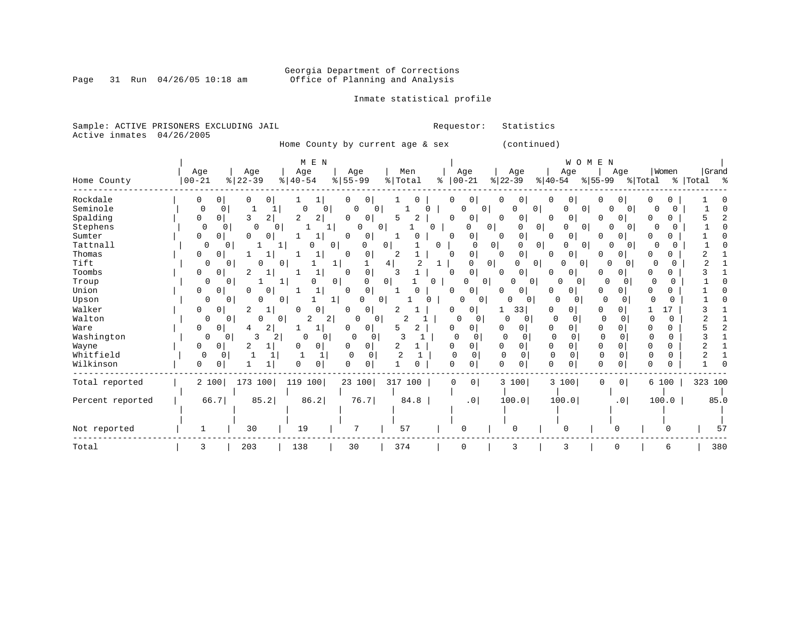# Georgia Department of Corrections<br>Page 31 Run 04/26/05 10:18 am 60ffice of Planning and Analysis Office of Planning and Analysis

Inmate statistical profile

Sample: ACTIVE PRISONERS EXCLUDING JAIL **Requestor:** Statistics Active inmates 04/26/2005

Home County by current age & sex (continued)

|                  |               |                           | M E N          |                         |                |                               |                                              | WOMEN                          |                          |               |           |
|------------------|---------------|---------------------------|----------------|-------------------------|----------------|-------------------------------|----------------------------------------------|--------------------------------|--------------------------|---------------|-----------|
|                  | Age           | Age                       | Age            | Age                     | Men            | Age                           | Age                                          | Age                            | Age                      | Women         | Grand     |
| Home County      | $00 - 21$     | $ 22-39 $                 | $8   40 - 54$  | $\frac{1}{6}$   55-99   | % Total        | $ 00-21$<br>နွ                | $ 22-39 $                                    | $ 40-54 $                      | $ 55-99 $                | % Total       | % Total % |
| Rockdale         | 0<br>0        | 0<br>0                    | ı              | 0<br>0                  |                | 0                             | 0<br>0                                       | 0<br>$\circ$                   | 0<br>0                   |               |           |
| Seminole         | $\Omega$      | $\Omega$                  | 0              | O<br>0                  |                | 0<br>0                        | 0<br>0                                       | $\Omega$<br>0                  | $\Omega$                 |               |           |
| Spalding         | $\Omega$<br>0 | $\overline{2}$<br>3       | 2<br>2         | 0<br>0                  | 2<br>5         | 0<br>Ω                        | 0<br>0                                       | 0<br>0 <sup>1</sup>            | 0<br>O                   | O             |           |
| Stephens         | 0             | 0<br>$\Omega$<br>$\Omega$ |                | $\Omega$                | 0<br>U         | $\Omega$                      | 0<br>$\Omega$                                | 0<br>$\Omega$<br>$\circ$       | $\Omega$                 | 0             |           |
| Sumter           | 0<br>0        | U<br>0                    | 1              | $\Omega$<br>0           |                | 0<br><sup>0</sup>             | 0<br>0                                       | <sup>0</sup><br>$\circ$        | 0                        |               |           |
| Tattnall         | 0             | $\Omega$                  |                | 0<br>O                  | 0              | <sup>0</sup><br><sup>0</sup>  | $\overline{0}$<br>N                          | 0<br>0<br>O                    | $\Omega$                 | O             |           |
| Thomas           | 0<br>$\Omega$ |                           |                | 0<br>O                  | 2              | 0<br>∩                        | 0<br>$\Omega$                                | $\overline{0}$<br><sup>0</sup> | 0                        |               |           |
| Tift             | 0             | N<br>0                    | $\mathbf{0}$   |                         | 4              | <sup>0</sup>                  | 0 <sup>1</sup><br>$\Omega$<br>0 <sup>1</sup> | $\circ$<br>0                   | $\Omega$<br>$\Omega$     | O             |           |
| Toombs           | 0<br>0        | 2                         | 1              | 0<br>U                  |                | 0<br>n                        | $\overline{0}$<br>0                          | 0<br>0                         | 0<br>O                   |               |           |
| Troup            | 0             | 0                         | 0              | $\overline{0}$<br>0     | $\overline{0}$ | 0<br>O                        | $\overline{0}$<br>$\mathbf 0$<br>O           | 0<br>0                         | $\Omega$<br>0            | $\Omega$<br>0 |           |
| Union            | 0<br>0        | O                         | 1              | 0<br>$\Omega$           |                | 0<br><sup>0</sup>             | $\overline{0}$<br>U                          | <sup>0</sup><br>0              | U<br>O                   | 0             |           |
| Upson            | 0             | 0                         | 0 <sup>1</sup> | 0                       | 0              | $\Omega$<br>0                 | 0<br>$\Omega$                                | 0                              | $\Omega$                 | $\Omega$      |           |
| Walker           | 0<br>0        | 2                         | 0              | 0<br>0                  |                | 0<br>U                        | 33                                           | 0<br>0                         | 0                        | 17            |           |
| Walton           | 0             | 0<br>0                    | 2<br>01        | 0<br>2 <br>0            | 2              | 0<br>0                        | 0                                            | 0<br>$\Omega$                  | $\mathbf 0$              | 0             |           |
| Ware             | 0<br>0        | 2<br>4                    | 1              | 0<br>0                  | 2<br>5         | 0<br><sup>0</sup>             | $\Omega$<br>$\Omega$                         | $\Omega$<br>$\Omega$           | 0<br>U                   | 0             |           |
| Washington       | 0             | 3<br>2<br>0               | 0<br>O         | 0<br>0                  |                | 0<br>$\Omega$                 | O<br>0                                       | 0<br>0                         | $\Omega$<br><sup>0</sup> | $\Omega$<br>0 |           |
| Wayne            | 0<br>0        |                           | 0              | 0<br>0                  | 2              | 0<br><sup>0</sup>             | $\overline{0}$<br>0                          | $\mathbf 0$<br>0               | 0<br>0                   | 0<br>O        |           |
| Whitfield        | $\Omega$      | $\Omega$                  |                | $\mathbf 0$<br>$\Omega$ |                | $\Omega$<br>Ω                 | $\Omega$<br>U                                | $\Omega$<br>$\Omega$           | 0<br>$\Omega$            | 0             |           |
| Wilkinson        | 0<br>U        |                           | 0<br>$\cap$    | $\Omega$<br>0           | O              | 0<br>$\cap$                   | $\cap$<br>0                                  | $\Omega$                       | $\Omega$<br>0            | 0             |           |
| Total reported   | 2 100         | 173 100                   | 119 100        | 23 100                  | 317 100        | $\overline{0}$<br>$\mathbf 0$ | 3 100                                        | 3 100                          | 0<br>0                   | 6 100         | 323 100   |
|                  |               |                           |                |                         |                |                               |                                              |                                |                          |               |           |
| Percent reported | 66.7          | 85.2                      | 86.2           | 76.7                    | 84.8           | .0 <sub>1</sub>               | 100.0                                        | 100.0                          | .0 <sub>1</sub>          | 100.0         | 85.0      |
|                  |               |                           |                |                         |                |                               |                                              |                                |                          |               |           |
|                  |               |                           |                |                         |                |                               |                                              |                                |                          |               |           |
| Not reported     |               | 30                        | 19             | 7                       | 57             | $\Omega$                      | $\Omega$                                     | ∩                              |                          |               | 57        |
| Total            | 3             | 203                       | 138            | 30                      | 374            | 0                             | 3                                            | 3                              |                          | 6             | 380       |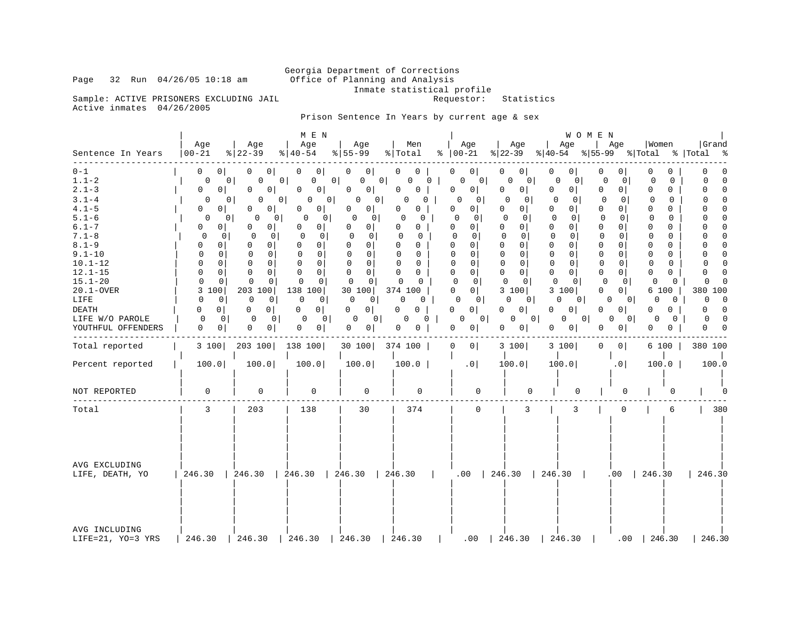# Georgia Department of Corrections<br>Page 32 Run 04/26/05 10:18 am 60ffice of Planning and Analysis Office of Planning and Analysis

Inmate statistical profile<br>Requestor: Statistics

Sample: ACTIVE PRISONERS EXCLUDING JAIL Active inmates 04/26/2005

Prison Sentence In Years by current age & sex

|                                                                                                                                                                                                                                                              | Age                                                                                                                                                                                                                                                                                                                                                                                                             | Age                                                                                                                                                                                                                                                                                                                                          | M E N<br>Age                                                                                                                                                                                                                                                                                                                                                                          | Age                                                                                                                                                                                                                                                                                                                                                                                                                                  | Men                                                                                                                                                                                                                                                                                                      | Age                                                                                                                                                                                                                                                                                                                                                                                                                                                                                       | Age                                                                                                                                                                                                                                                                                                                                                                                                         | WOMEN<br>Age                                                                                                                                                                                                                                                                                                                                                                                                      | Age                                                                                                                                                                                                                                                                                                                                                                                                                          | Women                                                                                                                                                                                                                                                                                                                                                          | Grand                                                                                                                                                                                                                                                                                                                                                                      |
|--------------------------------------------------------------------------------------------------------------------------------------------------------------------------------------------------------------------------------------------------------------|-----------------------------------------------------------------------------------------------------------------------------------------------------------------------------------------------------------------------------------------------------------------------------------------------------------------------------------------------------------------------------------------------------------------|----------------------------------------------------------------------------------------------------------------------------------------------------------------------------------------------------------------------------------------------------------------------------------------------------------------------------------------------|---------------------------------------------------------------------------------------------------------------------------------------------------------------------------------------------------------------------------------------------------------------------------------------------------------------------------------------------------------------------------------------|--------------------------------------------------------------------------------------------------------------------------------------------------------------------------------------------------------------------------------------------------------------------------------------------------------------------------------------------------------------------------------------------------------------------------------------|----------------------------------------------------------------------------------------------------------------------------------------------------------------------------------------------------------------------------------------------------------------------------------------------------------|-------------------------------------------------------------------------------------------------------------------------------------------------------------------------------------------------------------------------------------------------------------------------------------------------------------------------------------------------------------------------------------------------------------------------------------------------------------------------------------------|-------------------------------------------------------------------------------------------------------------------------------------------------------------------------------------------------------------------------------------------------------------------------------------------------------------------------------------------------------------------------------------------------------------|-------------------------------------------------------------------------------------------------------------------------------------------------------------------------------------------------------------------------------------------------------------------------------------------------------------------------------------------------------------------------------------------------------------------|------------------------------------------------------------------------------------------------------------------------------------------------------------------------------------------------------------------------------------------------------------------------------------------------------------------------------------------------------------------------------------------------------------------------------|----------------------------------------------------------------------------------------------------------------------------------------------------------------------------------------------------------------------------------------------------------------------------------------------------------------------------------------------------------------|----------------------------------------------------------------------------------------------------------------------------------------------------------------------------------------------------------------------------------------------------------------------------------------------------------------------------------------------------------------------------|
| Sentence In Years                                                                                                                                                                                                                                            | $00 - 21$                                                                                                                                                                                                                                                                                                                                                                                                       | $ 22-39 $                                                                                                                                                                                                                                                                                                                                    | $8   40 - 54$                                                                                                                                                                                                                                                                                                                                                                         | $8 55-99$                                                                                                                                                                                                                                                                                                                                                                                                                            | % Total                                                                                                                                                                                                                                                                                                  | $8   00 - 21$                                                                                                                                                                                                                                                                                                                                                                                                                                                                             |                                                                                                                                                                                                                                                                                                                                                                                                             | $ 22-39 $ $ 40-54 $ $ 55-99 $ $ Total$ $ Total$                                                                                                                                                                                                                                                                                                                                                                   |                                                                                                                                                                                                                                                                                                                                                                                                                              |                                                                                                                                                                                                                                                                                                                                                                |                                                                                                                                                                                                                                                                                                                                                                            |
| $0 - 1$<br>$1.1 - 2$<br>$2.1 - 3$<br>$3.1 - 4$<br>$4.1 - 5$<br>$5.1 - 6$<br>$6.1 - 7$<br>$7.1 - 8$<br>$8.1 - 9$<br>$9.1 - 10$<br>$10.1 - 12$<br>$12.1 - 15$<br>$15.1 - 20$<br>$20.1 - OVER$<br>LIFE<br><b>DEATH</b><br>LIFE W/O PAROLE<br>YOUTHFUL OFFENDERS | 0 <sup>1</sup><br>$\overline{0}$<br>0<br>0 <sup>1</sup><br>0<br>0 <sup>1</sup><br>0<br>0 <sup>1</sup><br>$\Omega$<br>$\Omega$<br>0<br>0 <sup>1</sup><br>0 <sup>1</sup><br>0<br>$\Omega$<br>0<br>0<br>0<br>$\Omega$<br>$\Omega$<br>$\Omega$<br>$\Omega$<br>$\Omega$<br>$\mathbf{0}$<br>$\Omega$<br>$\Omega$<br>3 100<br>$\Omega$<br>0<br>$\Omega$<br>$\mathbf{0}$<br>0<br>$\Omega$<br>$\overline{0}$<br>$\Omega$ | 0 <sup>1</sup><br>$\overline{0}$<br>0 <sup>1</sup><br>0<br>0<br>0<br>0<br>$\Omega$<br>0<br>0<br>$\Omega$<br>0 <sup>1</sup><br>0<br>0<br>0<br>$\mathbf 0$<br>0<br>$\mathbf{0}$<br>$\Omega$<br>0<br>$\Omega$<br>$\Omega$<br>$\Omega$<br>$\mathbf 0$<br>$\Omega$<br>$\Omega$<br>203 100<br>0<br>0<br>$\Omega$<br>$\Omega$<br>0<br>0<br> 0 <br>0 | 0 <sup>1</sup><br>0<br>0 <sup>1</sup><br>0 <sup>1</sup><br>0<br>$\Omega$<br>0 I<br>0<br>0<br>$\Omega$<br>0 <sup>1</sup><br>0 <sup>1</sup><br>O<br>$\Omega$<br>$\circ$<br>0<br>0<br>$\Omega$<br>$\Omega$<br>$\Omega$<br>$\Omega$<br>$\mathbf 0$<br>$\Omega$<br>$\Omega$<br>$\cap$<br>138 100<br>$\Omega$<br>$\overline{0}$<br>0 <sup>1</sup><br>$\Omega$<br>- 0 I<br>0<br>0<br>$\circ$ | 0 <sup>1</sup><br>$\Omega$<br>0<br>0 <sup>1</sup><br>0 <sup>1</sup><br>0<br>0<br>0 <sup>1</sup><br>0 <sup>1</sup><br>0<br>$\Omega$<br>0 <sup>1</sup><br>0<br>0 <sup>1</sup><br>$\mathbf 0$<br>$\mathbf{0}$<br>0 <sup>1</sup><br>0<br>$\Omega$<br>$\Omega$<br>$\Omega$<br>$\overline{0}$<br>$\Omega$<br>$\circ$<br>$\Omega$<br>$\Omega$<br>30 100<br>$\mathbf 0$<br> 0 <br>$\circ$<br>0<br>0 <sup>1</sup><br>0<br>0<br>0 <sub>1</sub> | $0-1$<br>0<br>0<br>0<br>0<br>0<br>$\Omega$<br>$\mathbf 0$<br>$\Omega$<br>0<br>$\Omega$<br>0<br>0<br>0<br>$\Omega$<br>0<br>0<br>$\Omega$<br>$\Omega$<br>$\Omega$<br>$\Omega$<br>$\Omega$<br>0<br>$\Omega$<br>$\Omega$<br>$\Omega$<br>374 100<br>0<br>$\Omega$<br>$\Omega$<br>$\Omega$<br>0<br>0<br>0<br>0 | 0 <sup>1</sup><br>0<br> 0 <br>0<br>0 <sup>1</sup><br>0<br>$\Omega$<br>$\mathbf 0$<br>$\Omega$<br>$\overline{0}$<br>$\Omega$<br>0 <sup>1</sup><br>$\Omega$<br>0 <sup>1</sup><br>$\Omega$<br>$\mathbf{0}$<br>$\Omega$<br>0 <sup>1</sup><br>$\Omega$<br>$\Omega$<br>$\mathbf 0$<br>$\overline{0}$<br>$\Omega$<br>0 <sup>1</sup><br>$\Omega$<br>$\Omega$<br>0 <sup>1</sup><br>$\mathbf{0}$<br>$\Omega$<br>0 <sup>1</sup><br>0<br>0 <sup>1</sup><br>0 <sup>1</sup><br>0<br>0 <sup>1</sup><br>O | 0 <sup>1</sup><br>0<br>0<br>$\mathbf{0}$<br>0<br>$\circ$<br>$\mathbf 0$<br>$\cap$<br>U<br>0<br>$\Omega$<br>$\Omega$<br>$\mathbf{0}$<br>0<br>$\mathbf 0$<br>$\Omega$<br>$\mathbf 0$<br>$\mathbf 0$<br>$\Omega$<br>$\Omega$<br>$\Omega$<br>$\Omega$<br>$\mathbf 0$<br>$\overline{0}$<br>$\Omega$<br>$\Omega$<br>3 100<br>0<br>0 I<br>$\Omega$<br>0 <sup>1</sup><br>$\mathbf{0}$<br>0 <sup>1</sup><br> 0 <br>0 | 0<br>0<br>0<br>0<br>0<br>0 <sup>1</sup><br>$\Omega$<br>$\Omega$<br>$\Omega$<br>$\mathbf{0}$<br>$\Omega$<br>0<br>0<br>$\overline{0}$<br>$\mathbf 0$<br>- 0 l<br>0<br>$\overline{0}$<br>$\Omega$<br>$\Omega$<br>$\Omega$<br>$\Omega$<br>$\overline{0}$<br>$\Omega$<br>$\Omega$<br>$\Omega$<br>3 100<br>0<br>0 <sup>1</sup><br>$\Omega$<br>0 <sup>1</sup><br>$\overline{0}$<br>0 <sup>1</sup><br>0<br>0 <sup>1</sup> | 0<br>$\Omega$<br>0<br>$\overline{0}$<br>0<br>0 <sup>1</sup><br>$\circ$<br>$\Omega$<br>$\Omega$<br>$\Omega$<br>$\Omega$<br>$\Omega$<br>$\Omega$<br>$\Omega$<br>$\Omega$<br>$\Omega$<br>$\mathbf 0$<br>$\circ$<br>$\Omega$<br>$\Omega$<br>$\Omega$<br>0<br>$\Omega$<br>$\mathbf 0$<br>$\Omega$<br>$\Omega$<br>$\mathbf 0$<br>0 <sup>1</sup><br>$\Omega$<br>0 I<br>$\Omega$<br>0<br>$\Omega$<br>$\Omega$<br>0<br>0 <sup>1</sup> | U<br>0<br>$\Omega$<br>0<br>$\Omega$<br>$\Omega$<br>$\Omega$<br>$\Omega$<br>$\Omega$<br>$\Omega$<br>$\Omega$<br>$\Omega$<br>$\Omega$<br>$\Omega$<br>$\Omega$<br>$\Omega$<br>0<br>$\Omega$<br>$\Omega$<br>$\Omega$<br>$\Omega$<br>$\Omega$<br>$\Omega$<br>$\Omega$<br>$\Omega$<br>$\Omega$<br>6 100<br>0<br>0<br>$\Omega$<br>0<br>$\Omega$<br>$\Omega$<br>0<br>0 | $\Omega$<br>0<br>$\Omega$<br>$\Omega$<br>$\Omega$<br>$\Omega$<br>$\Omega$<br>$\Omega$<br>$\Omega$<br>$\cap$<br>$\Omega$<br>$\Omega$<br>0<br>$\Omega$<br>$\mathbf 0$<br>$\Omega$<br>0<br>0<br>$\Omega$<br>$\Omega$<br>$\Omega$<br>$\Omega$<br>$\Omega$<br>$\Omega$<br>$\Omega$<br>380 100<br>$\Omega$<br>U<br>$\Omega$<br>$\Omega$<br>$\Omega$<br>$\Omega$<br>$\Omega$<br>0 |
| Total reported                                                                                                                                                                                                                                               | 3 100                                                                                                                                                                                                                                                                                                                                                                                                           | 203 100                                                                                                                                                                                                                                                                                                                                      | 138 100                                                                                                                                                                                                                                                                                                                                                                               | 30 100 374 100                                                                                                                                                                                                                                                                                                                                                                                                                       |                                                                                                                                                                                                                                                                                                          | 0 <sup>1</sup><br>$\Omega$                                                                                                                                                                                                                                                                                                                                                                                                                                                                | 3 100                                                                                                                                                                                                                                                                                                                                                                                                       | 3 100                                                                                                                                                                                                                                                                                                                                                                                                             | $\Omega$<br>0 <sup>1</sup>                                                                                                                                                                                                                                                                                                                                                                                                   | $6100$                                                                                                                                                                                                                                                                                                                                                         | 380 100                                                                                                                                                                                                                                                                                                                                                                    |
| Percent reported                                                                                                                                                                                                                                             | 100.0                                                                                                                                                                                                                                                                                                                                                                                                           | 100.0                                                                                                                                                                                                                                                                                                                                        | 100.0                                                                                                                                                                                                                                                                                                                                                                                 | 100.0                                                                                                                                                                                                                                                                                                                                                                                                                                | 100.0                                                                                                                                                                                                                                                                                                    | .0                                                                                                                                                                                                                                                                                                                                                                                                                                                                                        | 100.0                                                                                                                                                                                                                                                                                                                                                                                                       | 100.0                                                                                                                                                                                                                                                                                                                                                                                                             | $.0$                                                                                                                                                                                                                                                                                                                                                                                                                         | 100.0                                                                                                                                                                                                                                                                                                                                                          | 100.0                                                                                                                                                                                                                                                                                                                                                                      |
| NOT REPORTED                                                                                                                                                                                                                                                 | $\Omega$                                                                                                                                                                                                                                                                                                                                                                                                        | $\mathbf 0$                                                                                                                                                                                                                                                                                                                                  | $\mathbf 0$                                                                                                                                                                                                                                                                                                                                                                           | $\Omega$                                                                                                                                                                                                                                                                                                                                                                                                                             | $\Omega$                                                                                                                                                                                                                                                                                                 | $\Omega$                                                                                                                                                                                                                                                                                                                                                                                                                                                                                  | $\Omega$                                                                                                                                                                                                                                                                                                                                                                                                    | $\Omega$                                                                                                                                                                                                                                                                                                                                                                                                          | $\Omega$                                                                                                                                                                                                                                                                                                                                                                                                                     | 0                                                                                                                                                                                                                                                                                                                                                              |                                                                                                                                                                                                                                                                                                                                                                            |
| Total                                                                                                                                                                                                                                                        | 3                                                                                                                                                                                                                                                                                                                                                                                                               | 203                                                                                                                                                                                                                                                                                                                                          | 138                                                                                                                                                                                                                                                                                                                                                                                   | 30                                                                                                                                                                                                                                                                                                                                                                                                                                   | 374                                                                                                                                                                                                                                                                                                      | $\Omega$                                                                                                                                                                                                                                                                                                                                                                                                                                                                                  | 3                                                                                                                                                                                                                                                                                                                                                                                                           | 3                                                                                                                                                                                                                                                                                                                                                                                                                 | $\mathbf 0$                                                                                                                                                                                                                                                                                                                                                                                                                  | 6                                                                                                                                                                                                                                                                                                                                                              | 380                                                                                                                                                                                                                                                                                                                                                                        |
| AVG EXCLUDING<br>LIFE, DEATH, YO                                                                                                                                                                                                                             |                                                                                                                                                                                                                                                                                                                                                                                                                 |                                                                                                                                                                                                                                                                                                                                              |                                                                                                                                                                                                                                                                                                                                                                                       |                                                                                                                                                                                                                                                                                                                                                                                                                                      | 246.30   246.30   246.30   246.30   246.30   00   246.30   246.30   00   246.30                                                                                                                                                                                                                          |                                                                                                                                                                                                                                                                                                                                                                                                                                                                                           |                                                                                                                                                                                                                                                                                                                                                                                                             |                                                                                                                                                                                                                                                                                                                                                                                                                   |                                                                                                                                                                                                                                                                                                                                                                                                                              |                                                                                                                                                                                                                                                                                                                                                                | 246.30                                                                                                                                                                                                                                                                                                                                                                     |
| AVG INCLUDING<br>LIFE=21, YO=3 YRS                                                                                                                                                                                                                           |                                                                                                                                                                                                                                                                                                                                                                                                                 | 246.30   246.30   246.30   246.30   246.30                                                                                                                                                                                                                                                                                                   |                                                                                                                                                                                                                                                                                                                                                                                       |                                                                                                                                                                                                                                                                                                                                                                                                                                      |                                                                                                                                                                                                                                                                                                          | .00                                                                                                                                                                                                                                                                                                                                                                                                                                                                                       | 246.30                                                                                                                                                                                                                                                                                                                                                                                                      | 246.30                                                                                                                                                                                                                                                                                                                                                                                                            | .00                                                                                                                                                                                                                                                                                                                                                                                                                          | 246.30                                                                                                                                                                                                                                                                                                                                                         | 246.30                                                                                                                                                                                                                                                                                                                                                                     |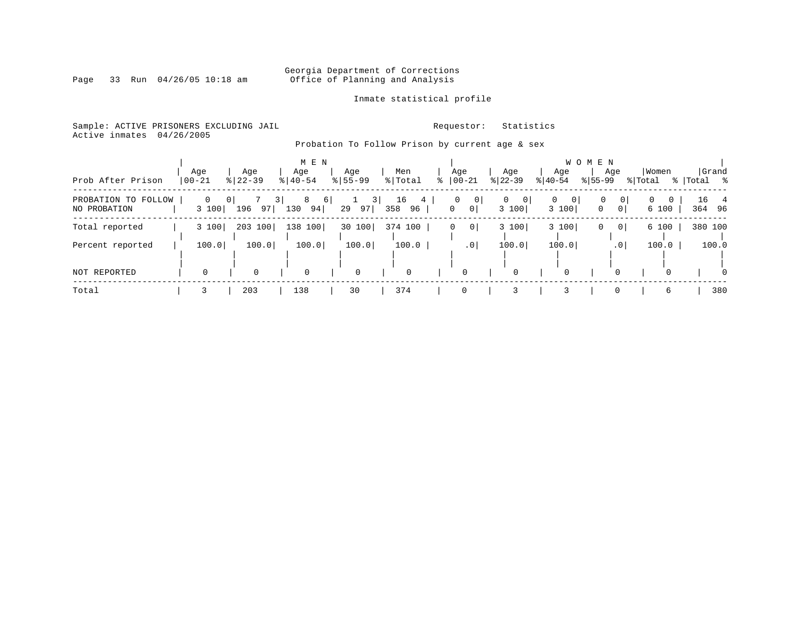# Georgia Department of Corrections<br>Page 33 Run 04/26/05 10:18 am 60ffice of Planning and Analysis Office of Planning and Analysis

### Inmate statistical profile

Sample: ACTIVE PRISONERS EXCLUDING JAIL **Requestor:** Statistics Active inmates 04/26/2005

Probation To Follow Prison by current age & sex

|                                     |                   |                  | M E N                          |                    |                                   |                                                  |                        |                        | <b>WOMEN</b>                             |                               |                    |
|-------------------------------------|-------------------|------------------|--------------------------------|--------------------|-----------------------------------|--------------------------------------------------|------------------------|------------------------|------------------------------------------|-------------------------------|--------------------|
| Prob After Prison                   | Age<br>00-21      | Age<br>$8 22-39$ | Age<br>$8   40 - 54$           | Age<br>$8155 - 99$ | Men<br>% Total                    | Age<br>$8   00 - 21$                             | Age<br>$ 22-39 $       | Age<br>$ 40-54 $       | Age<br>$8 55-99$                         | Women<br>% Total              | Grand<br>% Total % |
| PROBATION TO FOLLOW<br>NO PROBATION | $\Omega$<br>3 100 | 3<br>196<br>97   | 8<br><sup>6</sup><br>130<br>94 | 3 <br>29<br>97     | 16<br>4 <sup>1</sup><br>358<br>96 | $\circ$<br>$\mathbf 0$<br>$\mathbf 0$<br>$\circ$ | $\Omega$<br>0<br>3 100 | 0<br>$\Omega$<br>3 100 | 0<br>0<br>0 <sup>1</sup><br>$\mathbf{0}$ | $\Omega$<br>$\Omega$<br>6 100 | 16 4<br>364 96     |
| Total reported                      | 3 100             | 203 100          | 138 100                        | 30 100             | 374 100                           | 0 <sup>1</sup><br>0                              | 3 100                  | 3 100                  | 0 <sup>1</sup><br>0                      | 6 100                         | 380 100            |
| Percent reported                    | 100.0             | 100.0            | 100.0                          | 100.0              | 100.0                             | $\cdot$ 0                                        | 100.0                  | 100.0                  | .01                                      | 100.0                         | 100.0              |
| NOT REPORTED                        |                   | $\Omega$         | 0                              | $\mathbf 0$        | $\mathbf 0$                       | 0                                                | 0                      |                        | $\Omega$                                 |                               | $\Omega$           |
| Total                               |                   | 203              | 138                            | 30                 | 374                               | $\Omega$                                         |                        |                        | 0                                        | 6                             | 380                |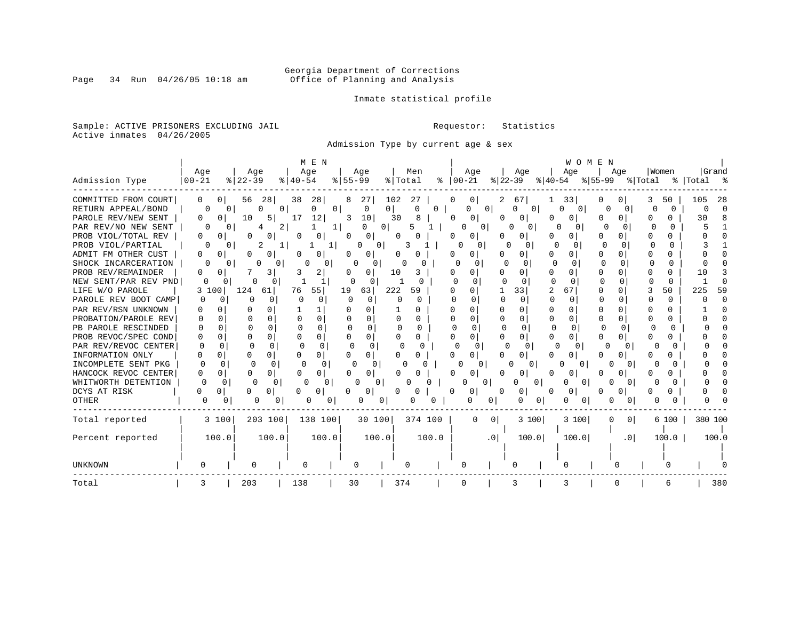# Georgia Department of Corrections<br>Page 34 Run 04/26/05 10:18 am 60ffice of Planning and Analysis Office of Planning and Analysis

Inmate statistical profile

Sample: ACTIVE PRISONERS EXCLUDING JAIL **Requestor:** Statistics Active inmates 04/26/2005

Admission Type by current age & sex

|                      |                      |                      | M E N             |                     |                   |                       |                    | WOMEN                |                          |              |             |
|----------------------|----------------------|----------------------|-------------------|---------------------|-------------------|-----------------------|--------------------|----------------------|--------------------------|--------------|-------------|
|                      | Age                  | Age                  | Age               | Age                 | Men               | Age                   | Age                | Age                  | Aqe                      | Women        | Grand       |
| Admission Type       | $ 00 - 21$           | $8$   22 – 39        | $8   40 - 54$     | $8155 - 99$         | % Total           | $8   00 - 21$         | $ 22-39 $          | $ 40-54 $            | ୫∣55–99                  | % Total      | %   Total % |
| COMMITTED FROM COURT | 0<br>$\Omega$        | 56<br>28             | 28<br>38          | 27                  | 102<br>27         | 0                     | 67                 | 33                   |                          | 50           | 105<br>-28  |
| RETURN APPEAL/BOND   | 0                    | $\Omega$<br>$\Omega$ | $\Omega$<br>U     | $\overline{0}$<br>0 | 0<br>$\Omega$     | O                     | $\Omega$<br>0      | 0                    | Λ<br>U                   | U            |             |
| PAROLE REV/NEW SENT  | 0<br>0               | 10<br>5 I            | 17<br>12          | 3<br>10             | 30                | 0<br>0                |                    | U.                   |                          | O            | 30          |
| PAR REV/NO NEW SENT  |                      | 2                    |                   | U<br>$\Omega$       | 5                 | 0                     | $\mathbf{0}$<br>0  | O                    |                          | U            |             |
| PROB VIOL/TOTAL REV  | 0<br>0               |                      | 0                 | $\Omega$            |                   | 0<br>$\left( \right)$ | 0                  | O                    | $\Omega$                 |              |             |
| PROB VIOL/PARTIAL    | 0                    | 2                    |                   | 0<br>U              | 3                 | U<br>$\Omega$         | n                  | O                    | <sup>0</sup>             | O            |             |
| ADMIT FM OTHER CUST  | 0<br>0               | O                    | 0                 | O<br>O              |                   | 0<br>O                | 0                  | N<br>O               | <sup>0</sup>             | U            |             |
| SHOCK INCARCERATION  | 0                    |                      |                   | U                   |                   | 0<br>$\Omega$         | 0                  | n<br>O               | <sup>n</sup><br>$\Omega$ | <sup>0</sup> |             |
| PROB REV/REMAINDER   | 0<br>0               | 3                    | 2                 | 0                   | 10<br>3           | 0                     | 0                  | N<br>O               | ∩                        | O            | 10          |
| NEW SENT/PAR REV PND | $\Omega$             |                      | 1                 | O                   |                   | U                     |                    | ∩<br>n               | ∩<br><sup>n</sup>        | $\Omega$     |             |
| LIFE W/O PAROLE      | 100<br>3             | 124<br>61            | 76<br>55          | 19<br>63            | 222<br>59         | 0                     | 33                 | $\overline{2}$<br>67 | <sup>0</sup>             | 50           | 225<br>59   |
| PAROLE REV BOOT CAMP | $\Omega$<br>O        | $\Omega$             | O<br>$\Omega$     | $\Omega$            | C<br>∩            | <sup>0</sup>          | $\Omega$<br>O      | $\Omega$             |                          | 0            |             |
| PAR REV/RSN UNKNOWN  |                      |                      |                   |                     |                   | U.<br>n               | 0                  | U<br>U               | O                        | 0<br>n       |             |
| PROBATION/PAROLE REV | O<br>O               |                      | $\Omega$          |                     | U                 | U<br>O                | $\Omega$           | O<br>0               | O                        | 0            |             |
| PB PAROLE RESCINDED  | O<br>∩               | 0<br>n               | $\Omega$          | U<br>U              | n<br><sup>0</sup> | ∩<br>n                |                    | <sup>n</sup><br>U    |                          | ∩<br>∩       |             |
| PROB REVOC/SPEC COND | U<br>0               | $\cap$<br>∩          | 0<br>0            | ∩<br>0              | U<br>0            | 0<br>U                | O                  |                      | 0<br>U                   | U            |             |
| PAR REV/REVOC CENTER | $\Omega$<br>$\Omega$ | U                    | U<br><sup>0</sup> | $\Omega$<br>∩       | ∩                 | $\Omega$              | $\Omega$<br>n      | C                    |                          |              |             |
| INFORMATION ONLY     | O<br>0               | 0<br>$\Omega$        | 0                 | 0                   |                   | 0                     | O                  |                      |                          |              |             |
| INCOMPLETE SENT PKG  | $\Omega$             | $\Omega$<br>O        | O<br>0            | U<br>0              |                   |                       | 0<br>0             | 0                    |                          |              |             |
| HANCOCK REVOC CENTER | 0                    | 0                    | 0                 | 0                   |                   | 0                     | 0                  |                      |                          |              |             |
| WHITWORTH DETENTION  | <sup>0</sup>         | $\Omega$<br>$\Omega$ | <sup>0</sup><br>0 | $\Omega$            |                   |                       | 0                  | $\Omega$             |                          |              |             |
| DCYS AT RISK         | 0                    | 0                    | 0                 | 0                   | Ω                 | 0                     | 0<br>O             | $\Omega$             |                          | 0            |             |
| <b>OTHER</b>         |                      | 0<br>0               | $\cup$            | 0                   |                   |                       | n<br>0<br>0        | 0                    |                          |              |             |
| Total reported       | 3 100                | 203 100              | 138 100           | 30 100              | 374 100           | $\Omega$              | 3 100<br>0         | 3 100                | $\overline{0}$<br>O      | 6 100        | 380 100     |
|                      |                      |                      |                   |                     |                   |                       |                    |                      |                          |              |             |
| Percent reported     | 100.0                | 100.0                | 100.0             | 100.0               | 100.0             |                       | 100.0<br>$\cdot$ 0 | 100.0                | .0 <sub>1</sub>          | 100.0        | 100.0       |
|                      |                      |                      |                   |                     |                   |                       |                    |                      |                          |              |             |
| <b>UNKNOWN</b>       |                      | $\Omega$             | 0                 | 0                   |                   | O                     |                    |                      |                          |              |             |
| Total                |                      | 203                  | 138               | 30                  | 374               | $\Omega$              |                    | 3                    |                          | 6            | 380         |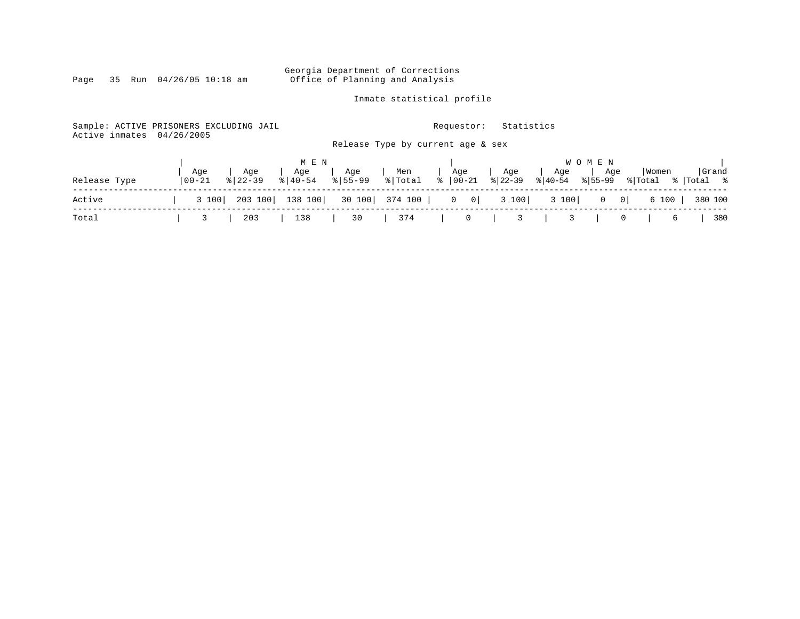#### Georgia Department of Corrections Page 35 Run 04/26/05 10:18 am Office of Planning and Analysis

Inmate statistical profile

Sample: ACTIVE PRISONERS EXCLUDING JAIL **Requestor:** Statistics Active inmates 04/26/2005 Release Type by current age & sex | M E N | W O M E N | | Age | Age | Age | Age | Men | Age | Age | Age | Age |Women |Grand Release Type |00-21 %|22-39 %|40-54 %|55-99 %|Total % |00-21 %|22-39 %|40-54 %|55-99 %|Total % |Total % ------------------------------------------------------------------------------------------------------------------------------------ Active | 3 100| 203 100| 138 100| 30 100| 374 100 | 0 0| 3 100| 3 100| 0 0| 6 100 | 380 100 ------------------------------------------------------------------------------------------------------------------------------------ Total | 3 | 203 | 138 | 30 | 374 | 0 | 3 | 3 | 0 | 6 | 380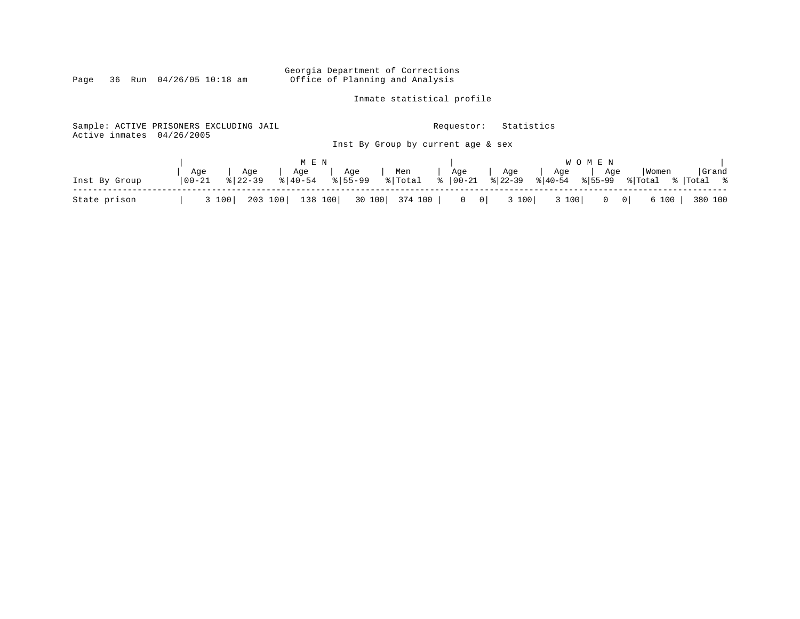Georgia Department of Corrections<br>Page 36 Run 04/26/05 10:18 am Office of Planning and Analysis Office of Planning and Analysis

Inmate statistical profile

| Sample: ACTIVE PRISONERS EXCLUDING JAIL<br>Active inmates | 04/26/2005        |                              |                    |                 |                                       | Requestor:   | Statistics     |                                                   |                      |             |
|-----------------------------------------------------------|-------------------|------------------------------|--------------------|-----------------|---------------------------------------|--------------|----------------|---------------------------------------------------|----------------------|-------------|
|                                                           |                   |                              |                    |                 | Inst By Group by current age & sex    |              |                |                                                   |                      |             |
|                                                           |                   |                              | M E N              |                 |                                       |              |                | W O M E N                                         |                      | Grand       |
| Inst By Group                                             | Age<br>$100 - 21$ | Age<br>$\frac{1}{8}$   22-39 | ا Age<br>  40-54 % | Age<br>  155-99 | Men     Age   <br>  % Total   % 00-21 |              | Age<br>% 22-39 | Age<br>Age<br>$\frac{1}{6}$  40-54<br>$8155 - 99$ | Women<br>% Total     | %   Total % |
| State prison                                              |                   | 203 100<br>3 100             | 138 100            | 30 100          | 374 100                               | $0 \qquad 0$ | 3 100          | 3 100                                             | 6 100<br>$0 \quad 0$ | 380 100     |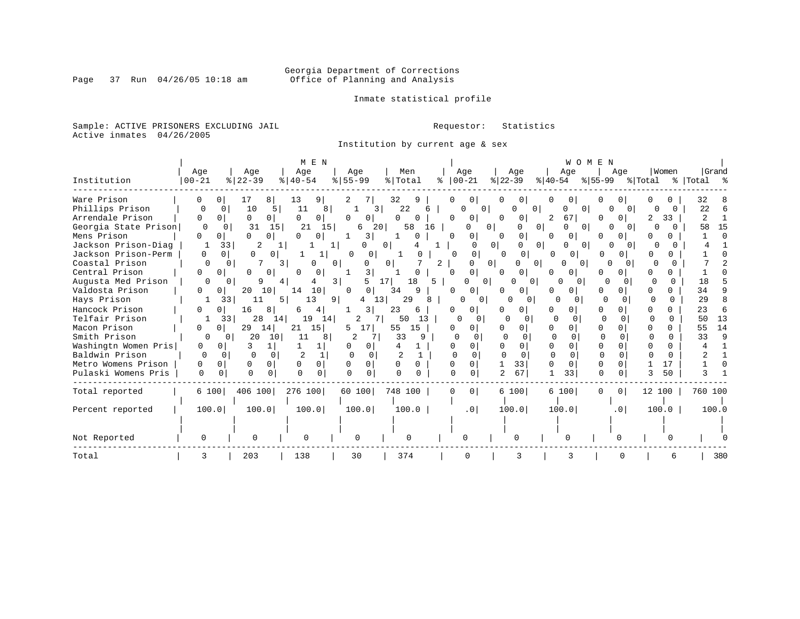# Georgia Department of Corrections<br>Page 37 Run 04/26/05 10:18 am 60ffice of Planning and Analysis Office of Planning and Analysis

Inmate statistical profile

Sample: ACTIVE PRISONERS EXCLUDING JAIL **Requestor:** Statistics Active inmates 04/26/2005

Institution by current age & sex

|                      |           |                                  | M E N                    |                              |                            |                     |                          |                                |                      |         |                    |
|----------------------|-----------|----------------------------------|--------------------------|------------------------------|----------------------------|---------------------|--------------------------|--------------------------------|----------------------|---------|--------------------|
|                      | Age       | Age                              | Age                      | Age                          | Men                        | Age                 | Age                      | Age                            | Age                  | Women   | Grand              |
| Institution          | $00 - 21$ | $8   22 - 39$                    | $\frac{1}{6}$   40-54    | $8 55-99$                    | % Total                    | $ 00 - 21 $<br>ిక   | $ 22-39 $                | $ 40-54 $                      | $ 55-99$             | % Total | %   Total %        |
| Ware Prison          |           | 17<br>8<br>01                    | 13<br>9                  | 2                            | 32<br>9                    | 0 <sup>1</sup>      | 0                        | 01                             |                      |         | 32                 |
| Phillips Prison      |           | 10<br>5<br>0                     | 8<br>11                  | 3                            | 22<br>6                    | 01                  | 0                        | 0<br>0                         | $\Omega$             | 0       | 22                 |
| Arrendale Prison     | U<br>0    | 0<br>0 <sup>1</sup>              | 0<br>0                   | 0<br>0                       | 0<br>0                     | 0<br>0              | 0<br>$\circ$             | 67 <br>2                       | 0                    | 2<br>33 | 2                  |
| Georgia State Prison | $\Omega$  | 31<br>15                         | 21<br>15                 | 6<br>20                      | 58<br>16                   | 0                   | $\circ$<br>0<br>0        | 0<br>$\Omega$                  | 0<br>0 <sup>1</sup>  |         | 15<br>58           |
| Mens Prison          | $\Omega$  | $\Omega$<br>n.<br>$\Omega$       | ∩                        | 3                            | $\Omega$                   | 0<br><sup>0</sup>   | 0<br>$\cap$              | 0 <sup>1</sup><br><sup>n</sup> | U                    |         |                    |
| Jackson Prison-Diag  | -1        | 33<br>2                          |                          | U<br>1                       | 0                          | $\Omega$            | 0 <sup>1</sup><br>0<br>0 | 0<br>$\Omega$                  |                      |         |                    |
| Jackson Prison-Perm  | $\Omega$  | $\Omega$<br>$\Omega$<br>0        | 1                        | 0<br>$\Omega$                |                            | 0<br>$\Omega$       | 0<br>$\Omega$            | O                              | 0                    |         |                    |
| Coastal Prison       |           |                                  | 3<br>O                   | 0                            | 0 1                        | 2                   | 0<br>0<br>$\Omega$       | 0 <sup>1</sup>                 | O<br>$\Omega$        |         |                    |
| Central Prison       | 0<br>0    | $\Omega$<br>0                    | 0<br><sup>0</sup>        | 3                            | O                          | 0<br>$\cap$         | $\Omega$                 | n<br>$\Omega$                  | 0                    |         |                    |
| Augusta Med Prison   |           | 9                                |                          | 5<br>$\overline{\mathbf{3}}$ | 17 <sup>1</sup><br>18<br>5 | 0 <sup>1</sup>      | $\Omega$                 | O<br>0                         | 0<br>$\Omega$        |         | 18                 |
| Valdosta Prison      | 0         | 20<br>10<br>0                    | 14<br>10                 | $\Omega$<br>0                | 34<br>9                    | O<br>0              | 0                        | 0<br>0                         | 0                    |         | 34                 |
| Hays Prison          |           | 33<br>11                         | 13<br>5                  | 13 <br>91<br>4               | 29<br>8                    | O<br>0              | 0<br>$\Omega$            | $\Omega$                       | $\Omega$             |         | 29                 |
| Hancock Prison       | O         | 16<br>8<br>0                     | 6<br>4                   | 3                            | 23<br>6                    | 0 I<br>O            | 0<br>0                   | $\Omega$                       | U                    |         | 23                 |
| Telfair Prison       |           | 28<br>33<br>14                   | 19<br>14                 | 2                            | 50<br>13                   | 0<br>$\Omega$       | U                        | $\Omega$                       | n                    | n       | 13<br>50           |
| Macon Prison         | 0         | 29<br>14<br>0 <sup>1</sup>       | 15<br>21                 | 17<br>5                      | 15<br>55                   | 0<br>$\Omega$       | 0                        | $\Omega$                       | 0                    |         | 14<br>55           |
| Smith Prison         | $\Omega$  | 20<br>10<br>$\Omega$             | 11<br>8                  | 2                            | 33                         | $\Omega$            |                          | U<br>$\Omega$                  |                      |         | $\mathsf{Q}$<br>33 |
| Washingtn Women Pris | 0         |                                  |                          |                              |                            | U                   | 0                        | $\Omega$                       | O                    |         |                    |
| Baldwin Prison       | $\Omega$  | $\Omega$<br>$\Omega$<br>$\Omega$ | $\overline{c}$           | $\Omega$<br>0                |                            | $\cap$<br>$\Omega$  | $\cap$                   | O<br>$\Omega$                  | $\cap$               | 0       |                    |
| Metro Womens Prison  | 0         | $\Omega$<br>0<br>O               | $\Omega$<br>$\mathbf{0}$ | $\Omega$                     | O<br>0                     | $\Omega$            | 33                       | O<br>$\Omega$                  | O<br>0               | 17      |                    |
| Pulaski Womens Pris  | $\Omega$  | 0<br>0<br>$\Omega$               | $\Omega$                 | $\Omega$<br>$\Omega$         | $\cap$                     | 0                   | 67                       | 33                             | $\Omega$<br>$\Omega$ | 50      |                    |
| Total reported       | 6 100     | 406 100                          | 276 100                  | 60 100                       | 748 100                    | 0 <sup>1</sup><br>0 | 6 100                    | 6 100                          | 0 <sup>1</sup><br>0  | 12 100  | 760 100            |
| Percent reported     | 100.0     | 100.0                            | 100.0                    | 100.0                        | 100.0                      | .0 <sub>1</sub>     | 100.0                    | 100.0                          | .0                   | 100.0   | 100.0              |
|                      |           |                                  |                          |                              |                            |                     |                          |                                |                      |         |                    |
| Not Reported         |           | $\Omega$                         | 0                        | O                            | 0                          |                     | O                        |                                |                      |         |                    |
| Total                | 3         | 203                              | 138                      | 30                           | 374                        |                     |                          | 3                              | U                    | 6       | 380                |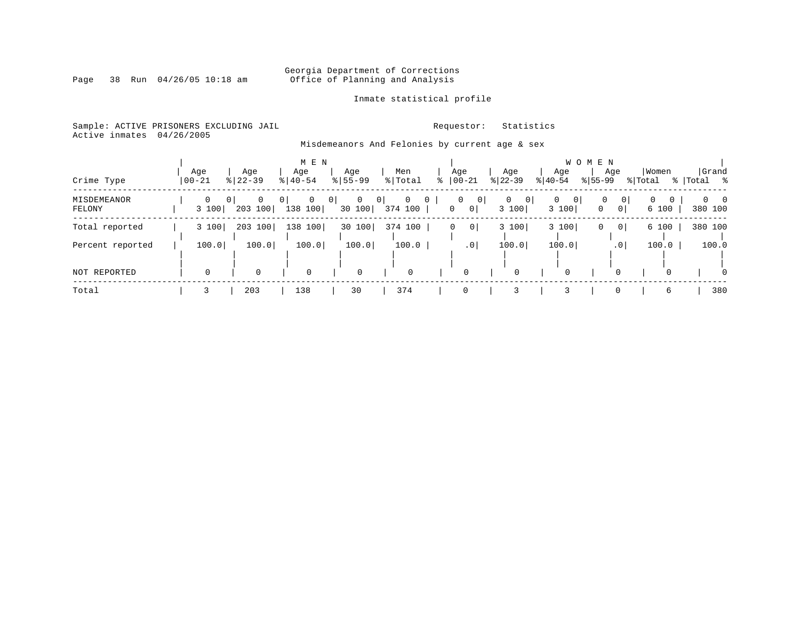# Georgia Department of Corrections<br>Page 38 Run 04/26/05 10:18 am 60ffice of Planning and Analysis Office of Planning and Analysis

### Inmate statistical profile

Sample: ACTIVE PRISONERS EXCLUDING JAIL **Requestor:** Statistics Active inmates 04/26/2005

Misdemeanors And Felonies by current age & sex

|                       |                   |                                       | M E N                        |                                        |                                           |                                         | W O M E N                                     |                        |                                                       |                  |                             |  |  |  |  |  |  |  |
|-----------------------|-------------------|---------------------------------------|------------------------------|----------------------------------------|-------------------------------------------|-----------------------------------------|-----------------------------------------------|------------------------|-------------------------------------------------------|------------------|-----------------------------|--|--|--|--|--|--|--|
| Crime Type            | Age<br>$00 - 21$  | Age<br>$8 22-39$                      | Age<br>$8   40 - 54$         | Age<br>$8155 - 99$                     | Men<br>% Total                            | Age<br>$8   00 - 21$                    | Age<br>$ 22-39 $                              | Age<br>$ 40-54 $       | Age<br>$ 55-99 $                                      | Women<br>% Total | Grand<br>%   Total<br>း - ၁ |  |  |  |  |  |  |  |
| MISDEMEANOR<br>FELONY | $\Omega$<br>3 100 | $\Omega$<br>0 <sup>1</sup><br>203 100 | $\mathbf{0}$<br>0<br>138 100 | $\mathbf{0}$<br>$\mathbf{0}$<br>30 100 | $\mathbf{0}$<br>0 <sup>1</sup><br>374 100 | 0<br>0<br>$\mathbf 0$<br>0 <sup>1</sup> | 0 <br>$\mathbf{0}$<br>$\overline{0}$<br>3 100 | $\Omega$<br>0<br>3 100 | 0<br>$\overline{0}$<br>$\mathbf{0}$<br>0 <sup>1</sup> | 0<br>0<br>6 100  | $0 \quad 0$<br>380 100      |  |  |  |  |  |  |  |
| Total reported        | 3 100             | 203 100                               | 138 100                      | 30 100                                 | 374 100                                   | 0 <sup>1</sup><br>0                     | 3 100                                         | 3 100                  | 0 <sup>1</sup><br>0                                   | 6 100            | 380 100                     |  |  |  |  |  |  |  |
| Percent reported      | 100.0             | 100.0                                 | 100.0                        | 100.0                                  | 100.0                                     | .0 <sub>1</sub>                         | 100.0                                         | 100.0                  | .0 <sup>1</sup>                                       | 100.0            | 100.0                       |  |  |  |  |  |  |  |
| NOT REPORTED          | $\mathbf 0$       | $\Omega$                              |                              | $\Omega$                               | $\mathbf 0$                               | $\Omega$                                | $\Omega$                                      | $\Omega$               |                                                       |                  | $\Omega$                    |  |  |  |  |  |  |  |
| Total                 |                   | 203                                   | 138                          | 30                                     | 374                                       |                                         |                                               |                        | 0                                                     | 6                | 380                         |  |  |  |  |  |  |  |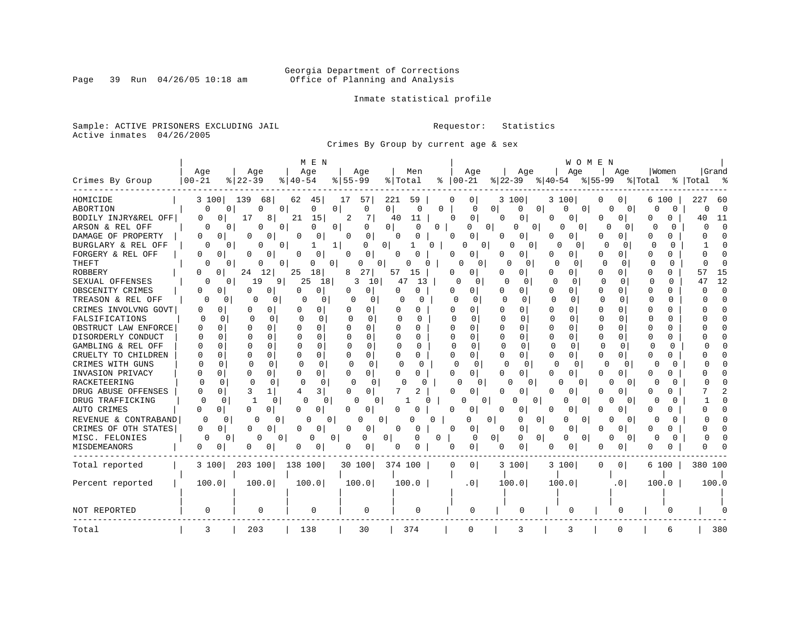# Georgia Department of Corrections<br>Page 39 Run 04/26/05 10:18 am 60ffice of Planning and Analysis Office of Planning and Analysis

Inmate statistical profile

Sample: ACTIVE PRISONERS EXCLUDING JAIL **Requestor:** Statistics Active inmates 04/26/2005

Crimes By Group by current age & sex

|                      |                     |                      | M E N                |                          |                                 |                            |                               | WOMEN                            |                                      |                                  |
|----------------------|---------------------|----------------------|----------------------|--------------------------|---------------------------------|----------------------------|-------------------------------|----------------------------------|--------------------------------------|----------------------------------|
|                      | Age                 | Age                  | Age                  | Age                      | Men                             | Age                        | Age                           | Age                              | Aqe<br>  Women                       | Grand                            |
| Crimes By Group      | $00 - 21$           | $8122 - 39$          | $ 40-54$             | $8155 - 99$              | % Total                         | $ 00-21$                   | $ 22-39 $                     | ୫∣55–99<br>୫∣40-54               | % Total                              | %  Total                         |
| HOMICIDE             | 3 100               | 139<br>68            | 45<br>62             | 57<br>17                 | 221<br>59                       | 0<br>0                     | 3 100                         | 3 100<br>0                       | 0 <sup>1</sup><br>6 100              | 227<br>-60                       |
| ABORTION             | $\Omega$            | $\Omega$<br>0<br>O   | $\Omega$<br>$\Omega$ | 0                        | 0 <sup>1</sup><br>0<br>0        | $\Omega$                   | $\Omega$<br>0<br>$\Omega$     | $\Omega$<br>$\circ$              | $\Omega$<br>0<br>$\Omega$            | $\Omega$<br>$\Omega$<br>$\Omega$ |
| BODILY INJRY&REL OFF | 0<br>$\overline{0}$ | 17<br>8              | 21<br>15             | 2<br>7                   | 40<br>11                        | 0<br>O                     | $\mathbf 0$<br>0              | 0<br>0<br>0                      | $\Omega$<br>0<br>O                   | 40<br>11                         |
| ARSON & REL OFF      | $\Omega$            | O<br>0<br>O          | U<br>0               | 0                        | 0 <sup>1</sup><br>0<br>$\Omega$ | $\Omega$                   | 0<br>0<br>$\overline{0}$      | 0<br>0                           | U<br>0<br>O                          | $\cap$<br>$\Omega$<br>O          |
| DAMAGE OF PROPERTY   | 0<br>0              | 0<br>0               | 0<br>0               | 0<br>0                   | 0<br>0                          | 0<br>0                     | 0<br>O                        | 0<br>0<br>0                      | 0<br><sup>0</sup><br>O               |                                  |
| BURGLARY & REL OFF   |                     | 0<br>N<br>0          | 1                    | $\mathbf{0}$<br>O        | $\Omega$<br>1                   | 0                          | $\mathbf{0}$<br>U<br>$\Omega$ | 0<br>∩                           | $\cap$<br>∩<br>∩                     |                                  |
| FORGERY & REL OFF    | 0<br>0              | $\mathbf 0$<br>0     | 0<br>$\Omega$        | $\Omega$<br>0            | O<br>0                          | 0<br>O                     | 0<br>O                        | U<br>N<br>0                      | 0<br><sup>0</sup><br>0               |                                  |
| THEFT                | 0                   | O<br>$\Omega$<br>0   | O<br>$\overline{0}$  | $\circ$<br>0             | $\Omega$                        | $\Omega$<br>0              | <sup>0</sup><br>0             | $\Omega$<br>$\Omega$<br>$\Omega$ | $\Omega$<br>Ω<br>$\Omega$            |                                  |
| ROBBERY              | U<br>0              | 24<br>12             | 18<br>25             | 27<br>8                  | 57<br>15                        | O<br>0                     | 0                             | O<br>0<br>$\Omega$               | $\Omega$<br>n<br>0                   | 15<br>57                         |
| SEXUAL OFFENSES      | ∩                   | 19<br>9<br>0         | 25<br>18             | 3<br>10                  | 47<br>13                        | 0                          | 0                             | <sup>0</sup><br>0                | $\Omega$<br><sup>0</sup><br>$\Omega$ | 12<br>$4^{\circ}$                |
| OBSCENITY CRIMES     | 0<br>0              | O<br>0               | 0<br>U               | 0<br>0                   | O<br>U                          | n<br>0                     | U<br>U                        | 0<br>U<br>O                      | n<br>0                               | $\cap$                           |
| TREASON & REL OFF    | U                   | 0<br>0<br>0          | 0<br>n               | $\Omega$<br><sup>0</sup> | Λ<br>$\Omega$                   | ∩<br><sup>0</sup>          | ∩<br>$\Omega$                 | $\Omega$<br>U<br>C               | 0<br>O<br>0                          |                                  |
| CRIMES INVOLVNG GOVT | O<br>0              | 0<br>O               | 0<br>U               | O                        | O<br>O                          | 0<br>O                     | 0<br>O                        | O<br>$\Omega$<br>O               | 0<br>$\Omega$<br>O                   |                                  |
| FALSIFICATIONS       | 0<br>O              | $\Omega$<br>$\Omega$ | U<br>0               | $\cap$<br>$\Omega$       | U<br>n                          | $\Omega$                   | $\Omega$<br>Ω                 | 0<br>0                           | $\Omega$<br>O<br>U                   |                                  |
| OBSTRUCT LAW ENFORCE | U<br>U              | ∩<br>0               | $\Omega$<br>U        | U<br>$\Omega$            | O<br>U                          | O<br>0                     | 0<br>O                        | U<br>$\Omega$<br>O               | U<br>O<br>0                          |                                  |
| DISORDERLY CONDUCT   | U                   | U                    | <sup>0</sup>         | 0                        | O                               | O<br>O                     | <sup>0</sup><br><sup>0</sup>  | $\Omega$<br>O<br>$\Omega$        | ∩                                    |                                  |
| GAMBLING & REL OFF   | U                   | 0                    | $\Omega$             | <sup>0</sup><br>U        | ∩<br>U                          | U<br>U                     | ∩<br>O                        | ∩                                | U<br>∩<br>n                          |                                  |
| CRUELTY TO CHILDREN  | U                   | <sup>o</sup><br>O    | 0<br>O               | $\Omega$<br>O            | O<br>0                          | 0<br>$\Omega$              | 0<br>O                        | 0<br>U<br><sup>0</sup>           | 0<br>n<br>U                          |                                  |
| CRIMES WITH GUNS     | U                   | U                    | $\Omega$<br>O        | $\Omega$<br>0            | <sup>0</sup>                    | $\cap$<br>0                | 0                             | 0<br>0<br>0                      | $\mathbf{0}$                         | O                                |
| INVASION PRIVACY     | U<br>n              | U<br>0               | 0<br>Ω               | <sup>0</sup><br>0        | U<br>0                          | n<br>0                     | O<br>0                        | 0<br>0<br>O                      | 0<br>0<br>O                          |                                  |
| RACKETEERING         | ∩<br>0              | $\Omega$<br>O        | ∩<br>0               | O<br>0                   | n<br>O                          | 0<br>O                     | 0<br>O                        | O<br>0                           | $\Omega$<br>O                        | O                                |
| DRUG ABUSE OFFENSES  | N<br>O              | 3<br>1               | 3<br>4               | U<br>$\Omega$            |                                 | O<br>0                     | O                             | O.<br>O                          | O<br>U                               |                                  |
| DRUG TRAFFICKING     | $\Omega$            | 0<br>-1              | 0<br>0               | O<br>$\Omega$            |                                 | 0                          | $\mathbf{0}$<br>0             | $\Omega$<br>0                    | $\Omega$<br>O<br>Ω                   | O                                |
| AUTO CRIMES          | 01                  | O<br>0               | 0<br>0               | 0<br>0                   | $\Omega$<br>O                   | 0<br>O                     | 0<br>0                        | O<br>01<br>0                     | 0<br>O                               |                                  |
| REVENUE & CONTRABAND | <sup>0</sup>        | 0<br>0<br>0          | 0<br>0               | 0<br>0                   | 0<br>N                          | 0                          | 0<br>0<br>0                   | 0<br>0                           | 0<br>0<br>$\Omega$                   | O                                |
| CRIMES OF OTH STATES | 0<br>0              | U<br>0 <sup>1</sup>  | 0<br>O               | 0<br>U                   | 0<br>U                          | $\Omega$<br>0              | 0<br>$\Omega$                 | 0<br>0<br>O                      | 0<br>0<br>0                          |                                  |
| MISC. FELONIES       | 0                   | 0<br>U<br>$\Omega$   | 0<br>0               | 0<br>0                   | 0<br>0                          | $\Omega$                   | $\Omega$<br>0<br>0            | 0<br>$\Omega$                    | O<br>N<br>$\Omega$                   | 0                                |
| MISDEMEANORS         | O<br>0              | 0<br>0               | 0<br>0               | 0<br>0                   | 0                               | $\overline{0}$<br>$\Omega$ | 0<br>0                        | 0                                | 0                                    |                                  |
| Total reported       | 3 100               | 203 100              | 138 100              | 30 100                   | 374 100                         | $\mathbf{0}$<br>0          | 3 100                         | 3 100<br>0                       | 0 <sup>1</sup><br>6 100              | 380 100                          |
| Percent reported     | 100.0               | 100.0                | 100.0                | 100.0                    | 100.0                           | .0 <sub>1</sub>            | 100.0                         | 100.0                            | 100.0<br>. 0                         | 100.0                            |
|                      |                     |                      |                      |                          |                                 |                            |                               |                                  |                                      |                                  |
| NOT REPORTED         | 0                   | $\Omega$             | $\Omega$             | $\Omega$                 | $\Omega$                        | $\Omega$                   | 0                             | 0                                | $\Omega$<br>$\Omega$                 |                                  |
| Total                | 3                   | 203                  | 138                  | 30                       | 374                             | 0                          | 3                             | 3                                | $\Omega$<br>6                        | 380                              |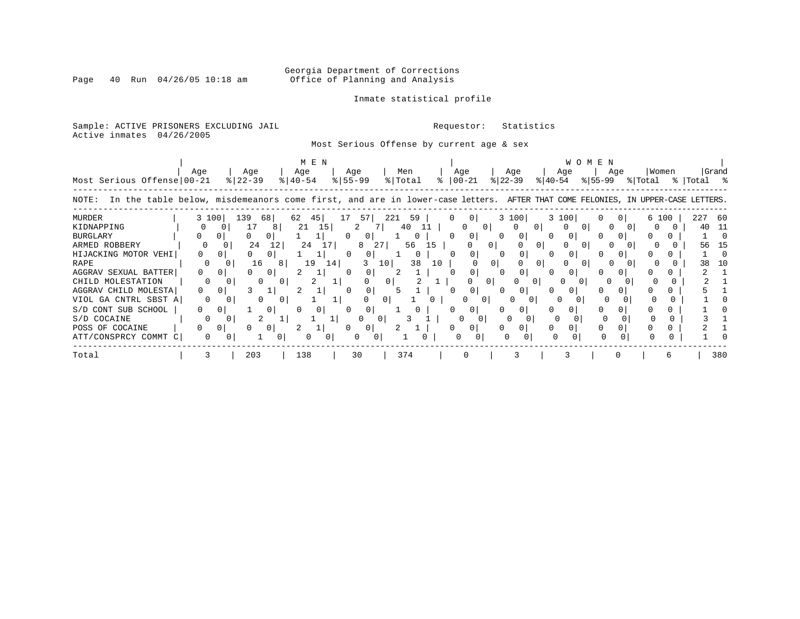# Georgia Department of Corrections<br>Page 40 Run 04/26/05 10:18 am 60ffice of Planning and Analysis Office of Planning and Analysis

### Inmate statistical profile

Sample: ACTIVE PRISONERS EXCLUDING JAIL **Requestor:** Statistics Active inmates 04/26/2005

Most Serious Offense by current age & sex

|                                                                                                                                      | M E N    |          |                      |          |                    |    |                    |                |          |                |    |          |                 |                |                  |          | <b>WOMEN</b>     |         |                |                  |            |       |
|--------------------------------------------------------------------------------------------------------------------------------------|----------|----------|----------------------|----------|--------------------|----|--------------------|----------------|----------|----------------|----|----------|-----------------|----------------|------------------|----------|------------------|---------|----------------|------------------|------------|-------|
| Most Serious Offense 00-21                                                                                                           | Age      |          | Age<br>$8$   22 – 39 |          | Age<br>$8140 - 54$ |    | Age<br>$8155 - 99$ |                |          | Men<br>% Total |    | °≈       | Age<br>$ 00-21$ |                | Age<br>$ 22-39 $ |          | Age<br>$ 40-54 $ | % 55−99 | Aqe            | Women<br>% Total | %  Total % | Grand |
| In the table below, misdemeanors come first, and are in lower-case letters. AFTER THAT COME FELONIES, IN UPPER-CASE LETTERS<br>NOTE: |          |          |                      |          |                    |    |                    |                |          |                |    |          |                 |                |                  |          |                  |         |                |                  |            |       |
| <b>MURDER</b>                                                                                                                        | 3 100    |          | 139<br>68            |          | 62<br>45           |    | 17                 | 57             | 221      | 59             |    |          | $\Omega$        |                | 3 100            |          | 3 100            |         | 0 <sup>1</sup> | 6 100            | 227        | -60   |
| KIDNAPPING                                                                                                                           |          |          | 17                   | 8        | 21                 | 15 |                    | 2              |          | 40             |    |          | 0               | $\overline{0}$ | 0                |          |                  |         |                |                  | 40         | 11    |
| <b>BURGLARY</b>                                                                                                                      |          |          |                      | $\Omega$ |                    |    |                    | $\Omega$       |          |                |    | $\Omega$ | $\mathbf{0}$    |                | $\mathbf{0}$     |          | $\Omega$         |         |                |                  |            |       |
| ARMED ROBBERY                                                                                                                        |          | 0        | 24                   | 12       | 24                 | 17 |                    |                | 27       | 56             | 15 |          |                 | 0 <sup>1</sup> |                  |          |                  |         |                |                  | 56         |       |
| HIJACKING MOTOR VEHI                                                                                                                 | 0        |          | 0                    | 0        |                    |    | 0                  | 0              |          |                |    | 0        | 0               |                | 0                |          |                  |         |                |                  |            |       |
| RAPE                                                                                                                                 | $\Omega$ |          | 16                   | 8        | 19                 | 14 |                    |                | 10       | 38             | 10 |          |                 | 0 l            |                  | 0        |                  |         |                |                  | 38         |       |
| AGGRAV SEXUAL BATTER                                                                                                                 | $\Omega$ | 0        | 0                    | 0        |                    |    | 0                  | 0              |          |                |    |          | 0               |                |                  |          | <sup>0</sup>     |         |                |                  |            |       |
| CHILD MOLESTATION                                                                                                                    | 0        |          |                      |          | 2                  |    |                    |                | 0        |                |    |          | 0               | $\Omega$       | 0                | $\Omega$ |                  | O       |                |                  |            |       |
| AGGRAV CHILD MOLESTA                                                                                                                 | 0        | 0        |                      |          |                    |    |                    | 0              |          |                |    |          | 0               |                | $\mathbf{0}$     |          | 0                |         |                |                  |            |       |
| VIOL GA CNTRL SBST A                                                                                                                 |          |          |                      |          |                    |    |                    |                | 0        |                |    |          |                 |                |                  |          |                  |         |                |                  |            |       |
| S/D CONT SUB SCHOOL                                                                                                                  | 0        | 0        |                      | 0        |                    | 0  |                    | 0              |          |                |    |          | 0               |                |                  |          |                  |         |                |                  |            |       |
| S/D COCAINE                                                                                                                          |          |          |                      |          |                    |    |                    | U              | $\sigma$ |                |    |          | U               |                |                  |          |                  |         |                |                  |            |       |
| POSS OF COCAINE                                                                                                                      | 0.       | $\Omega$ |                      | 01       |                    |    |                    | 0 <sup>1</sup> |          |                |    |          | 0               |                | $\Omega$         |          |                  |         |                |                  |            |       |
| ATT/CONSPRCY COMMT C                                                                                                                 |          |          |                      |          |                    |    |                    |                |          |                |    |          |                 |                |                  |          | 0                |         |                |                  |            |       |
| Total                                                                                                                                |          |          | 203                  |          | 138                |    |                    | 30             |          | 374            |    |          |                 |                |                  |          |                  |         |                |                  |            | 380   |